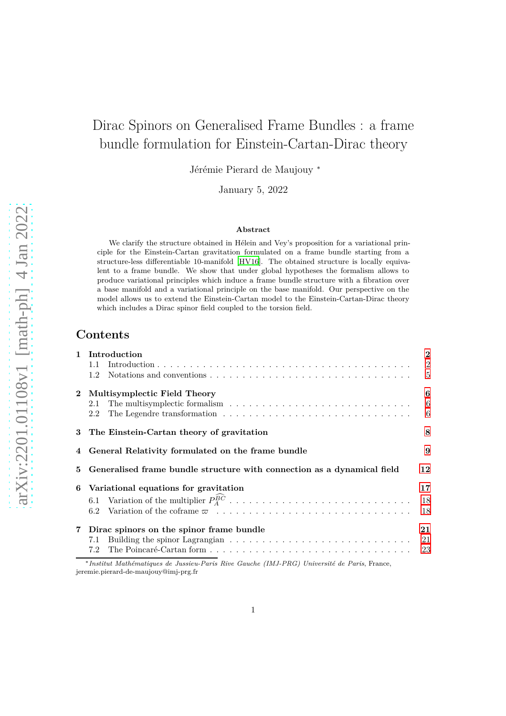# Dirac Spinors on Generalised Frame Bundles : a frame bundle formulation for Einstein-Cartan-Dirac theory

Jérémie Pierard de Maujouy <sup>∗</sup>

January 5, 2022

#### **Abstract**

We clarify the structure obtained in Hélein and Vey's proposition for a variational principle for the Einstein-Cartan gravitation formulated on a frame bundle starting from a structure-less differentiable 10-manifold [\[HV16](#page-64-0)]. The obtained structure is locally equivalent to a frame bundle. We show that under global hypotheses the formalism allows to produce variational principles which induce a frame bundle structure with a fibration over a base manifold and a variational principle on the base manifold. Our perspective on the model allows us to extend the Einstein-Cartan model to the Einstein-Cartan-Dirac theory which includes a Dirac spinor field coupled to the torsion field.

# **Contents**

|   | 1 Introduction                                                          |                |  |  |
|---|-------------------------------------------------------------------------|----------------|--|--|
|   | 1.1                                                                     | $\overline{2}$ |  |  |
|   | 1.2                                                                     | $\overline{5}$ |  |  |
|   | 2 Multisymplectic Field Theory                                          | 6              |  |  |
|   | 2.1                                                                     | 6              |  |  |
|   | 2.2                                                                     | 6              |  |  |
|   | 3 The Einstein-Cartan theory of gravitation                             |                |  |  |
|   | General Relativity formulated on the frame bundle                       |                |  |  |
| 5 | Generalised frame bundle structure with connection as a dynamical field |                |  |  |
| 6 | Variational equations for gravitation                                   | 17             |  |  |
|   | 6.1 Variation of the multiplier $P_A^{\hat{B}\hat{C}}$                  | 18             |  |  |
|   |                                                                         |                |  |  |
|   | 6.2                                                                     | 18             |  |  |
|   | 7 Dirac spinors on the spinor frame bundle                              | 21             |  |  |
|   | 7.1                                                                     | 21             |  |  |
|   | 7.2                                                                     | 23             |  |  |

jeremie.pierard-de-maujouy@imj-prg.fr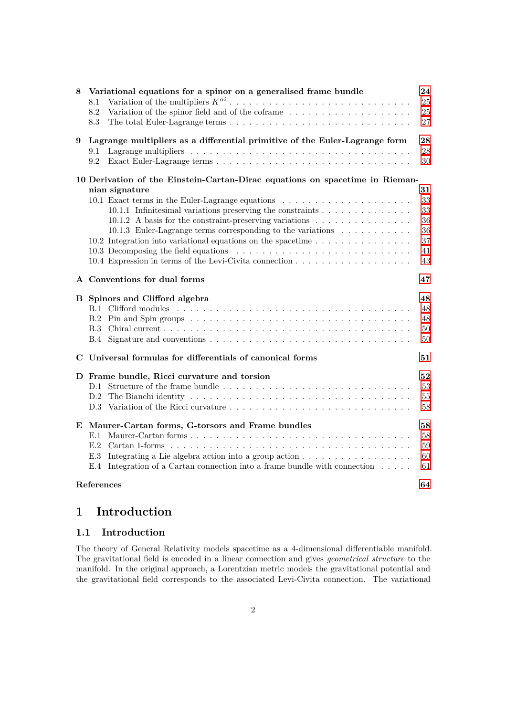| 8 | Variational equations for a spinor on a generalised frame bundle<br>8.1<br>Variation of the spinor field and of the coframe $\;\ldots\; \ldots\; \ldots\; \ldots\; \ldots\; \ldots\; \ldots\; \ldots\;$<br>8.2<br>8.3                                                                                                                                                                                                                                                                                                                                    | 24<br>25<br>25<br>27                         |  |  |
|---|----------------------------------------------------------------------------------------------------------------------------------------------------------------------------------------------------------------------------------------------------------------------------------------------------------------------------------------------------------------------------------------------------------------------------------------------------------------------------------------------------------------------------------------------------------|----------------------------------------------|--|--|
| 9 | Lagrange multipliers as a differential primitive of the Euler-Lagrange form<br>9.1<br>9.2                                                                                                                                                                                                                                                                                                                                                                                                                                                                |                                              |  |  |
|   | 10 Derivation of the Einstein-Cartan-Dirac equations on spacetime in Rieman-<br>nian signature<br>10.1 Exact terms in the Euler-Lagrange equations<br>10.1.1 Infinitesimal variations preserving the constraints<br>10.1.2 A basis for the constraint-preserving variations $\dots \dots \dots \dots \dots$<br>10.1.3 Euler-Lagrange terms corresponding to the variations $\dots \dots \dots$<br>10.2 Integration into variational equations on the spacetime $\dots \dots \dots \dots \dots$<br>10.4 Expression in terms of the Levi-Civita connection | 31<br>33<br>33<br>36<br>36<br>37<br>41<br>43 |  |  |
|   | A Conventions for dual forms                                                                                                                                                                                                                                                                                                                                                                                                                                                                                                                             |                                              |  |  |
|   | <b>B</b> Spinors and Clifford algebra                                                                                                                                                                                                                                                                                                                                                                                                                                                                                                                    | 48<br>48<br>48<br>50<br>50                   |  |  |
| C | Universal formulas for differentials of canonical forms<br>51                                                                                                                                                                                                                                                                                                                                                                                                                                                                                            |                                              |  |  |
|   | D Frame bundle, Ricci curvature and torsion                                                                                                                                                                                                                                                                                                                                                                                                                                                                                                              | 52<br>53<br>$55\,$<br>58                     |  |  |
| E | Maurer-Cartan forms, G-torsors and Frame bundles<br>E.3 Integrating a Lie algebra action into a group action $\dots \dots \dots \dots \dots \dots$<br>E.4 Integration of a Cartan connection into a frame bundle with connection                                                                                                                                                                                                                                                                                                                         | 58<br>58<br>59<br>60<br>61                   |  |  |
|   | References                                                                                                                                                                                                                                                                                                                                                                                                                                                                                                                                               | 64                                           |  |  |

# <span id="page-1-0"></span>**1 Introduction**

# <span id="page-1-1"></span>**1.1 Introduction**

The theory of General Relativity models spacetime as a 4-dimensional differentiable manifold. The gravitational field is encoded in a linear connection and gives *geometrical structure* to the manifold. In the original approach, a Lorentzian metric models the gravitational potential and the gravitational field corresponds to the associated Levi-Civita connection. The variational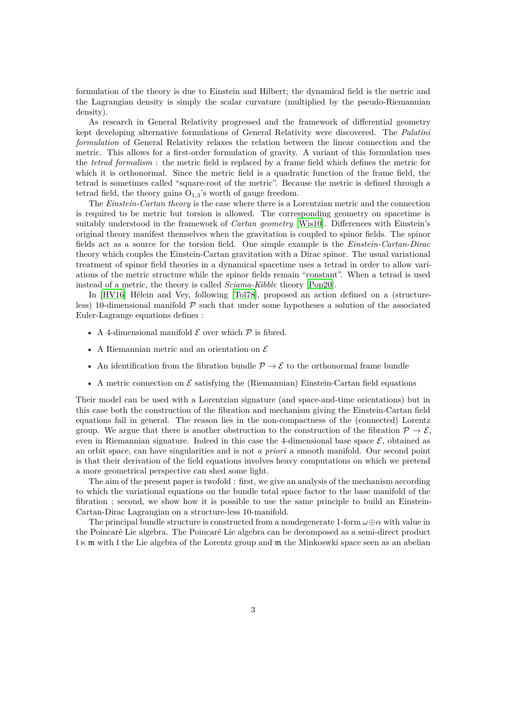formulation of the theory is due to Einstein and Hilbert; the dynamical field is the metric and the Lagrangian density is simply the scalar curvature (multiplied by the pseudo-Riemannian density).

As research in General Relativity progressed and the framework of differential geometry kept developing alternative formulations of General Relativity were discovered. The *Palatini formulation* of General Relativity relaxes the relation between the linear connection and the metric. This allows for a first-order formulation of gravity. A variant of this formulation uses the *tetrad formalism* : the metric field is replaced by a frame field which defines the metric for which it is orthonormal. Since the metric field is a quadratic function of the frame field, the tetrad is sometimes called "square-root of the metric". Because the metric is defined through a tetrad field, the theory gains  $O_{1,3}$ 's worth of gauge freedom.

The *Einstein-Cartan theory* is the case where there is a Lorentzian metric and the connection is required to be metric but torsion is allowed. The corresponding geometry on spacetime is suitably understood in the framework of *Cartan geometry* [\[Wis10](#page-65-0)]. Differences with Einstein's original theory manifest themselves when the gravitation is coupled to spinor fields. The spinor fields act as a source for the torsion field. One simple example is the *Einstein-Cartan-Dirac* theory which couples the Einstein-Cartan gravitation with a Dirac spinor. The usual variational treatment of spinor field theories in a dynamical spacetime uses a tetrad in order to allow variations of the metric structure while the spinor fields remain "constant". When a tetrad is used instead of a metric, the theory is called *Sciama-Kibble* theory [\[Pop20](#page-65-1)].

In [\[HV16\]](#page-64-0) Hélein and Vey, following [\[Tol78\]](#page-65-2), proposed an action defined on a (structureless) 10-dimensional manifold  $P$  such that under some hypotheses a solution of the associated Euler-Lagrange equations defines :

- A 4-dimensional manifold  ${\mathcal E}$  over which  ${\mathcal P}$  is fibred.
- A Riemannian metric and an orientation on  ${\mathcal E}$
- An identification from the fibration bundle  $\mathcal{P} \to \mathcal{E}$  to the orthonormal frame bundle
- A metric connection on  $\mathcal E$  satisfying the (Riemannian) Einstein-Cartan field equations

Their model can be used with a Lorentzian signature (and space-and-time orientations) but in this case both the construction of the fibration and mechanism giving the Einstein-Cartan field equations fail in general. The reason lies in the non-compactness of the (connected) Lorentz group. We argue that there is another obstruction to the construction of the fibration  $\mathcal{P} \to \mathcal{E}$ , even in Riemannian signature. Indeed in this case the 4-dimensional base space  $\mathcal{E}$ , obtained as an orbit space, can have singularities and is not *a priori* a smooth manifold. Our second point is that their derivation of the field equations involves heavy computations on which we pretend a more geometrical perspective can shed some light.

The aim of the present paper is twofold : first, we give an analysis of the mechanism according to which the variational equations on the bundle total space factor to the base manifold of the fibration ; second, we show how it is possible to use the same principle to build an Einstein-Cartan-Dirac Lagrangian on a structure-less 10-manifold.

The principal bundle structure is constructed from a nondegenerate 1-form *ω*⊕*α* with value in the Poincaré Lie algebra. The Poincaré Lie algebra can be decomposed as a semi-direct product  $l \times m$  with I the Lie algebra of the Lorentz group and  $m$  the Minkoswki space seen as an abelian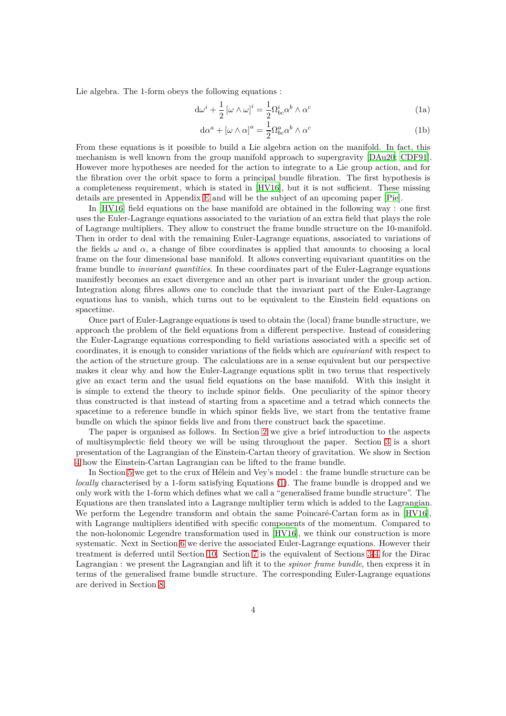Lie algebra. The 1-form obeys the following equations :

<span id="page-3-0"></span>
$$
d\omega^{i} + \frac{1}{2} [\omega \wedge \omega]^{i} = \frac{1}{2} \Omega^{i}_{bc} \alpha^{b} \wedge \alpha^{c}
$$
 (1a)

$$
d\alpha^{a} + [\omega \wedge \alpha]^{a} = \frac{1}{2} \Omega^{a}_{bc} \alpha^{b} \wedge \alpha^{c}
$$
 (1b)

From these equations is it possible to build a Lie algebra action on the manifold. In fact, this mechanism is well known from the group manifold approach to supergravity [\[DAu20](#page-63-1); [CDF91](#page-63-2)]. However more hypotheses are needed for the action to integrate to a Lie group action, and for the fibration over the orbit space to form a principal bundle fibration. The first hypothesis is a completeness requirement, which is stated in [\[HV16](#page-64-0)], but it is not sufficient. These missing details are presented in Appendix [E](#page-57-1) and will be the subject of an upcoming paper [\[Pie](#page-65-3)].

In [\[HV16\]](#page-64-0) field equations on the base manifold are obtained in the following way : one first uses the Euler-Lagrange equations associated to the variation of an extra field that plays the role of Lagrange multipliers. They allow to construct the frame bundle structure on the 10-manifold. Then in order to deal with the remaining Euler-Lagrange equations, associated to variations of the fields  $\omega$  and  $\alpha$ , a change of fibre coordinates is applied that amounts to choosing a local frame on the four dimensional base manifold. It allows converting equivariant quantities on the frame bundle to *invariant quantities*. In these coordinates part of the Euler-Lagrange equations manifestly becomes an exact divergence and an other part is invariant under the group action. Integration along fibres allows one to conclude that the invariant part of the Euler-Lagrange equations has to vanish, which turns out to be equivalent to the Einstein field equations on spacetime.

Once part of Euler-Lagrange equations is used to obtain the (local) frame bundle structure, we approach the problem of the field equations from a different perspective. Instead of considering the Euler-Lagrange equations corresponding to field variations associated with a specific set of coordinates, it is enough to consider variations of the fields which are *equivariant* with respect to the action of the structure group. The calculations are in a sense equivalent but our perspective makes it clear why and how the Euler-Lagrange equations split in two terms that respectively give an exact term and the usual field equations on the base manifold. With this insight it is simple to extend the theory to include spinor fields. One peculiarity of the spinor theory thus constructed is that instead of starting from a spacetime and a tetrad which connects the spacetime to a reference bundle in which spinor fields live, we start from the tentative frame bundle on which the spinor fields live and from there construct back the spacetime.

The paper is organised as follows. In Section [2](#page-5-0) we give a brief introduction to the aspects of multisymplectic field theory we will be using throughout the paper. Section [3](#page-7-0) is a short presentation of the Lagrangian of the Einstein-Cartan theory of gravitation. We show in Section [4](#page-8-0) how the Einstein-Cartan Lagrangian can be lifted to the frame bundle.

In Section [5](#page-11-0) we get to the crux of Hélein and Vey's model : the frame bundle structure can be *locally* characterised by a 1-form satisfying Equations [\(1\)](#page-3-0). The frame bundle is dropped and we only work with the 1-form which defines what we call a "generalised frame bundle structure". The Equations are then translated into a Lagrange multiplier term which is added to the Lagrangian. We perform the Legendre transform and obtain the same Poincaré-Cartan form as in [\[HV16\]](#page-64-0). with Lagrange multipliers identified with specific components of the momentum. Compared to the non-holonomic Legendre transformation used in [\[HV16\]](#page-64-0), we think our construction is more systematic. Next in Section [6](#page-16-0) we derive the associated Euler-Lagrange equations. However their treatment is deferred until Section [10.](#page-30-0) Section [7](#page-20-0) is the equivalent of Sections [3-](#page-7-0)[4](#page-8-0) for the Dirac Lagrangian : we present the Lagrangian and lift it to the *spinor frame bundle*, then express it in terms of the generalised frame bundle structure. The corresponding Euler-Lagrange equations are derived in Section [8.](#page-23-0)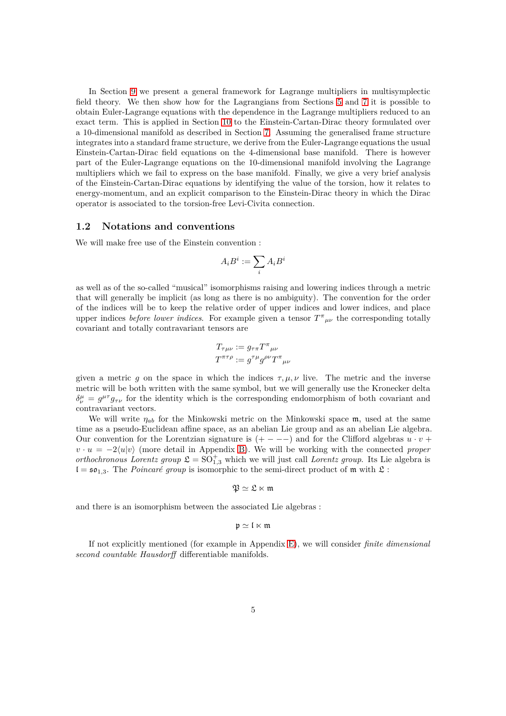In Section [9](#page-27-0) we present a general framework for Lagrange multipliers in multisymplectic field theory. We then show how for the Lagrangians from Sections [5](#page-11-0) and [7](#page-20-0) it is possible to obtain Euler-Lagrange equations with the dependence in the Lagrange multipliers reduced to an exact term. This is applied in Section [10](#page-30-0) to the Einstein-Cartan-Dirac theory formulated over a 10-dimensional manifold as described in Section [7.](#page-20-0) Assuming the generalised frame structure integrates into a standard frame structure, we derive from the Euler-Lagrange equations the usual Einstein-Cartan-Dirac field equations on the 4-dimensional base manifold. There is however part of the Euler-Lagrange equations on the 10-dimensional manifold involving the Lagrange multipliers which we fail to express on the base manifold. Finally, we give a very brief analysis of the Einstein-Cartan-Dirac equations by identifying the value of the torsion, how it relates to energy-momentum, and an explicit comparison to the Einstein-Dirac theory in which the Dirac operator is associated to the torsion-free Levi-Civita connection.

### <span id="page-4-0"></span>**1.2 Notations and conventions**

We will make free use of the Einstein convention :

$$
A_iB^i:=\sum_iA_iB^i
$$

as well as of the so-called "musical" isomorphisms raising and lowering indices through a metric that will generally be implicit (as long as there is no ambiguity). The convention for the order of the indices will be to keep the relative order of upper indices and lower indices, and place upper indices *before lower indices*. For example given a tensor  $T^{\pi}{}_{\mu\nu}$  the corresponding totally covariant and totally contravariant tensors are

$$
T_{\tau\mu\nu} := g_{\tau\pi} T^{\pi}{}_{\mu\nu}
$$

$$
T^{\pi\tau\rho} := g^{\tau\mu} g^{\rho\nu} T^{\pi}{}_{\mu\nu}
$$

given a metric *g* on the space in which the indices  $\tau, \mu, \nu$  live. The metric and the inverse metric will be both written with the same symbol, but we will generally use the Kronecker delta  $\delta^{\mu}_{\nu} = g^{\mu\tau} g_{\tau\nu}$  for the identity which is the corresponding endomorphism of both covariant and contravariant vectors.

We will write *ηab* for the Minkowski metric on the Minkowski space m, used at the same time as a pseudo-Euclidean affine space, as an abelian Lie group and as an abelian Lie algebra. Our convention for the Lorentzian signature is  $(+ - - -)$  and for the Clifford algebras  $u \cdot v$  +  $v \cdot u = -2\langle u|v\rangle$  (more detail in Appendix [B\)](#page-47-0). We will be working with the connected *proper orthochronous Lorentz group*  $\mathfrak{L} = SO_{1,3}^+$  which we will just call *Lorentz group*. Its Lie algebra is  $I = \mathfrak{so}_{1,3}$ . The *Poincaré group* is isomorphic to the semi-direct product of m with  $\mathfrak{L}$ :

$$
\mathfrak{P}\simeq\mathfrak{L}\ltimes\mathfrak{m}
$$

and there is an isomorphism between the associated Lie algebras :

$$
\mathfrak{p}\simeq\mathfrak{l}\ltimes\mathfrak{m}
$$

If not explicitly mentioned (for example in Appendix [E\)](#page-57-1), we will consider *finite dimensional second countable Hausdorff* differentiable manifolds.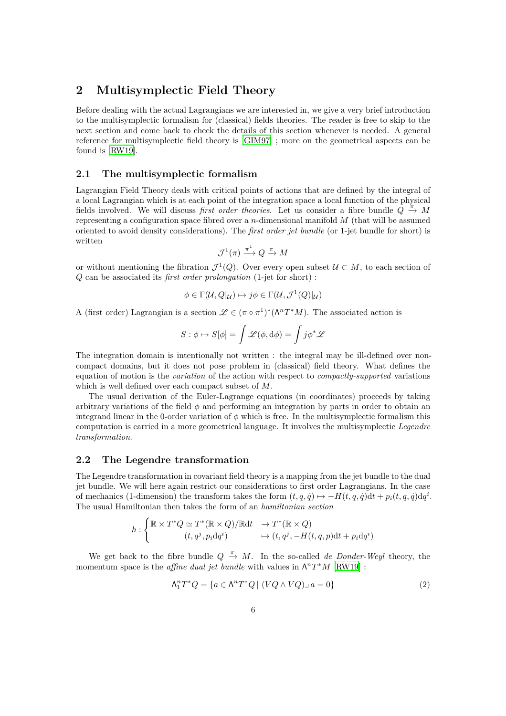# <span id="page-5-0"></span>**2 Multisymplectic Field Theory**

Before dealing with the actual Lagrangians we are interested in, we give a very brief introduction to the multisymplectic formalism for (classical) fields theories. The reader is free to skip to the next section and come back to check the details of this section whenever is needed. A general reference for multisymplectic field theory is [\[GIM97\]](#page-64-1) ; more on the geometrical aspects can be found is [\[RW19\]](#page-65-4).

# <span id="page-5-1"></span>**2.1 The multisymplectic formalism**

Lagrangian Field Theory deals with critical points of actions that are defined by the integral of a local Lagrangian which is at each point of the integration space a local function of the physical fields involved. We will discuss *first order theories*. Let us consider a fibre bundle  $Q \stackrel{\pi}{\rightarrow} M$ representing a configuration space fibred over a *n*-dimensional manifold *M* (that will be assumed oriented to avoid density considerations). The *first order jet bundle* (or 1-jet bundle for short) is written

$$
\mathcal{J}^1(\pi) \xrightarrow{\pi^1} Q \xrightarrow{\pi} M
$$

or without mentioning the fibration  $\mathcal{J}^1(Q)$ . Over every open subset  $\mathcal{U} \subset M$ , to each section of *Q* can be associated its *first order prolongation* (1-jet for short) :

$$
\phi \in \Gamma(\mathcal{U}, Q|_{\mathcal{U}}) \mapsto j\phi \in \Gamma(\mathcal{U}, \mathcal{J}^1(Q)|_{\mathcal{U}})
$$

A (first order) Lagrangian is a section  $\mathscr{L} \in (\pi \circ \pi^1)^* (\Lambda^n T^* M)$ . The associated action is

$$
S: \phi \mapsto S[\phi] = \int \mathscr{L}(\phi, d\phi) = \int j\phi^* \mathscr{L}
$$

The integration domain is intentionally not written : the integral may be ill-defined over noncompact domains, but it does not pose problem in (classical) field theory. What defines the equation of motion is the *variation* of the action with respect to *compactly-supported* variations which is well defined over each compact subset of *M*.

The usual derivation of the Euler-Lagrange equations (in coordinates) proceeds by taking arbitrary variations of the field *φ* and performing an integration by parts in order to obtain an integrand linear in the 0-order variation of  $\phi$  which is free. In the multisymplectic formalism this computation is carried in a more geometrical language. It involves the multisymplectic *Legendre transformation*.

## <span id="page-5-2"></span>**2.2 The Legendre transformation**

The Legendre transformation in covariant field theory is a mapping from the jet bundle to the dual jet bundle. We will here again restrict our considerations to first order Lagrangians. In the case of mechanics (1-dimension) the transform takes the form  $(t, q, \dot{q}) \mapsto -H(t, q, \dot{q})dt + p_i(t, q, \dot{q})dq^i$ . The usual Hamiltonian then takes the form of an *hamiltonian section*

$$
h: \begin{cases} \mathbb{R} \times T^*Q \simeq T^*(\mathbb{R} \times Q)/\mathbb{R} \mathrm{d} t & \to T^*(\mathbb{R} \times Q) \\ (t, q^j, p_i \mathrm{d} q^i) & \mapsto (t, q^j, -H(t, q, p) \mathrm{d} t + p_i \mathrm{d} q^i) \end{cases}
$$

We get back to the fibre bundle  $Q \stackrel{\pi}{\rightarrow} M$ . In the so-called *de Donder-Weyl* theory, the momentum space is the *affine dual jet bundle* with values in  $\Lambda^n T^*M$  [\[RW19\]](#page-65-4) :

<span id="page-5-3"></span>
$$
\Lambda_1^n T^* Q = \{ a \in \Lambda^n T^* Q \mid (V Q \wedge V Q) \lrcorner \, a = 0 \}
$$
\n<sup>(2)</sup>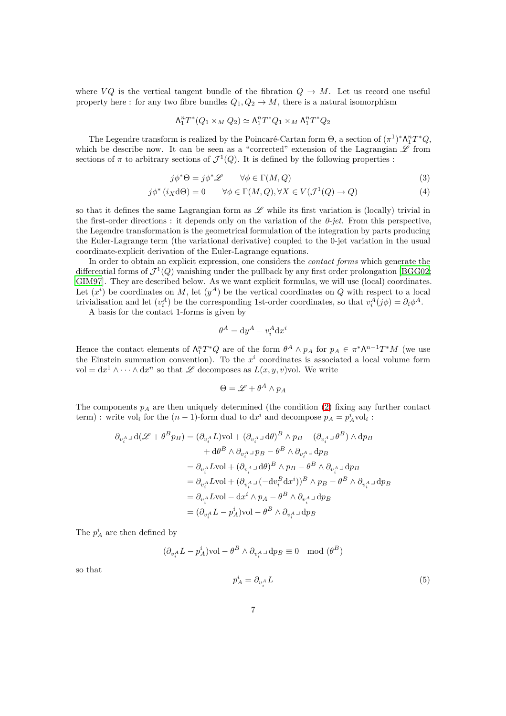where  $VQ$  is the vertical tangent bundle of the fibration  $Q \to M$ . Let us record one useful property here : for any two fibre bundles  $Q_1, Q_2 \to M$ , there is a natural isomorphism

$$
\Lambda_1^n T^*(Q_1 \times_M Q_2) \simeq \Lambda_1^n T^* Q_1 \times_M \Lambda_1^n T^* Q_2
$$

The Legendre transform is realized by the Poincaré-Cartan form  $\Theta$ , a section of  $(\pi^1)^*\Lambda_1^n T^*Q$ , which be describe now. It can be seen as a "corrected" extension of the Lagrangian  $\mathscr L$  from sections of  $\pi$  to arbitrary sections of  $\mathcal{J}^1(Q)$ . It is defined by the following properties :

$$
j\phi^*\Theta = j\phi^*\mathscr{L} \qquad \forall \phi \in \Gamma(M, Q) \tag{3}
$$

$$
j\phi^*(i_X\mathrm{d}\Theta) = 0 \qquad \forall \phi \in \Gamma(M, Q), \forall X \in V(\mathcal{J}^1(Q) \to Q) \tag{4}
$$

so that it defines the same Lagrangian form as  $\mathscr L$  while its first variation is (locally) trivial in the first-order directions : it depends only on the variation of the *0-jet*. From this perspective, the Legendre transformation is the geometrical formulation of the integration by parts producing the Euler-Lagrange term (the variational derivative) coupled to the 0-jet variation in the usual coordinate-explicit derivation of the Euler-Lagrange equations.

In order to obtain an explicit expression, one considers the *contact forms* which generate the differential forms of  $\mathcal{J}^1(Q)$  vanishing under the pullback by any first order prolongation [\[BGG02;](#page-63-3) [GIM97\]](#page-64-1). They are described below. As we want explicit formulas, we will use (local) coordinates. Let  $(x^i)$  be coordinates on *M*, let  $(y^A)$  be the vertical coordinates on *Q* with respect to a local trivialisation and let  $(v_i^A)$  be the corresponding 1st-order coordinates, so that  $v_i^A(j\phi) = \partial_i \phi^A$ .

A basis for the contact 1-forms is given by

$$
\theta^A = \mathrm{d}y^A - v_i^A \mathrm{d}x^i
$$

Hence the contact elements of  $\Lambda_1^n T^*Q$  are of the form  $\theta^A \wedge p_A$  for  $p_A \in \pi^* \Lambda^{n-1} T^*M$  (we use the Einstein summation convention). To the  $x^i$  coordinates is associated a local volume form vol =  $dx^1 \wedge \cdots \wedge dx^n$  so that L decomposes as  $L(x, y, v)$ vol. We write

$$
\Theta = \mathscr{L} + \theta^A \wedge p_A
$$

The components *p<sup>A</sup>* are then uniquely determined (the condition [\(2\)](#page-5-3) fixing any further contact term) : write vol<sub>*i*</sub> for the  $(n - 1)$ -form dual to  $dx^i$  and decompose  $p_A = p_A^i$ vol<sub>*i*</sub> :

$$
\partial_{v_i^A}\lrcorner\,\mathrm{d}(\mathscr{L}+\theta^B p_B)=(\partial_{v_i^A}L)\mathrm{vol}+(\partial_{v_i^A}\lrcorner\,\mathrm{d}\theta)^B\wedge p_B-(\partial_{v_i^A}\lrcorner\,\theta^B)\wedge\mathrm{d}p_B
$$
\n
$$
+\,\mathrm{d}\theta^B\wedge\partial_{v_i^A}\lrcorner\, p_B-\theta^B\wedge\partial_{v_i^A}\lrcorner\,\mathrm{d}p_B
$$
\n
$$
=\partial_{v_i^A}L\mathrm{vol}+(\partial_{v_i^A}\lrcorner\,\mathrm{d}\theta)^B\wedge p_B-\theta^B\wedge\partial_{v_i^A}\lrcorner\,\mathrm{d}p_B
$$
\n
$$
=\partial_{v_i^A}L\mathrm{vol}+(\partial_{v_i^A}\lrcorner\,(-\mathrm{d}v_i^B\mathrm{d}x^i))^B\wedge p_B-\theta^B\wedge\partial_{v_i^A}\lrcorner\,\mathrm{d}p_B
$$
\n
$$
=\partial_{v_i^A}L\mathrm{vol}-\mathrm{d}x^i\wedge p_A-\theta^B\wedge\partial_{v_i^A}\lrcorner\,\mathrm{d}p_B
$$
\n
$$
=(\partial_{v_i^A}L-p_A^i)\mathrm{vol}-\theta^B\wedge\partial_{v_i^A}\lrcorner\,\mathrm{d}p_B
$$

The  $p_A^i$  are then defined by

$$
(\partial_{v_i^A} L - p_A^i) \text{vol} - \theta^B \wedge \partial_{v_i^A} \text{d}p_B \equiv 0 \mod (\theta^B)
$$

so that

$$
p_A^i = \partial_{v_i^A} L \tag{5}
$$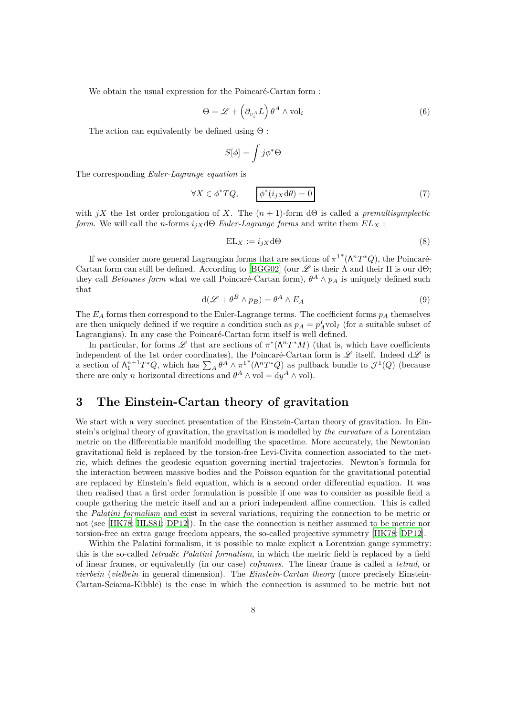We obtain the usual expression for the Poincaré-Cartan form :

<span id="page-7-1"></span>
$$
\Theta = \mathcal{L} + \left(\partial_{v_i^A} L\right) \theta^A \wedge \text{vol}_i \tag{6}
$$

The action can equivalently be defined using  $\Theta$ :

$$
S[\phi]=\int j\phi^*\Theta
$$

The corresponding *Euler-Lagrange equation* is

$$
\forall X \in \phi^* TQ, \qquad \boxed{\phi^*(i_{jX} d\theta) = 0} \tag{7}
$$

with  $jX$  the 1st order prolongation of X. The  $(n + 1)$ -form d $\Theta$  is called a *premultisymplectic form.* We will call the *n*-forms  $i_j$ *X* dΘ *Euler-Lagrange forms* and write them  $EL$ *X* :

$$
EL_X := i_{jX} d\Theta
$$
 (8)

If we consider more general Lagrangian forms that are sections of  $\pi^{1*}(\Lambda^n T^*Q)$ , the Poincaré-Cartan form can still be defined. According to [\[BGG02\]](#page-63-3) (our  $\mathscr L$  is their  $\Lambda$  and their  $\Pi$  is our d $\Theta$ ; they call *Betounes form* what we call Poincaré-Cartan form),  $\theta^A \wedge p_A$  is uniquely defined such that

$$
d(\mathcal{L} + \theta^B \wedge p_B) = \theta^A \wedge E_A \tag{9}
$$

The  $E_A$  forms then correspond to the Euler-Lagrange terms. The coefficient forms  $p_A$  themselves are then uniquely defined if we require a condition such as  $p_A = p_A^I$ vol<sub>*I*</sub> (for a suitable subset of Lagrangians). In any case the Poincaré-Cartan form itself is well defined.

In particular, for forms  $\mathscr L$  that are sections of  $\pi^*(\Lambda^n T^*M)$  (that is, which have coefficients independent of the 1st order coordinates), the Poincaré-Cartan form is  $\mathscr L$  itself. Indeed  $d\mathscr L$  is a section of  $\Lambda_1^{n+1}T^*Q$ , which has  $\sum_A \theta^A \wedge \pi^1^*(\Lambda^n T^*Q)$  as pullback bundle to  $\mathcal{J}^1(Q)$  (because there are only *n* horizontal directions and  $\theta^A \wedge \text{vol} = \text{d}y^A \wedge \text{vol}$ .

# <span id="page-7-0"></span>**3 The Einstein-Cartan theory of gravitation**

We start with a very succinct presentation of the Einstein-Cartan theory of gravitation. In Einstein's original theory of gravitation, the gravitation is modelled by *the curvature* of a Lorentzian metric on the differentiable manifold modelling the spacetime. More accurately, the Newtonian gravitational field is replaced by the torsion-free Levi-Civita connection associated to the metric, which defines the geodesic equation governing inertial trajectories. Newton's formula for the interaction between massive bodies and the Poisson equation for the gravitational potential are replaced by Einstein's field equation, which is a second order differential equation. It was then realised that a first order formulation is possible if one was to consider as possible field a couple gathering the metric itself and an a priori independent affine connection. This is called the *Palatini formalism* and exist in several variations, requiring the connection to be metric or not (see [\[HK78;](#page-64-2) [HLS81](#page-64-3); [DP12\]](#page-64-4)). In the case the connection is neither assumed to be metric nor torsion-free an extra gauge freedom appears, the so-called projective symmetry [\[HK78](#page-64-2); [DP12\]](#page-64-4).

Within the Palatini formalism, it is possible to make explicit a Lorentzian gauge symmetry: this is the so-called *tetradic Palatini formalism*, in which the metric field is replaced by a field of linear frames, or equivalently (in our case) *coframes*. The linear frame is called a *tetrad*, or *vierbein* (*vielbein* in general dimension). The *Einstein-Cartan theory* (more precisely Einstein-Cartan-Sciama-Kibble) is the case in which the connection is assumed to be metric but not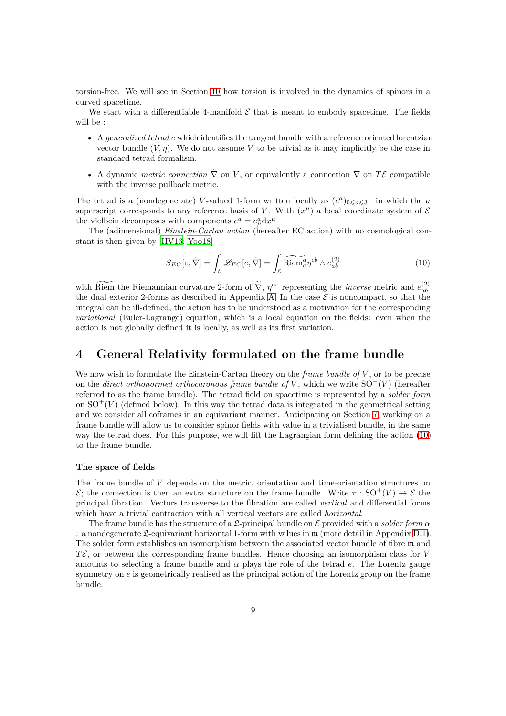torsion-free. We will see in Section [10](#page-30-0) how torsion is involved in the dynamics of spinors in a curved spacetime.

We start with a differentiable 4-manifold  $\mathcal E$  that is meant to embody spacetime. The fields will be :

- A *generalized tetrad e* which identifies the tangent bundle with a reference oriented lorentzian vector bundle  $(V, \eta)$ . We do not assume V to be trivial as it may implicitly be the case in standard tetrad formalism.
- A dynamic *metric connection*  $\tilde{\nabla}$  on *V*, or equivalently a connection  $\nabla$  on  $T\mathcal{E}$  compatible with the inverse pullback metric.

The tetrad is a (nondegenerate) *V*-valued 1-form written locally as  $(e^a)_{0 \leq a \leq 3}$ . in which the *a* superscript corresponds to any reference basis of *V*. With  $(x^{\mu})$  a local coordinate system of  $\mathcal{E}$ the vielbein decomposes with components  $e^a = e^a_\mu dx^\mu$ 

The (adimensional) *Einstein-Cartan action* (hereafter EC action) with no cosmological constant is then given by [\[HV16;](#page-64-0) [Yoo18\]](#page-65-5)

<span id="page-8-1"></span>
$$
S_{EC}[e,\tilde{\nabla}] = \int_{\mathcal{E}} \mathcal{L}_{EC}[e,\tilde{\nabla}] = \int_{\mathcal{E}} \widetilde{\text{Riem}}_c^a \eta^{cb} \wedge e_{ab}^{(2)} \tag{10}
$$

with Riem the Riemannian curvature 2-form of  $\tilde{\nabla}$ ,  $\eta^{ac}$  representing the *inverse* metric and  $e_{ab}^{(2)}$ *ab* the dual exterior 2-forms as described in Appendix [A.](#page-46-0) In the case  $\mathcal E$  is noncompact, so that the integral can be ill-defined, the action has to be understood as a motivation for the corresponding *variational* (Euler-Lagrange) equation, which is a local equation on the fields: even when the action is not globally defined it is locally, as well as its first variation.

# <span id="page-8-0"></span>**4 General Relativity formulated on the frame bundle**

We now wish to formulate the Einstein-Cartan theory on the *frame bundle of V* , or to be precise on the *direct orthonormed orthochronous frame bundle of*  $V$ , which we write  $SO^+(V)$  (hereafter referred to as the frame bundle). The tetrad field on spacetime is represented by a *solder form* on  $SO^+(V)$  (defined below). In this way the tetrad data is integrated in the geometrical setting and we consider all coframes in an equivariant manner. Anticipating on Section [7,](#page-20-0) working on a frame bundle will allow us to consider spinor fields with value in a trivialised bundle, in the same way the tetrad does. For this purpose, we will lift the Lagrangian form defining the action [\(10\)](#page-8-1) to the frame bundle.

#### **The space of fields**

The frame bundle of *V* depends on the metric, orientation and time-orientation structures on  $\mathcal{E}$ ; the connection is then an extra structure on the frame bundle. Write  $\pi$ : SO<sup>+</sup>(*V*)  $\rightarrow$  *E* the principal fibration. Vectors transverse to the fibration are called *vertical* and differential forms which have a trivial contraction with all vertical vectors are called *horizontal*.

The frame bundle has the structure of a  $\mathfrak{L}$ -principal bundle on  $\mathcal E$  provided with a *solder form*  $\alpha$ : a nondegenerate  $\mathfrak{L}$ -equivariant horizontal 1-form with values in  $\mathfrak{m}$  (more detail in Appendix [D.1\)](#page-52-0). The solder form establishes an isomorphism between the associated vector bundle of fibre m and  $T\mathcal{E}$ , or between the corresponding frame bundles. Hence choosing an isomorphism class for *V* amounts to selecting a frame bundle and  $\alpha$  plays the role of the tetrad *e*. The Lorentz gauge symmetry on *e* is geometrically realised as the principal action of the Lorentz group on the frame bundle.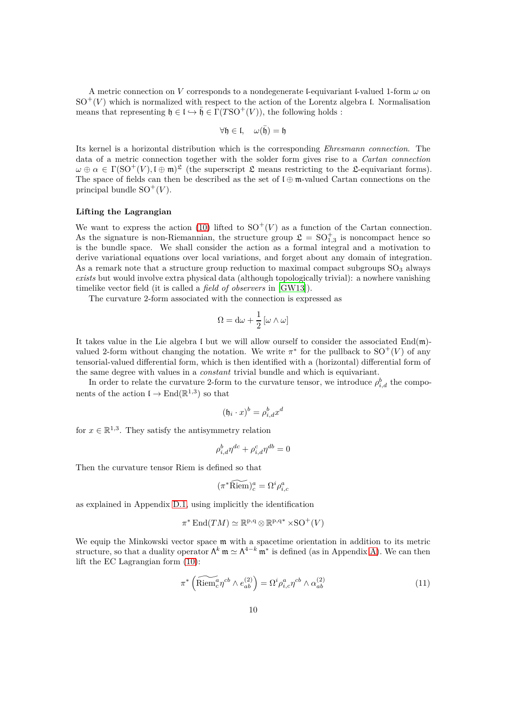A metric connection on *V* corresponds to a nondegenerate l-equivariant l-valued 1-form  $\omega$  on  $SO^+(V)$  which is normalized with respect to the action of the Lorentz algebra l. Normalisation means that representing  $\mathfrak{h} \in \mathfrak{l} \hookrightarrow \overline{\mathfrak{h}} \in \Gamma(T\mathrm{SO}^+(V))$ , the following holds :

$$
\forall \mathfrak{h} \in \mathfrak{l}, \quad \omega(\bar{\mathfrak{h}}) = \mathfrak{h}
$$

Its kernel is a horizontal distribution which is the corresponding *Ehresmann connection*. The data of a metric connection together with the solder form gives rise to a *Cartan connection*  $\omega \oplus \alpha \in \Gamma(\mathrm{SO}^+(V), \mathfrak{l} \oplus \mathfrak{m})^{\mathfrak{L}}$  (the superscript  $\mathfrak L$  means restricting to the  $\mathfrak{L}$ -equivariant forms). The space of fields can then be described as the set of  $\mathfrak{l} \oplus \mathfrak{m}$ -valued Cartan connections on the principal bundle  $SO^+(V)$ .

### **Lifting the Lagrangian**

We want to express the action [\(10\)](#page-8-1) lifted to  $SO^+(V)$  as a function of the Cartan connection. As the signature is non-Riemannian, the structure group  $\mathfrak{L} = SO_{1,3}^+$  is noncompact hence so is the bundle space. We shall consider the action as a formal integral and a motivation to derive variational equations over local variations, and forget about any domain of integration. As a remark note that a structure group reduction to maximal compact subgroups  $SO<sub>3</sub>$  always *exists* but would involve extra physical data (although topologically trivial): a nowhere vanishing timelike vector field (it is called a *field of observers* in [\[GW13\]](#page-64-5)).

The curvature 2-form associated with the connection is expressed as

$$
\Omega = d\omega + \frac{1}{2} [\omega \wedge \omega]
$$

It takes value in the Lie algebra I but we will allow ourself to consider the associated  $\text{End}(\mathfrak{m})$ valued 2-form without changing the notation. We write  $\pi^*$  for the pullback to  $SO^+(V)$  of any tensorial-valued differential form, which is then identified with a (horizontal) differential form of the same degree with values in a *constant* trivial bundle and which is equivariant.

In order to relate the curvature 2-form to the curvature tensor, we introduce  $\rho_{i,d}^b$  the components of the action  $\mathfrak{l} \to \text{End}(\mathbb{R}^{1,3})$  so that

$$
(\mathfrak{h}_i \cdot x)^b = \rho_{i,d}^b x^d
$$

for  $x \in \mathbb{R}^{1,3}$ . They satisfy the antisymmetry relation

$$
\rho_{i,d}^b \eta^{dc} + \rho_{i,d}^c \eta^{db} = 0
$$

Then the curvature tensor Riem is defined so that

$$
(\pi^*\widetilde{\mathrm{Riem}})_c^a = \Omega^i \rho_{i,c}^a
$$

as explained in Appendix [D.1,](#page-52-0) using implicitly the identification

$$
\pi^* \operatorname{End}(TM) \simeq \mathbb{R}^{p,q} \otimes \mathbb{R}^{p,q*} \times SO^+(V)
$$

We equip the Minkowski vector space  $m$  with a spacetime orientation in addition to its metric structure, so that a duality operator  $\Lambda^k$  m  $\simeq \Lambda^{4-k}$  m<sup>\*</sup> is defined (as in Appendix [A\)](#page-46-0). We can then lift the EC Lagrangian form [\(10\)](#page-8-1):

$$
\pi^* \left( \widetilde{\text{Riem}}_c^a \eta^{cb} \wedge e_{ab}^{(2)} \right) = \Omega^i \rho_{i,c}^a \eta^{cb} \wedge \alpha_{ab}^{(2)} \tag{11}
$$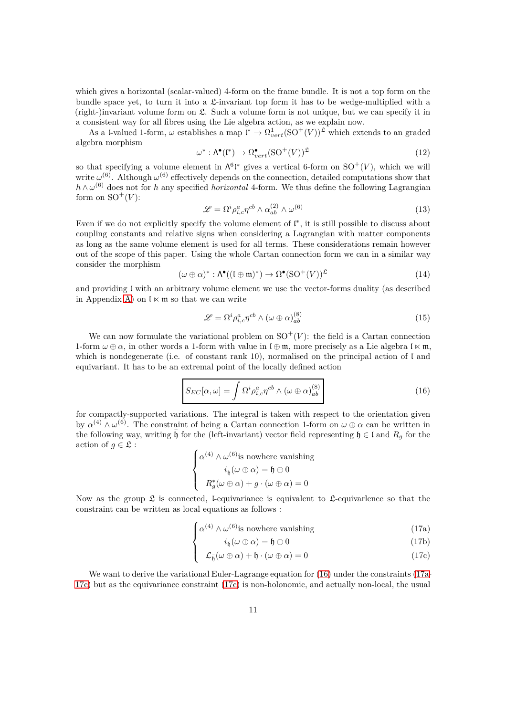which gives a horizontal (scalar-valued) 4-form on the frame bundle. It is not a top form on the bundle space yet, to turn it into a  $\mathfrak{L}$ -invariant top form it has to be wedge-multiplied with a (right-)invariant volume form on  $\mathfrak{L}$ . Such a volume form is not unique, but we can specify it in a consistent way for all fibres using the Lie algebra action, as we explain now.

As a l-valued 1-form,  $\omega$  establishes a map  $\mathfrak{l}^* \to \Omega_{vert}^1(\mathrm{SO}^+(V))^{\mathfrak{L}}$  which extends to an graded algebra morphism

$$
\omega^* : \Lambda^{\bullet}(\mathfrak{l}^*) \to \Omega^{\bullet}_{vert}(\mathrm{SO}^+(V))^{\mathfrak{L}} \tag{12}
$$

so that specifying a volume element in  $\Lambda^6 \mathfrak{l}^*$  gives a vertical 6-form on  $SO^+(V)$ , which we will write  $\omega^{(6)}$ . Although  $\omega^{(6)}$  effectively depends on the connection, detailed computations show that *h* ∧ *ω*<sup>(6)</sup> does not for *h* any specified *horizontal* 4-form. We thus define the following Lagrangian form on  $SO^+(V)$ :

$$
\mathcal{L} = \Omega^i \rho_{i,c}^a \eta^{cb} \wedge \alpha_{ab}^{(2)} \wedge \omega^{(6)} \tag{13}
$$

Even if we do not explicitly specify the volume element of l ∗ , it is still possible to discuss about coupling constants and relative signs when considering a Lagrangian with matter components as long as the same volume element is used for all terms. These considerations remain however out of the scope of this paper. Using the whole Cartan connection form we can in a similar way consider the morphism

$$
(\omega \oplus \alpha)^* : \Lambda^{\bullet}((\mathfrak{l} \oplus \mathfrak{m})^*) \to \Omega^{\bullet}(\mathrm{SO}^+(V))^{\mathfrak{L}} \tag{14}
$$

and providing l with an arbitrary volume element we use the vector-forms duality (as described in Appendix [A\)](#page-46-0) on  $\mathfrak{l} \ltimes \mathfrak{m}$  so that we can write

<span id="page-10-5"></span>
$$
\mathcal{L} = \Omega^i \rho_{i,c}^a \eta^{cb} \wedge (\omega \oplus \alpha)_{ab}^{(8)} \tag{15}
$$

We can now formulate the variational problem on  $SO^+(V)$ : the field is a Cartan connection 1-form  $\omega \oplus \alpha$ , in other words a 1-form with value in  $\mathfrak{l} \oplus \mathfrak{m}$ , more precisely as a Lie algebra  $\mathfrak{l} \ltimes \mathfrak{m}$ , which is nondegenerate (i.e. of constant rank 10), normalised on the principal action of  $\mathfrak l$  and equivariant. It has to be an extremal point of the locally defined action

<span id="page-10-0"></span>
$$
S_{EC}[\alpha,\omega] = \int \Omega^i \rho_{i,c}^a \eta^{cb} \wedge (\omega \oplus \alpha)_{ab}^{(8)}
$$
 (16)

for compactly-supported variations. The integral is taken with respect to the orientation given by  $\alpha^{(4)} \wedge \omega^{(6)}$ . The constraint of being a Cartan connection 1-form on  $\omega \oplus \alpha$  can be written in the following way, writing  $\bar{\mathfrak{h}}$  for the (left-invariant) vector field representing  $\mathfrak{h} \in \mathfrak{l}$  and  $R_g$  for the action of  $g \in \mathfrak{L}$  :

$$
\begin{cases} \alpha^{(4)} \wedge \omega^{(6)} \text{is nowhere vanishing} \\ i_{\bar{b}}(\omega \oplus \alpha) = \mathfrak{h} \oplus 0 \\ R_g^*(\omega \oplus \alpha) + g \cdot (\omega \oplus \alpha) = 0 \end{cases}
$$

Now as the group  $\mathfrak L$  is connected, l-equivariance is equivalent to  $\mathfrak L$ -equivarlence so that the constraint can be written as local equations as follows :

$$
\int \alpha^{(4)} \wedge \omega^{(6)} \text{is nowhere vanishing}
$$
 (17a)  

$$
i_2(\omega \otimes \omega) = b_2 \otimes 0
$$
 (17b)

<span id="page-10-4"></span><span id="page-10-3"></span><span id="page-10-2"></span><span id="page-10-1"></span>
$$
i_{\bar{\mathfrak{h}}}(\omega \oplus \alpha) = \mathfrak{h} \oplus 0 \tag{17b}
$$

$$
\mathcal{L}_{\bar{\mathfrak{h}}}(\omega \oplus \alpha) + \mathfrak{h} \cdot (\omega \oplus \alpha) = 0 \tag{17c}
$$

We want to derive the variational Euler-Lagrange equation for  $(16)$  under the constraints [\(17a-](#page-10-1)[17c\)](#page-10-2) but as the equivariance constraint [\(17c\)](#page-10-2) is non-holonomic, and actually non-local, the usual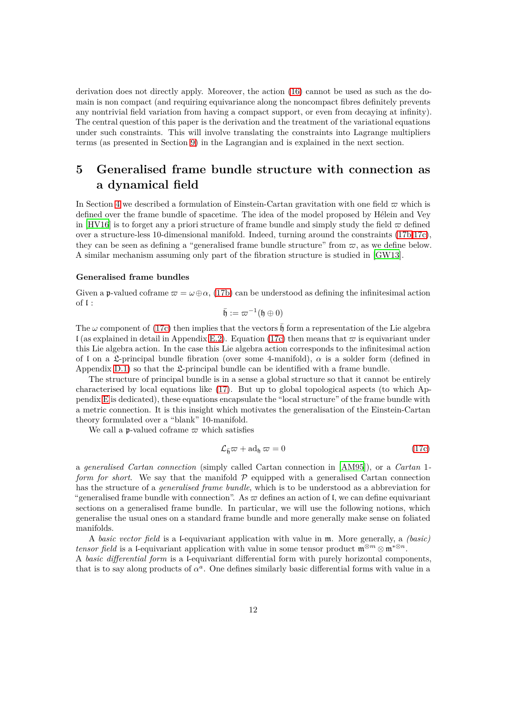derivation does not directly apply. Moreover, the action [\(16\)](#page-10-0) cannot be used as such as the domain is non compact (and requiring equivariance along the noncompact fibres definitely prevents any nontrivial field variation from having a compact support, or even from decaying at infinity). The central question of this paper is the derivation and the treatment of the variational equations under such constraints. This will involve translating the constraints into Lagrange multipliers terms (as presented in Section [9\)](#page-27-0) in the Lagrangian and is explained in the next section.

# <span id="page-11-0"></span>**5 Generalised frame bundle structure with connection as a dynamical field**

In Section [4](#page-8-0) we described a formulation of Einstein-Cartan gravitation with one field  $\varpi$  which is defined over the frame bundle of spacetime. The idea of the model proposed by Hélein and Vey in [\[HV16](#page-64-0)] is to forget any a priori structure of frame bundle and simply study the field  $\sigma$  defined over a structure-less 10-dimensional manifold. Indeed, turning around the constraints [\(17b](#page-10-3)[,17c\)](#page-10-2), they can be seen as defining a "generalised frame bundle structure" from  $\varpi$ , as we define below. A similar mechanism assuming only part of the fibration structure is studied in [\[GW13\]](#page-64-5).

### **Generalised frame bundles**

Given a **p**-valued coframe  $\varpi = \omega \oplus \alpha$ , [\(17b\)](#page-10-3) can be understood as defining the infinitesimal action of l :

$$
\bar{\mathfrak{h}}:=\varpi^{-1}(\mathfrak{h}\oplus 0)
$$

The  $\omega$  component of [\(17c\)](#page-10-2) then implies that the vectors  $\bar{\mathfrak{h}}$  form a representation of the Lie algebra l (as explained in detail in Appendix [E.2\)](#page-58-0). Equation [\(17c\)](#page-10-2) then means that  $\bar{\sigma}$  is equivariant under this Lie algebra action. In the case this Lie algebra action corresponds to the infinitesimal action of l on a L-principal bundle fibration (over some 4-manifold),  $\alpha$  is a solder form (defined in Appendix  $D.1$ ) so that the L-principal bundle can be identified with a frame bundle.

The structure of principal bundle is in a sense a global structure so that it cannot be entirely characterised by local equations like [\(17\)](#page-10-4). But up to global topological aspects (to which Appendix [E](#page-57-1) is dedicated), these equations encapsulate the "local structure" of the frame bundle with a metric connection. It is this insight which motivates the generalisation of the Einstein-Cartan theory formulated over a "blank" 10-manifold.

We call a **p**-valued coframe  $\varpi$  which satisfies

$$
\mathcal{L}_{\bar{\mathfrak{h}}} \varpi + \mathrm{ad}_{\mathfrak{h}} \varpi = 0 \tag{17c}
$$

a *generalised Cartan connection* (simply called Cartan connection in [\[AM95\]](#page-63-4)), or a *Cartan* 1 *form for short*. We say that the manifold  $P$  equipped with a generalised Cartan connection has the structure of a *generalised frame bundle*, which is to be understood as a abbreviation for "generalised frame bundle with connection". As  $\varpi$  defines an action of I, we can define equivariant sections on a generalised frame bundle. In particular, we will use the following notions, which generalise the usual ones on a standard frame bundle and more generally make sense on foliated manifolds.

A *basic vector field* is a l-equivariant application with value in m. More generally, a *(basic) tensor field* is a l-equivariant application with value in some tensor product  $\mathfrak{m}^{\otimes m} \otimes \mathfrak{m}^{*\otimes n}$ .

A *basic differential form* is a l-equivariant differential form with purely horizontal components, that is to say along products of  $\alpha^a$ . One defines similarly basic differential forms with value in a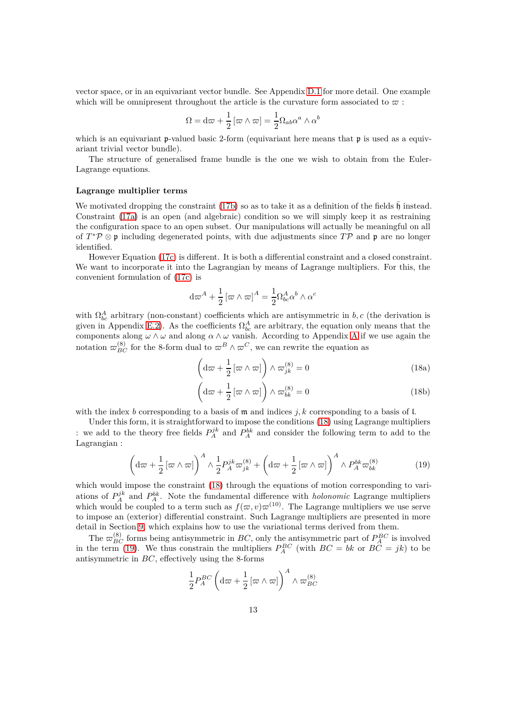vector space, or in an equivariant vector bundle. See Appendix [D.1](#page-52-0) for more detail. One example which will be omnipresent throughout the article is the curvature form associated to  $\varpi$ :

$$
\Omega = \mathrm{d}\varpi + \frac{1}{2} \left[ \varpi \wedge \varpi \right] = \frac{1}{2} \Omega_{ab} \alpha^a \wedge \alpha^b
$$

which is an equivariant **p**-valued basic 2-form (equivariant here means that **p** is used as a equivariant trivial vector bundle).

The structure of generalised frame bundle is the one we wish to obtain from the Euler-Lagrange equations.

#### **Lagrange multiplier terms**

We motivated dropping the constraint [\(17b\)](#page-10-3) so as to take it as a definition of the fields  $\overline{\mathfrak{h}}$  instead. Constraint [\(17a\)](#page-10-1) is an open (and algebraic) condition so we will simply keep it as restraining the configuration space to an open subset. Our manipulations will actually be meaningful on all of *T*<sup>\*</sup> $\mathcal{P}$  ⊗ **p** including degenerated points, with due adjustments since *T* $\mathcal{P}$  and **p** are no longer identified.

However Equation [\(17c\)](#page-10-2) is different. It is both a differential constraint and a closed constraint. We want to incorporate it into the Lagrangian by means of Lagrange multipliers. For this, the convenient formulation of [\(17c\)](#page-10-2) is

$$
d\varpi^A + \frac{1}{2} [\varpi \wedge \varpi]^A = \frac{1}{2} \Omega_{bc}^A \alpha^b \wedge \alpha^c
$$

with  $\Omega_{bc}^A$  arbitrary (non-constant) coefficients which are antisymmetric in *b*, *c* (the derivation is given in Appendix [E.2\)](#page-58-0). As the coefficients  $\Omega_{bc}^A$  are arbitrary, the equation only means that the components along *ω* ∧ *ω* and along *α* ∧ *ω* vanish. According to Appendix [A](#page-46-0) if we use again the notation  $\varpi_{BC}^{(8)}$  for the 8-form dual to  $\varpi^B \wedge \varpi^C$ , we can rewrite the equation as

<span id="page-12-0"></span>
$$
\left(\mathrm{d}\varpi + \frac{1}{2}\left[\varpi \wedge \varpi\right]\right) \wedge \varpi_{jk}^{(8)} = 0\tag{18a}
$$

$$
\left(\mathrm{d}\varpi + \frac{1}{2}\left[\varpi \wedge \varpi\right]\right) \wedge \varpi_{bk}^{(8)} = 0\tag{18b}
$$

with the index *b* corresponding to a basis of m and indices *j, k* corresponding to a basis of l.

Under this form, it is straightforward to impose the conditions [\(18\)](#page-12-0) using Lagrange multipliers : we add to the theory free fields  $P_A^{jk}$  and  $P_A^{bk}$  and consider the following term to add to the Lagrangian :

<span id="page-12-1"></span>
$$
\left(\mathrm{d}\varpi + \frac{1}{2}\left[\varpi \wedge \varpi\right]\right)^{A} \wedge \frac{1}{2} P_{A}^{jk} \varpi_{jk}^{(8)} + \left(\mathrm{d}\varpi + \frac{1}{2}\left[\varpi \wedge \varpi\right]\right)^{A} \wedge P_{A}^{bk} \varpi_{bk}^{(8)} \tag{19}
$$

which would impose the constraint  $(18)$  through the equations of motion corresponding to variations of  $P_A^{jk}$  and  $P_A^{bk}$ . Note the fundamental difference with *holonomic* Lagrange multipliers which would be coupled to a term such as  $f(\varpi, v)\varpi^{(10)}$ . The Lagrange multipliers we use serve to impose an (exterior) differential constraint. Such Lagrange multipliers are presented in more detail in Section [9,](#page-27-0) which explains how to use the variational terms derived from them.

The  $\varpi_{BC}^{(8)}$  forms being antisymmetric in *BC*, only the antisymmetric part of  $P_A^{BC}$  is involved in the term [\(19\)](#page-12-1). We thus constrain the multipliers  $P_A^{BC}$  (with  $BC = bk$  or  $BC = jk$ ) to be antisymmetric in *BC*, effectively using the 8-forms

$$
\frac{1}{2}P_{A}^{BC}\left(\mathrm{d}\varpi+\frac{1}{2}\left[\varpi\wedge\varpi\right]\right)^{A}\wedge\varpi_{BC}^{(8)}
$$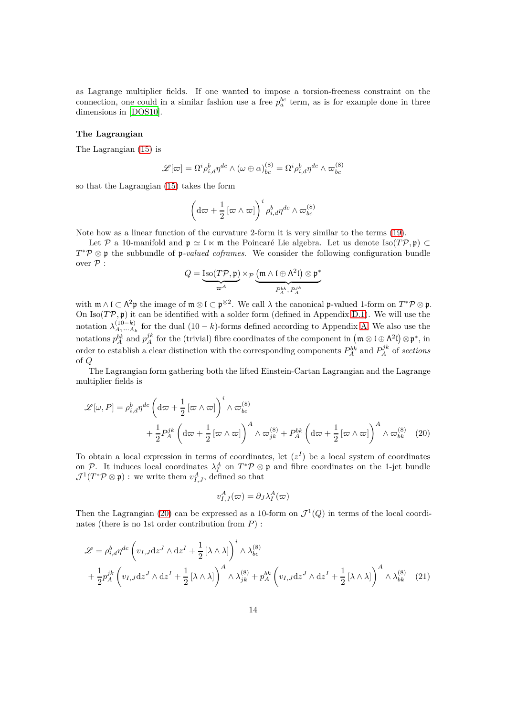as Lagrange multiplier fields. If one wanted to impose a torsion-freeness constraint on the connection, one could in a similar fashion use a free  $p_a^{bc}$  term, as is for example done in three dimensions in [\[DOS10\]](#page-64-6).

#### **The Lagrangian**

The Lagrangian [\(15\)](#page-10-5) is

$$
\mathscr{L}[\varpi] = \Omega^i \rho_{i,d}^b \eta^{dc} \wedge (\omega \oplus \alpha)_{bc}^{(8)} = \Omega^i \rho_{i,d}^b \eta^{dc} \wedge \varpi_{bc}^{(8)}
$$

so that the Lagrangian [\(15\)](#page-10-5) takes the form

$$
\left(\mathrm{d}\varpi + \frac{1}{2}\left[\varpi\wedge\varpi\right]\right)^i \rho_{i,d}^b \eta^{dc} \wedge \varpi_{bc}^{(8)}
$$

Note how as a linear function of the curvature 2-form it is very similar to the terms [\(19\)](#page-12-1).

Let P a 10-manifold and  $\mathfrak{p} \simeq \mathfrak{l} \ltimes \mathfrak{m}$  the Poincaré Lie algebra. Let us denote Iso( $T\mathcal{P}, \mathfrak{p}$ ) ⊂ *T*<sup>\*</sup> $\mathcal{P}$  ⊗ p the subbundle of p-valued coframes. We consider the following configuration bundle over  $\mathcal P$  :

$$
Q = \underbrace{\operatorname{Iso}(T\mathcal{P}, \mathfrak{p})}_{\varpi^A} \times_{\mathcal{P}} \underbrace{\left(\mathfrak{m} \wedge \mathfrak{l} \oplus \Lambda^2 \mathfrak{l}\right) \otimes \mathfrak{p}^*}_{P_A^{bk}, P_A^{jk}}
$$

with  $\mathfrak{m} \wedge \mathfrak{l} \subset \Lambda^2 \mathfrak{p}$  the image of  $\mathfrak{m} \otimes \mathfrak{l} \subset \mathfrak{p}^{\otimes 2}$ . We call  $\lambda$  the canonical  $\mathfrak{p}$ -valued 1-form on  $T^* \mathcal{P} \otimes \mathfrak{p}$ . On Iso( $T\mathcal{P}, \mathfrak{p}$ ) it can be identified with a solder form (defined in Appendix [D.1\)](#page-52-0). We will use the notation  $\lambda_{A_1...A_k}^{(10-k)}$  $A_1^{(10-k)}$  for the dual  $(10-k)$ -forms defined according to Appendix [A.](#page-46-0) We also use the notations  $p_A^{bk}$  and  $p_A^{jk}$  for the (trivial) fibre coordinates of the component in  $(\mathfrak{m} \otimes \mathfrak{l} \oplus \Lambda^2 \mathfrak{l}) \otimes \mathfrak{p}^*$ , in order to establish a clear distinction with the corresponding components  $P_A^{bk}$  and  $P_A^{jk}$  of *sections* of *Q*

The Lagrangian form gathering both the lifted Einstein-Cartan Lagrangian and the Lagrange multiplier fields is

$$
\mathcal{L}[\omega, P] = \rho_{i,d}^b \eta^{dc} \left( d\omega + \frac{1}{2} \left[ \omega \wedge \omega \right] \right)^i \wedge \omega_{bc}^{(8)} + \frac{1}{2} P_A^{jk} \left( d\omega + \frac{1}{2} \left[ \omega \wedge \omega \right] \right)^A \wedge \omega_{jk}^{(8)} + P_A^{bk} \left( d\omega + \frac{1}{2} \left[ \omega \wedge \omega \right] \right)^A \wedge \omega_{bk}^{(8)} \quad (20)
$$

To obtain a local expression in terms of coordinates, let  $(z<sup>I</sup>)$  be a local system of coordinates on P. It induces local coordinates  $\lambda_I^A$  on  $T^*\mathcal{P} \otimes \mathfrak{p}$  and fibre coordinates on the 1-jet bundle  $\mathcal{J}^1(T^*\mathcal{P} \otimes \mathfrak{p})$ : we write them  $v_{I,J}^A$ , defined so that

<span id="page-13-1"></span><span id="page-13-0"></span>
$$
v_{I,J}^A(\varpi) = \partial_J \lambda_I^A(\varpi)
$$

Then the Lagrangian [\(20\)](#page-13-0) can be expressed as a 10-form on  $\mathcal{J}^1(Q)$  in terms of the local coordinates (there is no 1st order contribution from *P*) :

$$
\mathcal{L} = \rho_{i,d}^b \eta^{dc} \left( v_{I,J} \mathrm{d}z^J \wedge \mathrm{d}z^I + \frac{1}{2} \left[ \lambda \wedge \lambda \right] \right)^i \wedge \lambda_{bc}^{(8)}
$$
  
+ 
$$
\frac{1}{2} p_A^{jk} \left( v_{I,J} \mathrm{d}z^J \wedge \mathrm{d}z^I + \frac{1}{2} \left[ \lambda \wedge \lambda \right] \right)^A \wedge \lambda_{jk}^{(8)} + p_A^{bk} \left( v_{I,J} \mathrm{d}z^J \wedge \mathrm{d}z^I + \frac{1}{2} \left[ \lambda \wedge \lambda \right] \right)^A \wedge \lambda_{bk}^{(8)} \tag{21}
$$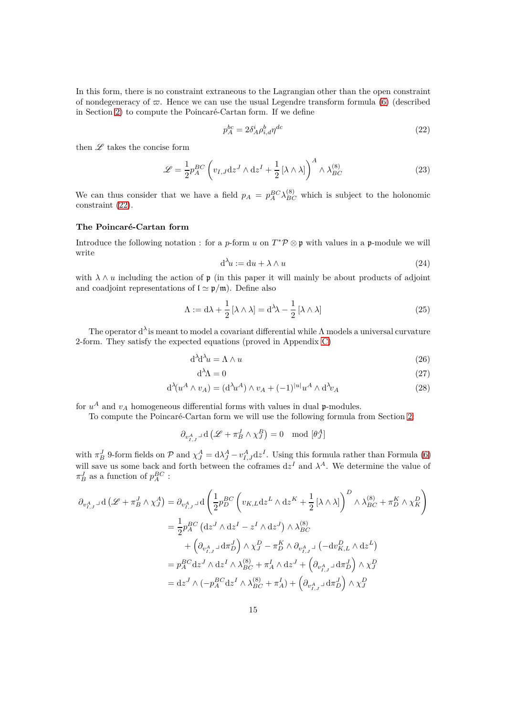In this form, there is no constraint extraneous to the Lagrangian other than the open constraint of nondegeneracy of  $\varpi$ . Hence we can use the usual Legendre transform formula [\(6\)](#page-7-1) (described in Section [2\)](#page-5-0) to compute the Poincaré-Cartan form. If we define

<span id="page-14-0"></span>
$$
p_A^{bc} = 2\delta_A^i \rho_{i,d}^b \eta^{dc} \tag{22}
$$

then  $\mathscr L$  takes the concise form

$$
\mathcal{L} = \frac{1}{2} p_A^{BC} \left( v_{I,J} \mathrm{d} z^J \wedge \mathrm{d} z^I + \frac{1}{2} \left[ \lambda \wedge \lambda \right] \right)^A \wedge \lambda_{BC}^{(8)} \tag{23}
$$

We can thus consider that we have a field  $p_A = p_A^{BC} \lambda_{BC}^{(8)}$  which is subject to the holonomic constraint [\(22\)](#page-14-0).

# **The Poincaré-Cartan form**

Introduce the following notation : for a *p*-form *u* on  $T^*\mathcal{P} \otimes \mathfrak{p}$  with values in a **p**-module we will write

<span id="page-14-1"></span>
$$
d^{\lambda}u := du + \lambda \wedge u \tag{24}
$$

with  $\lambda \wedge u$  including the action of  $\mathfrak p$  (in this paper it will mainly be about products of adjoint and coadjoint representations of  $\ell \simeq \frac{\rho}{m}$ . Define also

$$
\Lambda := d\lambda + \frac{1}{2} [\lambda \wedge \lambda] = d^{\lambda} \lambda - \frac{1}{2} [\lambda \wedge \lambda]
$$
\n(25)

The operator d*<sup>λ</sup>* is meant to model a covariant differential while Λ models a universal curvature 2-form. They satisfy the expected equations (proved in Appendix [C\)](#page-50-0)

$$
d^{\lambda}d^{\lambda}u = \Lambda \wedge u \tag{26}
$$

$$
d^{\lambda}\Lambda = 0 \tag{27}
$$

$$
d^{\lambda}(u^A \wedge v_A) = (d^{\lambda}u^A) \wedge v_A + (-1)^{|u|}u^A \wedge d^{\lambda}v_A \qquad (28)
$$

for  $u^A$  and  $v_A$  homogeneous differential forms with values in dual  $\mathfrak{p}$ -modules.

To compute the Poincaré-Cartan form we will use the following formula from Section [2:](#page-5-0)

$$
\partial_{v^A_{I,J}} \lrcorner \operatorname{d} \left( \mathscr{L} + \pi^J_B \wedge \chi^B_J \right) = 0 \mod [\theta^A_J]
$$

with  $\pi_B^J$  9-form fields on P and  $\chi_J^A = d\lambda_J^A - v_{I,J}^A dz^I$ . Using this formula rather than Formula [\(6\)](#page-7-1) will save us some back and forth between the coframes  $dz^I$  and  $\lambda^A$ . We determine the value of  $\pi_B^J$  as a function of  $p_A^{BC}$  :

$$
\partial_{v_{I,J}^{A}} \mathbf{d} \left( \mathcal{L} + \pi_{B}^{J} \wedge \chi_{J}^{A} \right) = \partial_{v_{I,J}^{A}} \mathbf{d} \left( \frac{1}{2} p_{D}^{BC} \left( v_{K,L} \mathbf{d} z^{L} \wedge \mathbf{d} z^{K} + \frac{1}{2} \left[ \lambda \wedge \lambda \right] \right)^{D} \wedge \lambda_{BC}^{(8)} + \pi_{D}^{K} \wedge \chi_{K}^{D}
$$
\n
$$
= \frac{1}{2} p_{A}^{BC} \left( \mathbf{d} z^{J} \wedge \mathbf{d} z^{I} - z^{I} \wedge \mathbf{d} z^{J} \right) \wedge \lambda_{BC}^{(8)}
$$
\n
$$
+ \left( \partial_{v_{I,J}^{A}} \mathbf{d} \pi_{D}^{J} \right) \wedge \chi_{J}^{D} - \pi_{D}^{K} \wedge \partial_{v_{I,J}^{A}} \mathbf{d} \left( -\mathbf{d} v_{K,L}^{D} \wedge \mathbf{d} z^{L} \right)
$$
\n
$$
= p_{A}^{BC} \mathbf{d} z^{J} \wedge \mathbf{d} z^{I} \wedge \lambda_{BC}^{(8)} + \pi_{A}^{I} \wedge \mathbf{d} z^{J} + \left( \partial_{v_{I,J}^{A}} \mathbf{d} \pi_{D}^{J} \right) \wedge \chi_{J}^{D}
$$
\n
$$
= \mathbf{d} z^{J} \wedge \left( -p_{A}^{BC} \mathbf{d} z^{I} \wedge \lambda_{BC}^{(8)} + \pi_{A}^{I} \right) + \left( \partial_{v_{I,J}^{A}} \mathbf{d} \pi_{D}^{J} \right) \wedge \chi_{J}^{D}
$$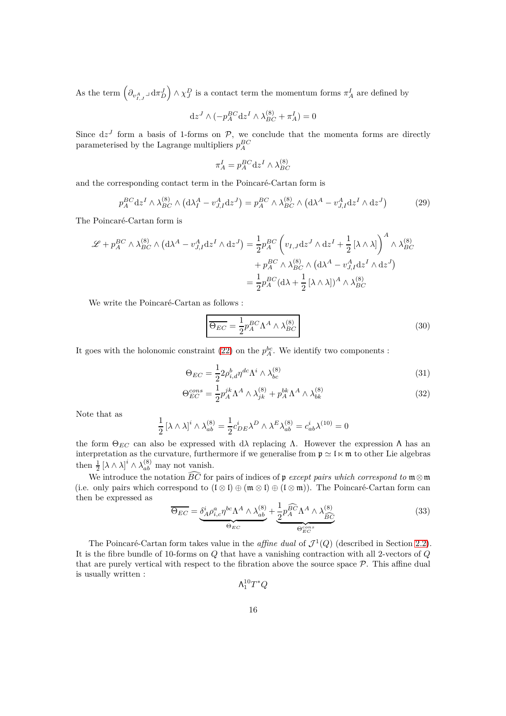As the term  $(\partial_{v_{I,J}^A} \Delta d\pi_D^J) \wedge \chi_J^D$  is a contact term the momentum forms  $\pi_A^I$  are defined by

$$
dzJ \wedge (-p_A^{BC} dzI \wedge \lambda_{BC}^{(8)} + \pi_A^I) = 0
$$

Since  $dz^J$  form a basis of 1-forms on  $P$ , we conclude that the momenta forms are directly parameterised by the Lagrange multipliers  $p_A^{BC}$ 

$$
\pi^I_A = p_A^{BC} \text{d} z^I \wedge \lambda_{BC}^{(8)}
$$

and the corresponding contact term in the Poincaré-Cartan form is

$$
p_A^{BC} dz^I \wedge \lambda_{BC}^{(8)} \wedge (d\lambda_I^A - v_{J,I}^A dz^J) = p_A^{BC} \wedge \lambda_{BC}^{(8)} \wedge (d\lambda^A - v_{J,I}^A dz^I \wedge dz^J)
$$
(29)

The Poincaré-Cartan form is

$$
\mathcal{L} + p_A^{BC} \wedge \lambda_{BC}^{(8)} \wedge (d\lambda^A - v_{J,I}^A dz^I \wedge dz^J) = \frac{1}{2} p_A^{BC} \left( v_{I,J} dz^J \wedge dz^I + \frac{1}{2} [\lambda \wedge \lambda] \right)^A \wedge \lambda_{BC}^{(8)}
$$

$$
+ p_A^{BC} \wedge \lambda_{BC}^{(8)} \wedge (d\lambda^A - v_{J,I}^A dz^I \wedge dz^J)
$$

$$
= \frac{1}{2} p_A^{BC} (d\lambda + \frac{1}{2} [\lambda \wedge \lambda])^A \wedge \lambda_{BC}^{(8)}
$$

We write the Poincaré-Cartan as follows :

<span id="page-15-0"></span>
$$
\overline{\Theta_{EC}} = \frac{1}{2} p_A^{BC} \Lambda^A \wedge \lambda_{BC}^{(8)}
$$
\n(30)

It goes with the holonomic constraint [\(22\)](#page-14-0) on the  $p_A^{bc}$ . We identify two components :

$$
\Theta_{EC} = \frac{1}{2} 2\rho_{i,d}^b \eta^{dc} \Lambda^i \wedge \lambda_{bc}^{(8)} \tag{31}
$$

$$
\Theta_{EC}^{cons} = \frac{1}{2} p_A^{jk} \Lambda^A \wedge \lambda_{jk}^{(8)} + p_A^{bk} \Lambda^A \wedge \lambda_{bk}^{(8)} \tag{32}
$$

Note that as

$$
\frac{1}{2} \left[\lambda \wedge \lambda\right]^i \wedge \lambda_{ab}^{(8)} = \frac{1}{2} c_{DE}^i \lambda^D \wedge \lambda^E \lambda_{ab}^{(8)} = c_{ab}^i \lambda^{(10)} = 0
$$

the form  $\Theta_{EC}$  can also be expressed with dλ replacing Λ. However the expression Λ has an interpretation as the curvature, furthermore if we generalise from  $\mathfrak{p} \simeq \mathfrak{l} \ltimes \mathfrak{m}$  to other Lie algebras then  $\frac{1}{2} [\lambda \wedge \lambda]^{i} \wedge \lambda_{ab}^{(8)}$  may not vanish.

We introduce the notation  $\widehat{BC}$  for pairs of indices of p *except pairs which correspond to*  $\mathfrak{m} \otimes \mathfrak{m}$ (i.e. only pairs which correspond to  $(I \otimes I) \oplus (\mathfrak{m} \otimes I) \oplus (I \otimes \mathfrak{m})$ ). The Poincaré-Cartan form can then be expressed as

$$
\overline{\Theta_{EC}} = \underbrace{\delta_A^i \rho_{i,c}^a \eta^{bc} \Lambda^A \wedge \lambda_{ab}^{(8)}}_{\Theta_{EC}} + \underbrace{\frac{1}{2} p_A^{\widehat{BC}} \Lambda^A \wedge \lambda_{\widehat{BC}}^{(8)}}_{\Theta_{EC}^{cons}} \tag{33}
$$

The Poincaré-Cartan form takes value in the *affine dual* of  $\mathcal{J}^1(Q)$  (described in Section [2.2\)](#page-5-2). It is the fibre bundle of 10-forms on *Q* that have a vanishing contraction with all 2-vectors of *Q* that are purely vertical with respect to the fibration above the source space  $P$ . This affine dual is usually written :

 $\Lambda_1^{10}T^*Q$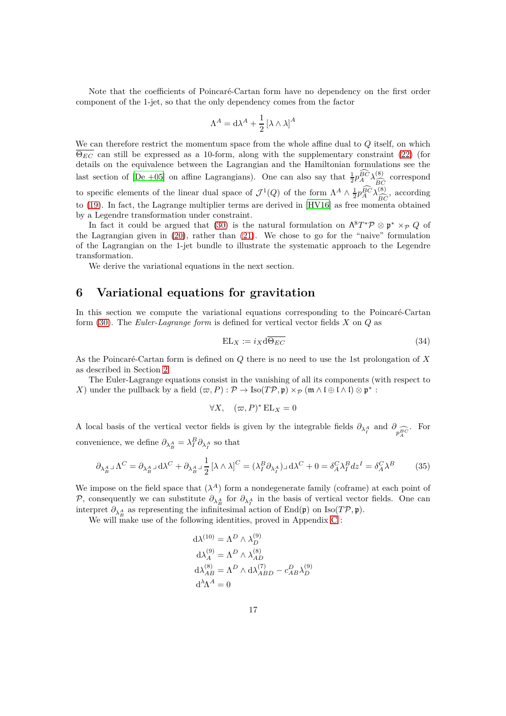Note that the coefficients of Poincaré-Cartan form have no dependency on the first order component of the 1-jet, so that the only dependency comes from the factor

$$
\Lambda^A = \mathrm{d}\lambda^A + \frac{1}{2} \left[ \lambda \wedge \lambda \right]^A
$$

We can therefore restrict the momentum space from the whole affine dual to *Q* itself, on which  $\overline{\Theta_{EC}}$  can still be expressed as a 10-form, along with the supplementary constraint [\(22\)](#page-14-0) (for details on the equivalence between the Lagrangian and the Hamiltonian formulations see the last section of [\[De +05\]](#page-64-7) on affine Lagrangians). One can also say that  $\frac{1}{2}p_A^{\hat{B}\hat{C}}\lambda_{\hat{BC}}^{(8)}$  correspond to specific elements of the linear dual space of  $\mathcal{J}^1(Q)$  of the form  $\Lambda^A \wedge \frac{1}{2} p_A^{\widehat{BC}} \lambda_{\widehat{BC}}^{(8)}$ , according to [\(19\)](#page-12-1). In fact, the Lagrange multiplier terms are derived in [\[HV16](#page-64-0)] as free momenta obtained by a Legendre transformation under constraint.

In fact it could be argued that [\(30\)](#page-15-0) is the natural formulation on  $\Lambda^8 T^* \mathcal{P} \otimes \mathfrak{p}^* \times_{\mathcal{P}} Q$  of the Lagrangian given in [\(20\)](#page-13-0), rather than [\(21\)](#page-13-1). We chose to go for the "naive" formulation of the Lagrangian on the 1-jet bundle to illustrate the systematic approach to the Legendre transformation.

We derive the variational equations in the next section.

# <span id="page-16-0"></span>**6 Variational equations for gravitation**

In this section we compute the variational equations corresponding to the Poincaré-Cartan form [\(30\)](#page-15-0). The *Euler-Lagrange form* is defined for vertical vector fields *X* on *Q* as

$$
EL_X := i_X d\overline{\Theta_{EC}} \tag{34}
$$

As the Poincaré-Cartan form is defined on *Q* there is no need to use the 1st prolongation of *X* as described in Section [2.](#page-5-0)

The Euler-Lagrange equations consist in the vanishing of all its components (with respect to *X*) under the pullback by a field  $(\varpi, P) : \mathcal{P} \to \text{Iso}(T\mathcal{P}, \mathfrak{p}) \times_{\mathcal{P}} (\mathfrak{m} \wedge \mathfrak{l} \oplus \mathfrak{l} \wedge \mathfrak{l}) \otimes \mathfrak{p}^* :$ 

$$
\forall X, \quad (\varpi, P)^* \mathop{\rm EL}_X = 0
$$

A local basis of the vertical vector fields is given by the integrable fields  $\partial_{\lambda_i^A}$  and  $\partial_{\widehat{p}_A^B C}$ . For convenience, we define  $\partial_{\lambda}^A_B = \lambda_I^B \partial_{\lambda_I^A}$  so that

$$
\partial_{\lambda_B^A} \mathbf{1} \Lambda^C = \partial_{\lambda_B^A} \mathbf{1} \, \mathrm{d}\lambda^C + \partial_{\lambda_B^A} \mathbf{1} \frac{1}{2} \left[ \lambda \wedge \lambda \right]^C = \left( \lambda_I^B \partial_{\lambda_I^A} \right) \mathbf{1} \, \mathrm{d}\lambda^C + 0 = \delta_A^C \lambda_I^B \, dz^I = \delta_A^C \lambda^B \tag{35}
$$

We impose on the field space that  $(\lambda^A)$  form a nondegenerate family (coframe) at each point of P, consequently we can substitute  $\partial_{\lambda_A^A}$  for  $\partial_{\lambda_A^A}$  in the basis of vertical vector fields. One can interpret  $\partial_{\lambda_A^A}$  as representing the infinitesimal action of End(p) on Iso(*TP,* p).

We will make use of the following identities, proved in Appendix [C](#page-50-0) :

$$
d\lambda^{(10)} = \Lambda^D \wedge \lambda_D^{(9)}
$$
  
\n
$$
d\lambda_A^{(9)} = \Lambda^D \wedge \lambda_{AD}^{(8)}
$$
  
\n
$$
d\lambda_{AB}^{(8)} = \Lambda^D \wedge d\lambda_{ABD}^{(7)} - c_{AB}^D \lambda_D^{(9)}
$$
  
\n
$$
d^{\lambda} \Lambda^A = 0
$$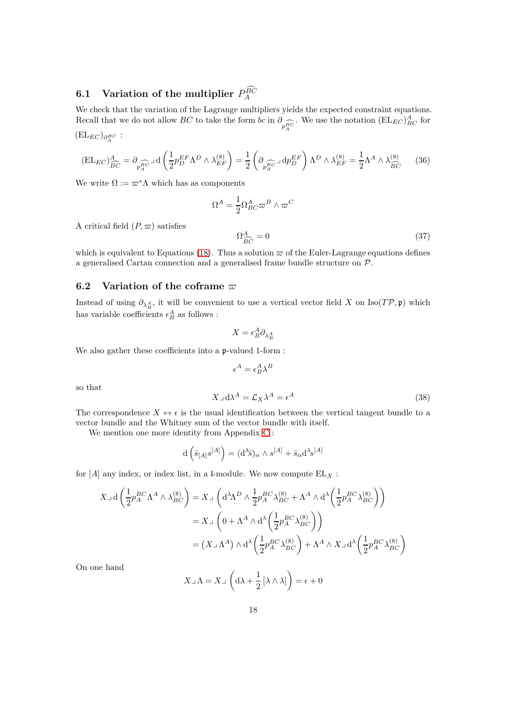# <span id="page-17-0"></span>**6.1** Variation of the multiplier  $P_A^{\widehat{BC}}$

We check that the variation of the Lagrange multipliers yields the expected constraint equations. Recall that we do not allow *BC* to take the form *bc* in  $\partial_{p_A^{\overline{BC}}}$ . We use the notation  $(\mathrm{EL}_{EC})^A_{BC}$  for  $(\mathrm{EL}_{EC})_{\partial^{BC}_{A}}:$ 

<span id="page-17-3"></span>
$$
(\text{EL}_{EC})^A_{\widehat{BC}} = \partial_{p_A^{BC}} \text{d}\left(\frac{1}{2} p_D^{EF} \Lambda^D \wedge \lambda_{EF}^{(8)}\right) = \frac{1}{2} \left(\partial_{p_A^{BC}} \text{d}p_D^{EF}\right) \Lambda^D \wedge \lambda_{EF}^{(8)} = \frac{1}{2} \Lambda^A \wedge \lambda_{\widehat{BC}}^{(8)} \tag{36}
$$

We write  $\Omega := \varpi^* \Lambda$  which has as components

$$
\Omega^A=\frac{1}{2}\Omega^A_{BC}\varpi^B\wedge\varpi^C
$$

A critical field  $(P, \varpi)$  satisfies

<span id="page-17-2"></span>
$$
\Omega_{\widehat{BC}}^A = 0\tag{37}
$$

which is equivalent to Equations [\(18\)](#page-12-0). Thus a solution  $\varpi$  of the Euler-Lagrange equations defines a generalised Cartan connection and a generalised frame bundle structure on P.

# <span id="page-17-1"></span>**6.2** Variation of the coframe  $\varpi$

Instead of using  $\partial_{\lambda_{B}^{A}}$ , it will be convenient to use a vertical vector field *X* on Iso(*TP*,  $\mathfrak{p}$ ) which has variable coefficients  $\epsilon_B^A$  as follows :

$$
X = \epsilon_B^A \partial_{\lambda_B^A}
$$

We also gather these coefficients into a p-valued 1-form :

$$
\epsilon^A = \epsilon^A_B \lambda^B
$$

so that

$$
X \lrcorner \, \mathrm{d}\lambda^A = \mathcal{L}_X \lambda^A = \epsilon^A \tag{38}
$$

The correspondence  $X \leftrightarrow \epsilon$  is the usual identification between the vertical tangent bundle to a vector bundle and the Whitney sum of the vector bundle with itself.

We mention one more identity from Appendix [C](#page-50-0) :

$$
d\left(\bar{s}_{[A]}s^{[A]}\right) = (d^{\lambda}\bar{s})_{\alpha} \wedge s^{[A]} + \bar{s}_{\alpha}d^{\lambda}s^{[A]}
$$

for  $[A]$  any index, or index list, in a l-module. We now compute  $EL_X$ :

$$
X \lrcorner d\left(\frac{1}{2} p_A^{BC} \Lambda^A \wedge \lambda_{BC}^{(8)}\right) = X \lrcorner \left(\mathrm{d}^{\lambda} \Lambda^D \wedge \frac{1}{2} p_A^{BC} \lambda_{BC}^{(8)} + \Lambda^A \wedge \mathrm{d}^{\lambda} \left(\frac{1}{2} p_A^{BC} \lambda_{BC}^{(8)}\right)\right)
$$
  

$$
= X \lrcorner \left(0 + \Lambda^A \wedge \mathrm{d}^{\lambda} \left(\frac{1}{2} p_A^{BC} \lambda_{BC}^{(8)}\right)\right)
$$
  

$$
= (X \lrcorner \Lambda^A) \wedge \mathrm{d}^{\lambda} \left(\frac{1}{2} p_A^{BC} \lambda_{BC}^{(8)}\right) + \Lambda^A \wedge X \lrcorner \mathrm{d}^{\lambda} \left(\frac{1}{2} p_A^{BC} \lambda_{BC}^{(8)}\right)
$$

On one hand

$$
X \lrcorner \Lambda = X \lrcorner \left( d\lambda + \frac{1}{2} \left[ \lambda \wedge \lambda \right] \right) = \epsilon + 0
$$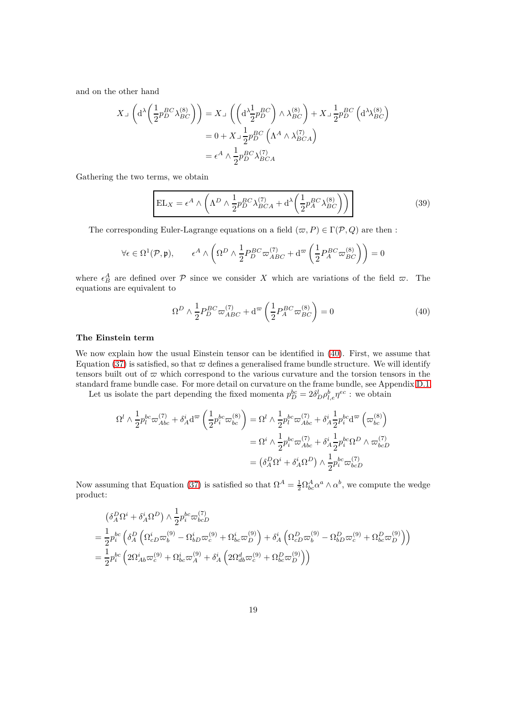and on the other hand

$$
X \lrcorner \left( d^{\lambda} \left( \frac{1}{2} p_{D}^{BC} \lambda_{BC}^{(8)} \right) \right) = X \lrcorner \left( \left( d^{\lambda} \frac{1}{2} p_{D}^{BC} \right) \wedge \lambda_{BC}^{(8)} \right) + X \lrcorner \frac{1}{2} p_{D}^{BC} \left( d^{\lambda} \lambda_{BC}^{(8)} \right)
$$
  
= 0 + X \lrcorner \frac{1}{2} p\_{D}^{BC} \left( \Lambda^{A} \wedge \lambda\_{BCA}^{(7)} \right)  
= \epsilon^{A} \wedge \frac{1}{2} p\_{D}^{BC} \lambda\_{BCA}^{(7)}

Gathering the two terms, we obtain

<span id="page-18-1"></span>
$$
EL_X = \epsilon^A \wedge \left( \Lambda^D \wedge \frac{1}{2} p_D^{BC} \lambda_{BCA}^{(7)} + d^{\lambda} \left( \frac{1}{2} p_A^{BC} \lambda_{BC}^{(8)} \right) \right)
$$
(39)

The corresponding Euler-Lagrange equations on a field  $(\varpi, P) \in \Gamma(\mathcal{P}, Q)$  are then :

$$
\forall \epsilon \in \Omega^1(\mathcal{P}, \mathfrak{p}), \qquad \epsilon^A \wedge \left( \Omega^D \wedge \frac{1}{2} P^{BC}_D \varpi^{(7)}_{ABC} + \mathrm{d}^\varpi \left( \frac{1}{2} P^{BC}_A \varpi^{(8)}_{BC} \right) \right) = 0
$$

where  $\epsilon_B^A$  are defined over  $P$  since we consider X which are variations of the field  $\varpi$ . The equations are equivalent to

<span id="page-18-0"></span>
$$
\Omega^D \wedge \frac{1}{2} P_D^{BC} \varpi_{ABC}^{(7)} + \mathbf{d}^\varpi \left( \frac{1}{2} P_A^{BC} \varpi_{BC}^{(8)} \right) = 0 \tag{40}
$$

#### **The Einstein term**

We now explain how the usual Einstein tensor can be identified in  $(40)$ . First, we assume that Equation [\(37\)](#page-17-2) is satisfied, so that  $\varpi$  defines a generalised frame bundle structure. We will identify tensors built out of  $\varpi$  which correspond to the various curvature and the torsion tensors in the standard frame bundle case. For more detail on curvature on the frame bundle, see Appendix [D.1.](#page-52-0)

Let us isolate the part depending the fixed momenta  $p_D^{bc} = 2\delta_D^l \rho_{l,e}^b \eta^{ec}$  : we obtain

$$
\Omega^l \wedge \frac{1}{2} p_l^{bc} \omega_{Abc}^{(7)} + \delta_A^i \mathbf{d}^{\varpi} \left( \frac{1}{2} p_i^{bc} \omega_{bc}^{(8)} \right) = \Omega^l \wedge \frac{1}{2} p_l^{bc} \omega_{Abc}^{(7)} + \delta_A^i \frac{1}{2} p_i^{bc} \mathbf{d}^{\varpi} \left( \omega_{bc}^{(8)} \right)
$$
  

$$
= \Omega^i \wedge \frac{1}{2} p_i^{bc} \omega_{Abc}^{(7)} + \delta_A^i \frac{1}{2} p_i^{bc} \Omega^D \wedge \omega_{bcD}^{(7)}
$$
  

$$
= \left( \delta_A^D \Omega^i + \delta_A^i \Omega^D \right) \wedge \frac{1}{2} p_i^{bc} \omega_{bcD}^{(7)}
$$

Now assuming that Equation [\(37\)](#page-17-2) is satisfied so that  $\Omega^A = \frac{1}{2} \Omega_{bc}^A \alpha^a \wedge \alpha^b$ , we compute the wedge product:

$$
\begin{split} &\left(\delta^D_A \Omega^i + \delta^i_A \Omega^D\right) \wedge \frac{1}{2} p_i^{bc} \varpi_{bcD}^{(7)}\\ &= \frac{1}{2} p_i^{bc} \left(\delta^D_A \left(\Omega_{cD}^i \varpi_b^{(9)} - \Omega_{bD}^i \varpi_c^{(9)} + \Omega_{bc}^i \varpi_D^{(9)}\right) + \delta^i_A \left(\Omega_{cD}^D \varpi_b^{(9)} - \Omega_{bD}^D \varpi_c^{(9)} + \Omega_{bc}^D \varpi_D^{(9)}\right)\right)\\ &= \frac{1}{2} p_i^{bc} \left(2\Omega_{Ab}^i \varpi_c^{(9)} + \Omega_{bc}^i \varpi_A^{(9)} + \delta^i_A \left(2\Omega_{db}^d \varpi_c^{(9)} + \Omega_{bc}^D \varpi_D^{(9)}\right)\right) \end{split}
$$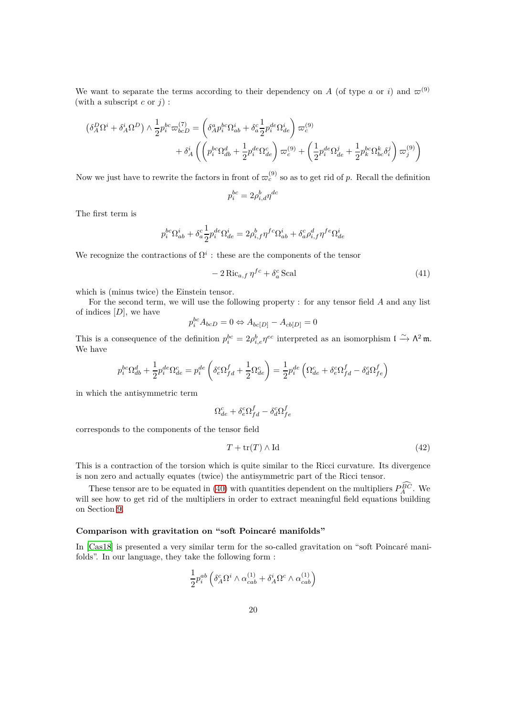We want to separate the terms according to their dependency on *A* (of type *a* or *i*) and  $\varpi^{(9)}$ (with a subscript  $c$  or  $j$ ) :

$$
\begin{split} \left(\delta^D_A\Omega^i + \delta^i_A\Omega^D\right) \wedge \frac{1}{2} p_i^{bc}\varpi^{(7)}_{bcD} &= \left(\delta^a_A p_i^{bc}\Omega^i_{ab} + \delta^c_a \frac{1}{2} p_i^{de}\Omega^i_{de}\right)\varpi^{(9)}_c\\ &\qquad \qquad + \delta^i_A\left(\left(p_i^{bc}\Omega^d_{db} + \frac{1}{2}p_i^{de}\Omega^c_{de}\right)\varpi^{(9)}_c + \left(\frac{1}{2}p_i^{de}\Omega^j_{de} + \frac{1}{2}p_k^{bc}\Omega^k_{bc}\delta^j_i\right)\varpi^{(9)}_j\right) \end{split}
$$

Now we just have to rewrite the factors in front of  $\varpi_c^{(9)}$  so as to get rid of *p*. Recall the definition

$$
p_i^{bc}=2\rho_{i,d}^b\eta^{dc}
$$

The first term is

$$
p_i^{bc} \Omega_{ab}^i + \delta_a^c \frac{1}{2} p_i^{de} \Omega_{de}^i = 2 \rho_{i,f}^b \eta^{fc} \Omega_{ab}^i + \delta_a^c \rho_{i,f}^d \eta^{fe} \Omega_{de}^i
$$

We recognize the contractions of  $\Omega^i$ : these are the components of the tensor

$$
-2 \operatorname{Ric}_{a,f} \eta^{fc} + \delta_a^c \operatorname{Scal} \tag{41}
$$

which is (minus twice) the Einstein tensor.

For the second term, we will use the following property : for any tensor field *A* and any list of indices [*D*], we have

$$
p_i^{bc} A_{bcD} = 0 \Leftrightarrow A_{bc[D]} - A_{cb[D]} = 0
$$

This is a consequence of the definition  $p_i^{bc} = 2\rho_{i,e}^b \eta^{ec}$  interpreted as an isomorphism  $\mathfrak{l} \xrightarrow{\sim} \Lambda^2 \mathfrak{m}$ . We have

$$
p_i^{bc} \Omega_{db}^d + \frac{1}{2} p_i^{de} \Omega_{de}^c = p_i^{de} \left( \delta_e^c \Omega_{fd}^f + \frac{1}{2} \Omega_{de}^c \right) = \frac{1}{2} p_i^{de} \left( \Omega_{de}^c + \delta_e^c \Omega_{fd}^f - \delta_d^c \Omega_{fe}^f \right)
$$

in which the antisymmetric term

$$
\Omega_{de}^{c}+\delta_{e}^{c}\Omega_{fd}^{f}-\delta_{d}^{c}\Omega_{fe}^{f}
$$

corresponds to the components of the tensor field

<span id="page-19-0"></span>
$$
T + \text{tr}(T) \wedge \text{Id} \tag{42}
$$

This is a contraction of the torsion which is quite similar to the Ricci curvature. Its divergence is non zero and actually equates (twice) the antisymmetric part of the Ricci tensor.

These tensor are to be equated in [\(40\)](#page-18-0) with quantities dependent on the multipliers  $P_A^{BC}$ . We will see how to get rid of the multipliers in order to extract meaningful field equations building on Section [9.](#page-27-0)

### **Comparison with gravitation on "soft Poincaré manifolds"**

In [\[Cas18\]](#page-63-5) is presented a very similar term for the so-called gravitation on "soft Poincaré manifolds". In our language, they take the following form :

$$
\frac{1}{2}p_i^{ab}\left(\delta^c_A\Omega^i\wedge\alpha^{(1)}_{cab}+\delta^i_A\Omega^c\wedge\alpha^{(1)}_{cab}\right)
$$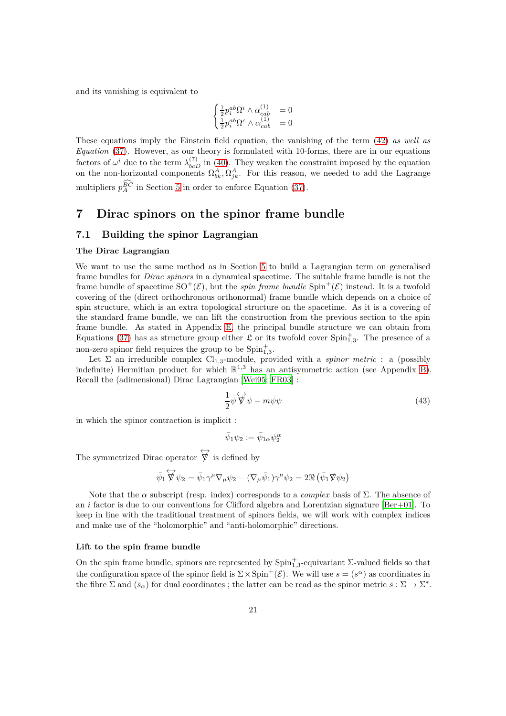and its vanishing is equivalent to

$$
\begin{cases} \frac{1}{2}p_i^{ab}\Omega^i\wedge\alpha_{cab}^{(1)}&=0\\ \frac{1}{2}p_i^{ab}\Omega^c\wedge\alpha_{cab}^{(1)}&=0 \end{cases}
$$

These equations imply the Einstein field equation, the vanishing of the term [\(42\)](#page-19-0) *as well as Equation* [\(37\)](#page-17-2). However, as our theory is formulated with 10-forms, there are in our equations factors of  $\omega^i$  due to the term  $\lambda_{bcD}^{(7)}$  in [\(40\)](#page-18-0). They weaken the constraint imposed by the equation on the non-horizontal components  $\Omega_{bk}^A, \Omega_{jk}^A$ . For this reason, we needed to add the Lagrange multipliers  $p_A^{BC}$  in Section [5](#page-11-0) in order to enforce Equation [\(37\)](#page-17-2).

# <span id="page-20-0"></span>**7 Dirac spinors on the spinor frame bundle**

# <span id="page-20-1"></span>**7.1 Building the spinor Lagrangian**

#### **The Dirac Lagrangian**

We want to use the same method as in Section [5](#page-11-0) to build a Lagrangian term on generalised frame bundles for *Dirac spinors* in a dynamical spacetime. The suitable frame bundle is not the frame bundle of spacetime  $SO^+(\mathcal{E})$ , but the *spin frame bundle*  $Spin^+(\mathcal{E})$  instead. It is a twofold covering of the (direct orthochronous orthonormal) frame bundle which depends on a choice of spin structure, which is an extra topological structure on the spacetime. As it is a covering of the standard frame bundle, we can lift the construction from the previous section to the spin frame bundle. As stated in Appendix [E,](#page-57-1) the principal bundle structure we can obtain from Equations [\(37\)](#page-17-2) has as structure group either  $\mathfrak L$  or its twofold cover  $\text{Spin}_{1,3}^+$ . The presence of a non-zero spinor field requires the group to be  $\text{Spin}_{1,3}^+$ .

Let  $\Sigma$  an irreducible complex  $Cl_{1,3}$ -module, provided with a *spinor metric* : a (possibly indefinite) Hermitian product for which  $\mathbb{R}^{1,3}$  has an antisymmetric action (see Appendix [B\)](#page-47-0). Recall the (adimensional) Dirac Lagrangian [\[Wei95;](#page-65-6) [FR03\]](#page-64-8) :

$$
\frac{1}{2}\bar{\psi}\overleftrightarrow{\nabla}\psi - m\bar{\psi}\psi\tag{43}
$$

in which the spinor contraction is implicit :

$$
\bar\psi_1\psi_2:=\bar\psi_{1\alpha}\psi_2^\alpha
$$

The symmetrized Dirac operator  $\overleftrightarrow{\nabla}$  is defined by

$$
\bar{\psi}_1 \overleftrightarrow{\nabla} \psi_2 = \bar{\psi}_1 \gamma^\mu \nabla_\mu \psi_2 - (\nabla_\mu \bar{\psi}_1) \gamma^\mu \psi_2 = 2 \Re \left( \bar{\psi}_1 \nabla \psi_2 \right)
$$

Note that the  $\alpha$  subscript (resp. index) corresponds to a *complex* basis of  $\Sigma$ . The absence of an *i* factor is due to our conventions for Clifford algebra and Lorentzian signature [\[Ber+01\]](#page-63-6). To keep in line with the traditional treatment of spinors fields, we will work with complex indices and make use of the "holomorphic" and "anti-holomorphic" directions.

#### **Lift to the spin frame bundle**

On the spin frame bundle, spinors are represented by  $\text{Spin}_{1,3}^+$ -equivariant Σ-valued fields so that the configuration space of the spinor field is  $\Sigma \times \text{Spin}^+(\mathcal{E})$ . We will use  $s = (s^\alpha)$  as coordinates in the fibre  $\Sigma$  and  $(\bar{s}_{\alpha})$  for dual coordinates; the latter can be read as the spinor metric  $\bar{s} : \Sigma \to \Sigma^*$ .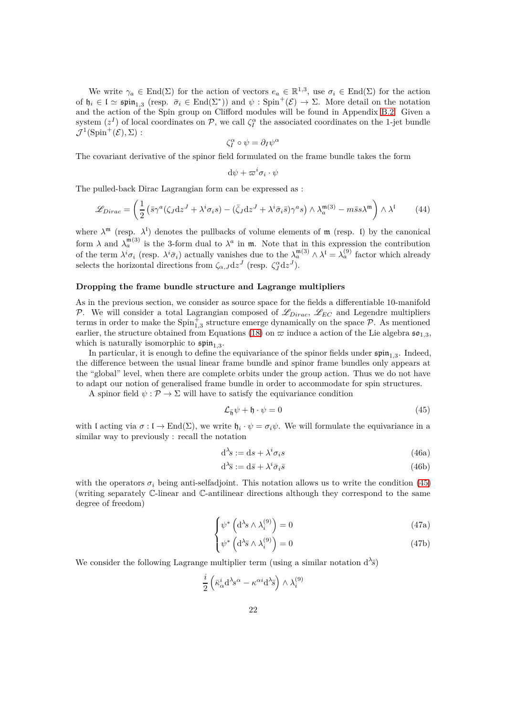We write  $\gamma_a \in \text{End}(\Sigma)$  for the action of vectors  $e_a \in \mathbb{R}^{1,3}$ , use  $\sigma_i \in \text{End}(\Sigma)$  for the action of  $\mathfrak{h}_i \in \mathfrak{l} \simeq \mathfrak{spin}_{1,3}$  (resp.  $\bar{\sigma}_i \in \text{End}(\Sigma^*)$ ) and  $\psi : \text{Spin}^+(\mathcal{E}) \to \Sigma$ . More detail on the notation and the action of the Spin group on Clifford modules will be found in Appendix [B.2.](#page-47-2) Given a system  $(z<sup>I</sup>)$  of local coordinates on  $P$ , we call  $\zeta_I^{\alpha}$  the associated coordinates on the 1-jet bundle  $\mathcal{J}^1(\mathrm{Spin}^+(\mathcal{E}), \Sigma):$ 

$$
\zeta_I^{\alpha} \circ \psi = \partial_I \psi^{\alpha}
$$

The covariant derivative of the spinor field formulated on the frame bundle takes the form

$$
\mathrm{d}\psi+\varpi^i\sigma_i\cdot\psi
$$

The pulled-back Dirac Lagrangian form can be expressed as :

$$
\mathcal{L}_{Dirac} = \left(\frac{1}{2}\left(\bar{s}\gamma^a(\zeta_J \mathrm{d}z^J + \lambda^i \sigma_i s) - (\bar{\zeta}_J \mathrm{d}z^J + \lambda^i \bar{\sigma}_i \bar{s})\gamma^a s\right) \wedge \lambda_a^{\mathfrak{m}(3)} - m\bar{s}s\lambda^{\mathfrak{m}}\right) \wedge \lambda^{\mathfrak{l}} \tag{44}
$$

where  $\lambda^m$  (resp.  $\lambda^l$ ) denotes the pullbacks of volume elements of  $m$  (resp. I) by the canonical form  $\lambda$  and  $\lambda_a^{m(3)}$  is the 3-form dual to  $\lambda^a$  in m. Note that in this expression the contribution of the term  $\lambda^i \sigma_i$  (resp.  $\lambda^i \bar{\sigma}_i$ ) actually vanishes due to the  $\lambda_a^{\mathfrak{m}(3)} \wedge \lambda^{\mathfrak{l}} = \lambda_a^{(9)}$  factor which already selects the horizontal directions from  $\zeta_{\alpha,J} dz^J$  (resp.  $\zeta_J^{\alpha} dz^J$ ).

#### **Dropping the frame bundle structure and Lagrange multipliers**

As in the previous section, we consider as source space for the fields a differentiable 10-manifold P. We will consider a total Lagrangian composed of  $\mathscr{L}_{Dirac}$ ,  $\mathscr{L}_{EC}$  and Legendre multipliers terms in order to make the  $\text{Spin}_{1,3}^+$  structure emerge dynamically on the space  $P$ . As mentioned earlier, the structure obtained from Equations [\(18\)](#page-12-0) on  $\bar{\omega}$  induce a action of the Lie algebra  $\mathfrak{so}_{1,3}$ , which is naturally isomorphic to  $\mathfrak{spin}_{1,3}$ .

In particular, it is enough to define the equivariance of the spinor fields under  $\mathfrak{spin}_{1,3}$ . Indeed, the difference between the usual linear frame bundle and spinor frame bundles only appears at the "global" level, when there are complete orbits under the group action. Thus we do not have to adapt our notion of generalised frame bundle in order to accommodate for spin structures.

A spinor field  $\psi : \mathcal{P} \to \Sigma$  will have to satisfy the equivariance condition

<span id="page-21-0"></span>
$$
\mathcal{L}_{\bar{\mathfrak{h}}}\psi + \mathfrak{h} \cdot \psi = 0 \tag{45}
$$

with l acting via  $\sigma: \mathfrak{l} \to \text{End}(\Sigma)$ , we write  $\mathfrak{h}_i \cdot \psi = \sigma_i \psi$ . We will formulate the equivariance in a similar way to previously : recall the notation

$$
d^{\lambda}s := ds + \lambda^{i}\sigma_{i}s
$$
\n(46a)

$$
d^{\lambda}\bar{s} := d\bar{s} + \lambda^{i}\bar{\sigma}_{i}\bar{s}
$$
 (46b)

with the operators  $\sigma_i$  being anti-selfadjoint. This notation allows us to write the condition [\(45\)](#page-21-0) (writing separately C-linear and C-antilinear directions although they correspond to the same degree of freedom)

$$
\left(\psi^* \left(\mathrm{d}^{\lambda}s \wedge \lambda_i^{(9)}\right) = 0\right) \tag{47a}
$$

$$
\left(\psi^* \left(d^{\lambda} \bar{s} \wedge \lambda_i^{(9)}\right) = 0\right) \tag{47b}
$$

We consider the following Lagrange multiplier term (using a similar notation  $d^{\lambda_{\overline{S}}})$ 

$$
\frac{i}{2}\left(\bar{\kappa}_{\alpha}^{i} \mathrm{d}^{\lambda} \mathrm{s}^{\alpha} - \kappa^{\alpha i} \mathrm{d}^{\lambda} \bar{\mathrm{s}}\right) \wedge \lambda_{i}^{(9)}
$$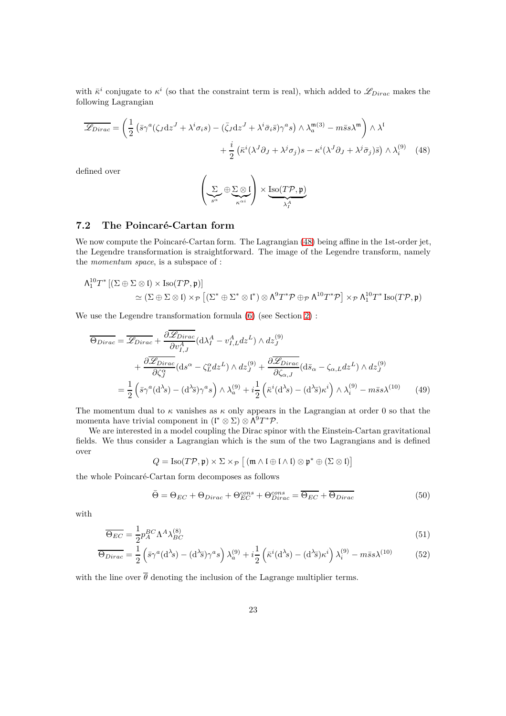with  $\bar{k}^i$  conjugate to  $\kappa^i$  (so that the constraint term is real), which added to  $\mathscr{L}_{Dirac}$  makes the following Lagrangian

$$
\overline{\mathscr{L}_{Dirac}} = \left(\frac{1}{2}\left(\bar{s}\gamma^{a}(\zeta_{J}dz^{J} + \lambda^{i}\sigma_{i}s) - (\bar{\zeta}_{J}dz^{J} + \lambda^{i}\bar{\sigma}_{i}\bar{s})\gamma^{a}s\right) \wedge \lambda_{a}^{\mathfrak{m}(3)} - m\bar{s}s\lambda^{\mathfrak{m}}\right) \wedge \lambda^{i} + \frac{i}{2}\left(\bar{\kappa}^{i}(\lambda^{J}\partial_{J} + \lambda^{j}\sigma_{j})s - \kappa^{i}(\lambda^{J}\partial_{J} + \lambda^{j}\bar{\sigma}_{j})\bar{s}\right) \wedge \lambda_{i}^{(9)} \tag{48}
$$

defined over

<span id="page-22-1"></span>
$$
\left(\underbrace{\Sigma}_{s^{\alpha}} \oplus \underbrace{\Sigma \otimes \mathfrak{l}}_{\kappa^{\alpha i}}\right) \times \underbrace{\mathrm{Iso}(T\mathcal{P}, \mathfrak{p})}_{\lambda^A_I}
$$

# <span id="page-22-0"></span>**7.2 The Poincaré-Cartan form**

We now compute the Poincaré-Cartan form. The Lagrangian [\(48\)](#page-22-1) being affine in the 1st-order jet, the Legendre transformation is straightforward. The image of the Legendre transform, namely the *momentum space*, is a subspace of :

$$
\Lambda_1^{10}T^* \left[ (\Sigma \oplus \Sigma \otimes \mathfrak{l}) \times \mathrm{Iso}(T\mathcal{P}, \mathfrak{p}) \right] \newline \simeq (\Sigma \oplus \Sigma \otimes \mathfrak{l}) \times_{\mathcal{P}} \left[ (\Sigma^* \oplus \Sigma^* \otimes \mathfrak{l}^*) \otimes \Lambda^9 T^* \mathcal{P} \oplus_{\mathcal{P}} \Lambda^{10} T^* \mathcal{P} \right] \times_{\mathcal{P}} \Lambda_1^{10} T^* \mathrm{Iso}(T\mathcal{P}, \mathfrak{p})
$$

We use the Legendre transformation formula  $(6)$  (see Section [2\)](#page-5-0) :

$$
\overline{\Theta_{Dirac}} = \overline{\mathcal{L}_{Dirac}} + \frac{\partial \overline{\mathcal{L}_{Dirac}}}{\partial v_{I,J}^A} (\mathrm{d}\lambda_I^A - v_{I,L}^A dz^L) \wedge dz_J^{(9)} \n+ \frac{\partial \overline{\mathcal{L}_{Dirac}}}{\partial \zeta_J^{\alpha}} (\mathrm{d}s^{\alpha} - \zeta_L^{\alpha} dz^L) \wedge dz_J^{(9)} + \frac{\partial \overline{\mathcal{L}_{Dirac}}}{\partial \zeta_{\alpha,J}} (\mathrm{d}\bar{s}_{\alpha} - \zeta_{\alpha,L} dz^L) \wedge dz_J^{(9)} \n= \frac{1}{2} \left( \bar{s} \gamma^a (\mathrm{d}^{\lambda} s) - (\mathrm{d}^{\lambda} \bar{s}) \gamma^a s \right) \wedge \lambda_a^{(9)} + i \frac{1}{2} \left( \bar{\kappa}^i (\mathrm{d}^{\lambda} s) - (\mathrm{d}^{\lambda} \bar{s}) \kappa^i \right) \wedge \lambda_i^{(9)} - m \bar{s} s \lambda^{(10)} \tag{49}
$$

The momentum dual to *κ* vanishes as *κ* only appears in the Lagrangian at order 0 so that the momenta have trivial component in  $(\mathfrak{l}^* \otimes \Sigma) \otimes \Lambda^9 T^* \mathcal{P}$ .

We are interested in a model coupling the Dirac spinor with the Einstein-Cartan gravitational fields. We thus consider a Lagrangian which is the sum of the two Lagrangians and is defined over

$$
Q = \mathrm{Iso}(T\mathcal{P}, \mathfrak{p}) \times \Sigma \times_{\mathcal{P}} [( \mathfrak{m} \wedge \mathfrak{l} \oplus \mathfrak{l} \wedge \mathfrak{l}) \otimes \mathfrak{p}^* \oplus (\Sigma \otimes \mathfrak{l})]
$$

the whole Poincaré-Cartan form decomposes as follows

<span id="page-22-2"></span>
$$
\bar{\Theta} = \Theta_{EC} + \Theta_{Dirac} + \Theta_{EC}^{cons} + \Theta_{Dirac}^{cons} = \overline{\Theta_{EC}} + \overline{\Theta_{Dirac}}
$$
(50)

with

$$
\overline{\Theta_{EC}} = \frac{1}{2} p_A^{BC} \Lambda^A \lambda_{BC}^{(8)} \tag{51}
$$

$$
\overline{\Theta_{Dirac}} = \frac{1}{2} \left( \bar{s} \gamma^a (d^{\lambda} s) - (d^{\lambda} \bar{s}) \gamma^a s \right) \lambda_a^{(9)} + i \frac{1}{2} \left( \bar{\kappa}^i (d^{\lambda} s) - (d^{\lambda} \bar{s}) \kappa^i \right) \lambda_i^{(9)} - m \bar{s} s \lambda^{(10)} \tag{52}
$$

with the line over  $\overline{\theta}$  denoting the inclusion of the Lagrange multiplier terms.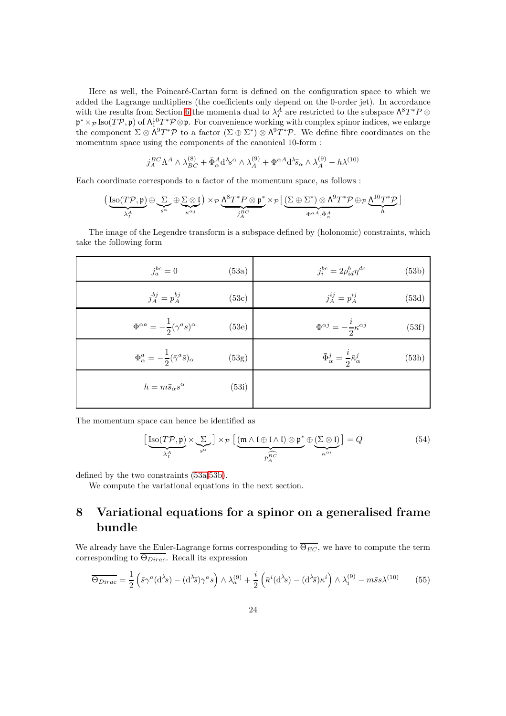Here as well, the Poincaré-Cartan form is defined on the configuration space to which we added the Lagrange multipliers (the coefficients only depend on the 0-order jet). In accordance with the results from Section [6](#page-16-0) the momenta dual to  $\lambda_I^A$  are restricted to the subspace  $\Lambda^8 T^* P \otimes \Lambda^4 T^* P$  $\mathfrak{p}^* \times_{\mathcal{P}} \text{Iso}(T\mathcal{P}, \mathfrak{p})$  of  $\Lambda_1^{10} T^* \mathcal{P} \otimes \mathfrak{p}$ . For convenience working with complex spinor indices, we enlarge the component  $\Sigma \otimes \Lambda^9 T^* \mathcal{P}$  to a factor  $(\Sigma \oplus \Sigma^*) \otimes \Lambda^9 T^* \mathcal{P}$ . We define fibre coordinates on the momentum space using the components of the canonical 10-form :

<span id="page-23-2"></span>
$$
j_A^{BC}\Lambda^A\wedge \lambda_{BC}^{(8)}+\bar\Phi^A_{\alpha}{\rm d}^\lambda s^\alpha\wedge \lambda_A^{(9)}+\Phi^{\alpha A}{\rm d}^\lambda\bar s_\alpha\wedge \lambda_A^{(9)}-h\lambda^{(10)}
$$

Each coordinate corresponds to a factor of the momentum space, as follows :

$$
\Big(\underbrace{\mathrm{Iso}(T\mathcal{P}, \mathfrak{p})}_{\lambda^A_I} \oplus \underbrace{\Sigma}_{s^\alpha} \oplus \underbrace{\Sigma \otimes \mathfrak{l}}_{\kappa^{\alpha j}}\Big) \times_{\mathcal{P}} \underbrace{\Lambda^8 T^* \mathcal{P} \otimes \mathfrak{p}^*}_{j^R_A^G} \times_{\mathcal{P}} \big[\underbrace{(\Sigma \oplus \Sigma^*) \otimes \Lambda^9 T^* \mathcal{P}}_{\Phi^{\alpha A}, \bar{\Phi}^A_\alpha} \oplus_{\mathcal{P}} \underbrace{\Lambda^{10} T^* \mathcal{P}}_{h}\big]
$$

The image of the Legendre transform is a subspace defined by (holonomic) constraints, which take the following form

<span id="page-23-1"></span>

| $j_a^{bc}=0$                                                       | (53a) | $j_i^{bc} = 2\rho_{id}^b \eta^{dc}$<br>(53b)                            |       |
|--------------------------------------------------------------------|-------|-------------------------------------------------------------------------|-------|
| $j_A^{bj} = p_A^{bj}$                                              | (53c) | $j_A^{ij} = p_A^{ij}$<br>(53d)                                          |       |
| $\Phi^{\alpha a} = -\frac{1}{2} (\gamma^a s)^{\alpha}$             | (53e) | $\Phi^{\alpha j} = -\frac{i}{2} \kappa^{\alpha j}$                      | (53f) |
| $\bar{\Phi}^a_\alpha = -\frac{1}{2}(\bar{\gamma}^a\bar{s})_\alpha$ | (53g) | $\bar{\Phi}^j_\alpha = \frac{\imath}{2} \bar{\kappa}^j_\alpha$<br>(53h) |       |
| $h = m\bar{s}_{\alpha}s^{\alpha}$                                  | (53i) |                                                                         |       |
|                                                                    |       |                                                                         |       |

The momentum space can hence be identified as

$$
\left[\underbrace{\text{Iso}(T\mathcal{P}, \mathfrak{p})}_{\lambda_I^A} \times \underbrace{\Sigma}_{s^{\alpha}}\right] \times_{\mathcal{P}} \left[\underbrace{(\mathfrak{m} \wedge \mathfrak{l} \oplus \mathfrak{l} \wedge \mathfrak{l}) \otimes \mathfrak{p}^*}_{p_A^{BC}} \oplus \underbrace{(\Sigma \otimes \mathfrak{l})}_{\kappa^{\alpha i}}\right] = Q \tag{54}
$$

defined by the two constraints [\(53a,](#page-23-1)[53b\)](#page-23-2).

We compute the variational equations in the next section.

# <span id="page-23-0"></span>**8 Variational equations for a spinor on a generalised frame bundle**

We already have the Euler-Lagrange forms corresponding to  $\overline{\Theta_{EC}}$ , we have to compute the term corresponding to Θ*Dirac*. Recall its expression

$$
\overline{\Theta_{Dirac}} = \frac{1}{2} \left( \bar{s} \gamma^a (d^{\lambda} s) - (d^{\lambda} \bar{s}) \gamma^a s \right) \wedge \lambda_a^{(9)} + \frac{i}{2} \left( \bar{\kappa}^i (d^{\lambda} s) - (d^{\lambda} \bar{s}) \kappa^i \right) \wedge \lambda_i^{(9)} - m \bar{s} s \lambda^{(10)} \tag{55}
$$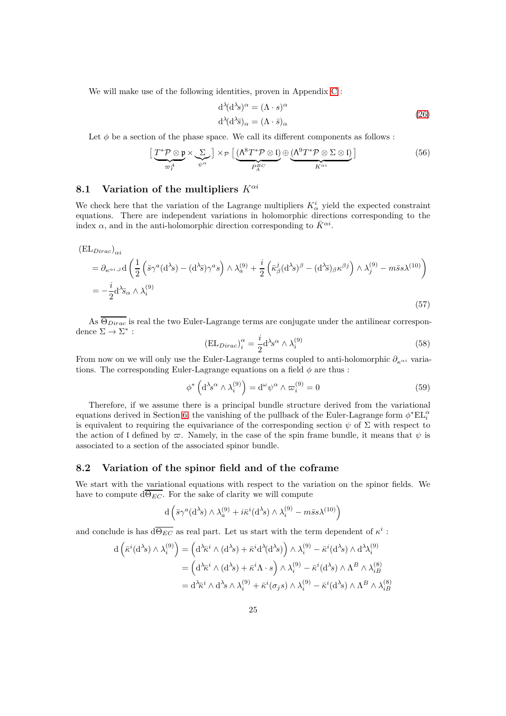We will make use of the following identities, proven in Appendix [C](#page-50-0) :

$$
d^{\lambda}(d^{\lambda}s)^{\alpha} = (\Lambda \cdot s)^{\alpha}
$$
  
\n
$$
d^{\lambda}(d^{\lambda}\bar{s})_{\alpha} = (\Lambda \cdot \bar{s})_{\alpha}
$$
\n(26)

Let  $\phi$  be a section of the phase space. We call its different components as follows :

$$
\left[\underbrace{T^*\mathcal{P}\otimes\mathfrak{p}}_{\varpi_i^A}\times\underbrace{\Sigma}_{\psi^{\alpha}}\right]\times_{\mathcal{P}}\left[\underbrace{(\Lambda^8T^*\mathcal{P}\otimes\mathfrak{l})}_{P_A^{BC}}\oplus\underbrace{(\Lambda^9T^*\mathcal{P}\otimes\Sigma\otimes\mathfrak{l})}_{K^{\alpha i}}\right]
$$
(56)

# <span id="page-24-0"></span>**8.1 Variation of the multipliers** *Kαi*

We check here that the variation of the Lagrange multipliers  $K^i_\alpha$  yield the expected constraint equations. There are independent variations in holomorphic directions corresponding to the index  $\alpha$ , and in the anti-holomorphic direction corresponding to  $\bar{K}^{\alpha i}$ .

$$
\begin{split} \left(\mathbf{EL}_{Dirac}\right)_{\alpha i} \\ &= \partial_{\kappa^{\alpha i}} \mathbf{d} \left( \frac{1}{2} \left( \bar{s} \gamma^{a} (\mathbf{d}^{\lambda} s) - (\mathbf{d}^{\lambda} \bar{s}) \gamma^{a} s \right) \wedge \lambda_{a}^{(9)} + \frac{i}{2} \left( \bar{\kappa}_{\beta}^{j} (\mathbf{d}^{\lambda} s)^{\beta} - (\mathbf{d}^{\lambda} \bar{s})_{\beta} \kappa^{\beta j} \right) \wedge \lambda_{j}^{(9)} - m \bar{s} s \lambda^{(10)} \right) \\ &= -\frac{i}{2} \mathbf{d}^{\lambda} \bar{s}_{\alpha} \wedge \lambda_{i}^{(9)} \end{split} \tag{57}
$$

As  $\overline{\Theta_{Dirac}}$  is real the two Euler-Lagrange terms are conjugate under the antilinear correspondence  $\Sigma \to \Sigma^*$ :

<span id="page-24-2"></span>
$$
(\text{EL}_{Dirac})_i^\alpha = \frac{i}{2} \mathrm{d}^\lambda s^\alpha \wedge \lambda_i^{(9)} \tag{58}
$$

From now on we will only use the Euler-Lagrange terms coupled to anti-holomorphic *∂καi* variations. The corresponding Euler-Lagrange equations on a field  $\phi$  are thus :

$$
\phi^* \left( \mathrm{d}^{\lambda} s^{\alpha} \wedge \lambda_i^{(9)} \right) = \mathrm{d}^{\omega} \psi^{\alpha} \wedge \varpi_i^{(9)} = 0 \tag{59}
$$

Therefore, if we assume there is a principal bundle structure derived from the variational equations derived in Section [6,](#page-16-0) the vanishing of the pullback of the Euler-Lagrange form  $\phi^* \text{EL}_i^{\alpha}$ is equivalent to requiring the equivariance of the corresponding section  $\psi$  of  $\Sigma$  with respect to the action of I defined by  $\varpi$ . Namely, in the case of the spin frame bundle, it means that  $\psi$  is associated to a section of the associated spinor bundle.

### <span id="page-24-1"></span>**8.2 Variation of the spinor field and of the coframe**

We start with the variational equations with respect to the variation on the spinor fields. We have to compute  $d\overline{\Theta_{EC}}$ . For the sake of clarity we will compute

$$
\mathrm{d}\left(\bar{s}\gamma^a(\mathrm{d}^\lambda s)\wedge\lambda_a^{(9)}+i\bar{\kappa}^i(\mathrm{d}^\lambda s)\wedge\lambda_i^{(9)}-m\bar{s}s\lambda^{(10)}\right)
$$

and conclude is has  $d\overline{\Theta_{EC}}$  as real part. Let us start with the term dependent of  $\kappa^i$ :

$$
d\left(\bar{\kappa}^{i}(d^{3}s) \wedge \lambda_{i}^{(9)}\right) = \left(d^{3}\bar{\kappa}^{i} \wedge (d^{3}s) + \bar{\kappa}^{i}d^{3}(d^{3}s)\right) \wedge \lambda_{i}^{(9)} - \bar{\kappa}^{i}(d^{3}s) \wedge d^{3}\lambda_{i}^{(9)}
$$

$$
= \left(d^{3}\bar{\kappa}^{i} \wedge (d^{3}s) + \bar{\kappa}^{i}\Lambda \cdot s\right) \wedge \lambda_{i}^{(9)} - \bar{\kappa}^{i}(d^{3}s) \wedge \Lambda^{B} \wedge \lambda_{i}^{(8)}
$$

$$
= d^{3}\bar{\kappa}^{i} \wedge d^{3}s \wedge \lambda_{i}^{(9)} + \bar{\kappa}^{i}(\sigma_{j}s) \wedge \lambda_{i}^{(9)} - \bar{\kappa}^{i}(d^{3}s) \wedge \Lambda^{B} \wedge \lambda_{i}^{(8)}
$$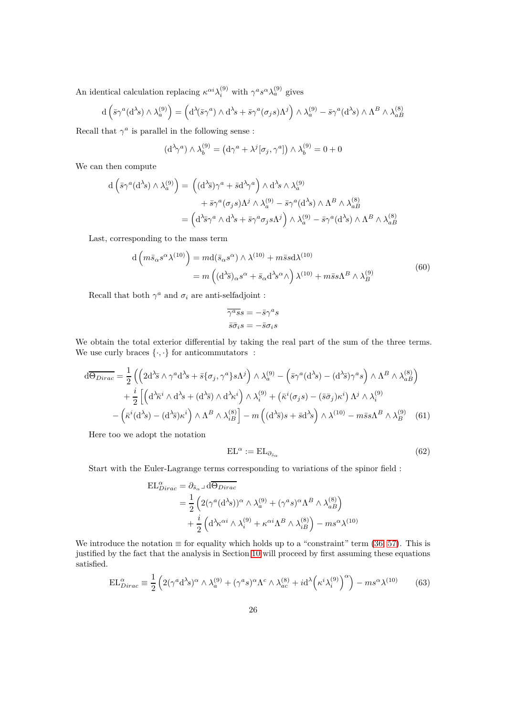An identical calculation replacing  $\kappa^{\alpha i} \lambda_i^{(9)}$  with  $\gamma^a s^{\alpha} \lambda_a^{(9)}$  gives

$$
d\left(\bar{s}\gamma^a(d^{\lambda}s)\wedge\lambda_a^{(9)}\right) = \left(d^{\lambda}(\bar{s}\gamma^a)\wedge d^{\lambda}s + \bar{s}\gamma^a(\sigma_j s)\Lambda^j\right)\wedge\lambda_a^{(9)} - \bar{s}\gamma^a(d^{\lambda}s)\wedge\Lambda^B\wedge\lambda_{aB}^{(8)}
$$

Recall that  $\gamma^a$  is parallel in the following sense :

$$
(\mathrm{d}^{\lambda}\gamma^{a})\wedge\lambda_{b}^{(9)} = (\mathrm{d}\gamma^{a} + \lambda^{j}[\sigma_{j},\gamma^{a}])\wedge\lambda_{b}^{(9)} = 0 + 0
$$

We can then compute

$$
d\left(\bar{s}\gamma^{a}(d^{3}s) \wedge \lambda_{a}^{(9)}\right) = \left((d^{3}\bar{s})\gamma^{a} + \bar{s}d^{3}\gamma^{a}\right) \wedge d^{3}s \wedge \lambda_{a}^{(9)} + \bar{s}\gamma^{a}(\sigma_{j}s)\Lambda^{j} \wedge \lambda_{a}^{(9)} - \bar{s}\gamma^{a}(d^{3}s) \wedge \Lambda^{B} \wedge \lambda_{aB}^{(8)} = \left(d^{3}\bar{s}\gamma^{a} \wedge d^{3}s + \bar{s}\gamma^{a}\sigma_{j}s\Lambda^{j}\right) \wedge \lambda_{a}^{(9)} - \bar{s}\gamma^{a}(d^{3}s) \wedge \Lambda^{B} \wedge \lambda_{aB}^{(8)}
$$

Last, corresponding to the mass term

$$
d\left(m\bar{s}_{\alpha}s^{\alpha}\lambda^{(10)}\right) = md(\bar{s}_{\alpha}s^{\alpha})\wedge\lambda^{(10)} + m\bar{s}s d\lambda^{(10)}= m\left((d^{\lambda}\bar{s})_{\alpha}s^{\alpha} + \bar{s}_{\alpha}d^{\lambda}s^{\alpha}\wedge\right)\lambda^{(10)} + m\bar{s}s\Lambda^{B}\wedge\lambda^{(9)}_{B}
$$
(60)

Recall that both  $\gamma^a$  and  $\sigma_i$  are anti-selfadjoint :

$$
\overline{\gamma^a s} s = -\overline{s} \gamma^a s
$$

$$
\overline{s} \overline{\sigma}_i s = -\overline{s} \sigma_i s
$$

We obtain the total exterior differential by taking the real part of the sum of the three terms. We use curly braces  $\{\cdot,\cdot\}$  for anticommutators :

$$
d\overline{\Theta_{Dirac}} = \frac{1}{2} \left( \left( 2d^{\lambda}\overline{s} \wedge \gamma^{a} d^{\lambda}s + \overline{s} \{\sigma_{j}, \gamma^{a}\} s\Lambda^{j} \right) \wedge \lambda_{a}^{(9)} - \left( \overline{s} \gamma^{a} (d^{\lambda}s) - (d^{\lambda}\overline{s}) \gamma^{a} s \right) \wedge \Lambda^{B} \wedge \lambda_{a}^{(8)} \right) + \frac{i}{2} \left[ \left( d^{\lambda}\overline{\kappa}^{i} \wedge d^{\lambda}s + (d^{\lambda}\overline{s}) \wedge d^{\lambda}\overline{\kappa}^{i} \right) \wedge \lambda_{i}^{(9)} + \left( \overline{\kappa}^{i} (\sigma_{j}s) - (\overline{s}\sigma_{j}) \overline{\kappa}^{i} \right) \Lambda^{j} \wedge \lambda_{i}^{(9)} \right. - \left( \overline{\kappa}^{i} (d^{\lambda}s) - (d^{\lambda}\overline{s}) \overline{\kappa}^{i} \right) \wedge \Lambda^{B} \wedge \lambda_{iB}^{(8)} \right] - m \left( (d^{\lambda}\overline{s})s + \overline{s} d^{\lambda}s \right) \wedge \lambda^{(10)} - m\overline{s}s\Lambda^{B} \wedge \lambda_{B}^{(9)} \tag{61}
$$

Here too we adopt the notation

$$
EL^{\alpha} := EL_{\partial_{\bar{s}_{\alpha}}} \tag{62}
$$

Start with the Euler-Lagrange terms corresponding to variations of the spinor field :

$$
\begin{split} \mathrm{EL}^{\alpha}_{Dirac} &= \partial_{\bar{s}_{\alpha}} \lrcorner \, \mathrm{d}\overline{\Theta_{Dirac}} \\ &= \frac{1}{2} \left( 2(\gamma^a (\mathrm{d}^{\lambda} s))^{\alpha} \wedge \lambda_a^{(9)} + (\gamma^a s)^{\alpha} \Lambda^B \wedge \lambda_{aB}^{(8)} \right) \\ &+ \frac{i}{2} \left( \mathrm{d}^{\lambda} \kappa^{\alpha i} \wedge \lambda_i^{(9)} + \kappa^{\alpha i} \Lambda^B \wedge \lambda_{iB}^{(8)} \right) - m s^{\alpha} \lambda^{(10)} \end{split}
$$

We introduce the notation  $\equiv$  for equality which holds up to a "constraint" term [\(36,](#page-17-3) [57\)](#page-24-2). This is justified by the fact that the analysis in Section [10](#page-30-0) will proceed by first assuming these equations satisfied.

$$
EL_{Dirac}^{\alpha} \equiv \frac{1}{2} \left( 2(\gamma^a \mathrm{d}^{\lambda} s)^{\alpha} \wedge \lambda_a^{(9)} + (\gamma^a s)^{\alpha} \Lambda^c \wedge \lambda_{ac}^{(8)} + i \mathrm{d}^{\lambda} \left( \kappa^i \lambda_i^{(9)} \right)^{\alpha} \right) - m s^{\alpha} \lambda^{(10)} \tag{63}
$$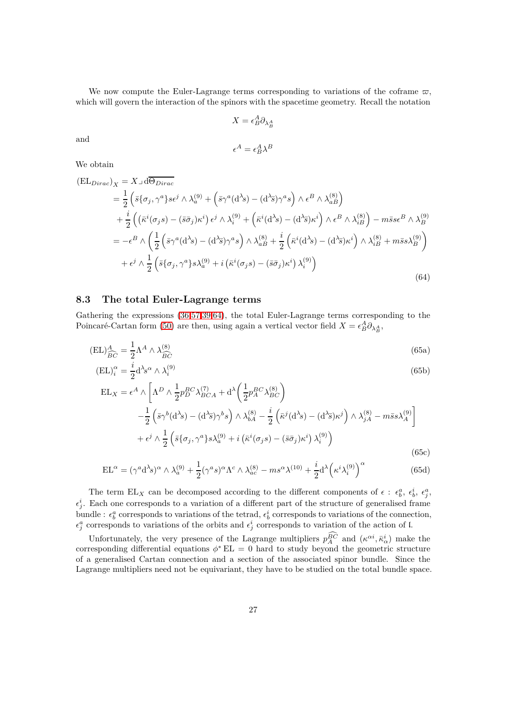We now compute the Euler-Lagrange terms corresponding to variations of the coframe  $\bar{\omega}$ , which will govern the interaction of the spinors with the spacetime geometry. Recall the notation

$$
X=\epsilon_B^A\partial_{\lambda_B^A}
$$

and

<span id="page-26-6"></span><span id="page-26-3"></span><span id="page-26-2"></span>
$$
\epsilon^A = \epsilon^A_B \lambda^B
$$

We obtain

<span id="page-26-1"></span>
$$
\begin{split} \left(\mathbf{E}\mathbf{L}_{Dirac}\right)_{X} &= X \lrcorner \, \mathrm{d}\overline{\Theta_{Dirac}}\\ &= \frac{1}{2} \left( \bar{s} \{ \sigma_{j}, \gamma^{a} \} s \epsilon^{j} \wedge \lambda_{a}^{(9)} + \left( \bar{s} \gamma^{a} (\mathrm{d}^{\lambda} s) - (\mathrm{d}^{\lambda} \bar{s}) \gamma^{a} s \right) \wedge \epsilon^{B} \wedge \lambda_{aB}^{(8)} \right) \\ &+ \frac{i}{2} \left( \left( \bar{\kappa}^{i} (\sigma_{j} s) - (\bar{s} \bar{\sigma}_{j}) \kappa^{i} \right) \epsilon^{j} \wedge \lambda_{i}^{(9)} + \left( \bar{\kappa}^{i} (\mathrm{d}^{\lambda} s) - (\mathrm{d}^{\lambda} \bar{s}) \kappa^{i} \right) \wedge \epsilon^{B} \wedge \lambda_{iB}^{(8)} \right) - m \bar{s} s \epsilon^{B} \wedge \lambda_{B}^{(9)}\\ &= -\epsilon^{B} \wedge \left( \frac{1}{2} \left( \bar{s} \gamma^{a} (\mathrm{d}^{\lambda} s) - (\mathrm{d}^{\lambda} \bar{s}) \gamma^{a} s \right) \wedge \lambda_{aB}^{(8)} + \frac{i}{2} \left( \bar{\kappa}^{i} (\mathrm{d}^{\lambda} s) - (\mathrm{d}^{\lambda} \bar{s}) \kappa^{i} \right) \wedge \lambda_{iB}^{(8)} + m \bar{s} s \lambda_{B}^{(9)} \right) \\ &+ \epsilon^{j} \wedge \frac{1}{2} \left( \bar{s} \{ \sigma_{j}, \gamma^{a} \} s \lambda_{a}^{(9)} + i \left( \bar{\kappa}^{i} (\sigma_{j} s) - (\bar{s} \bar{\sigma}_{j}) \kappa^{i} \right) \lambda_{i}^{(9)} \right) \end{split} \tag{64}
$$

#### <span id="page-26-0"></span>**8.3 The total Euler-Lagrange terms**

Gathering the expressions [\(36](#page-17-3)[,57,](#page-24-2)[39](#page-18-1)[,64\)](#page-26-1), the total Euler-Lagrange terms corresponding to the Poincaré-Cartan form [\(50\)](#page-22-2) are then, using again a vertical vector field  $X = \epsilon_B^A \partial_{\lambda_B^A}$ ,

$$
(\text{EL})^A_{\widehat{BC}} = \frac{1}{2} \Lambda^A \wedge \lambda^{(8)}_{\widehat{BC}} \tag{65a}
$$

$$
(\text{EL})_i^{\alpha} = \frac{i}{2} \mathbf{d}^{\lambda} s^{\alpha} \wedge \lambda_i^{(9)} \tag{65b}
$$

$$
EL_X = \epsilon^A \wedge \left[ \Lambda^D \wedge \frac{1}{2} p_D^{BC} \lambda_{BCA}^{(7)} + d^{\lambda} \left( \frac{1}{2} p_A^{BC} \lambda_{BC}^{(8)} \right) - \frac{1}{2} \left( \bar{s} \gamma^b (d^{\lambda} s) - (d^{\lambda} \bar{s}) \gamma^b s \right) \wedge \lambda_{bA}^{(8)} - \frac{i}{2} \left( \bar{\kappa}^j (d^{\lambda} s) - (d^{\lambda} \bar{s}) \kappa^j \right) \wedge \lambda_{jA}^{(8)} - m \bar{s} s \lambda_A^{(9)} \right] + \epsilon^j \wedge \frac{1}{2} \left( \bar{s} \{ \sigma_j, \gamma^a \} s \lambda_a^{(9)} + i \left( \bar{\kappa}^i (\sigma_j s) - (\bar{s} \bar{\sigma}_j) \kappa^i \right) \lambda_i^{(9)} \right)
$$
(65c)

<span id="page-26-5"></span><span id="page-26-4"></span>
$$
EL^{\alpha} = (\gamma^a d^{\lambda}s)^{\alpha} \wedge \lambda_a^{(9)} + \frac{1}{2} (\gamma^a s)^{\alpha} \Lambda^c \wedge \lambda_{ac}^{(8)} - ms^{\alpha} \lambda^{(10)} + \frac{i}{2} d^{\lambda} (\kappa^i \lambda_i^{(9)})^{\alpha}
$$
(65d)

The term  $EL_X$  can be decomposed according to the different components of  $\epsilon$ :  $\epsilon_b^a$ ,  $\epsilon_b^i$ ,  $\epsilon_f^a$ ,  $\epsilon_j^i$ . Each one corresponds to a variation of a different part of the structure of generalised frame bundle :  $\epsilon_b^a$  corresponds to variations of the tetrad,  $\epsilon_b^i$  corresponds to variations of the connection,  $\epsilon_j^a$  corresponds to variations of the orbits and  $\epsilon_j^i$  corresponds to variation of the action of l.

Unfortunately, the very presence of the Lagrange multipliers  $p_A^{BC}$  and  $(\kappa^{\alpha i}, \bar{\kappa}^i_{\alpha})$  make the corresponding differential equations  $\phi^*$  EL = 0 hard to study beyond the geometric structure of a generalised Cartan connection and a section of the associated spinor bundle. Since the Lagrange multipliers need not be equivariant, they have to be studied on the total bundle space.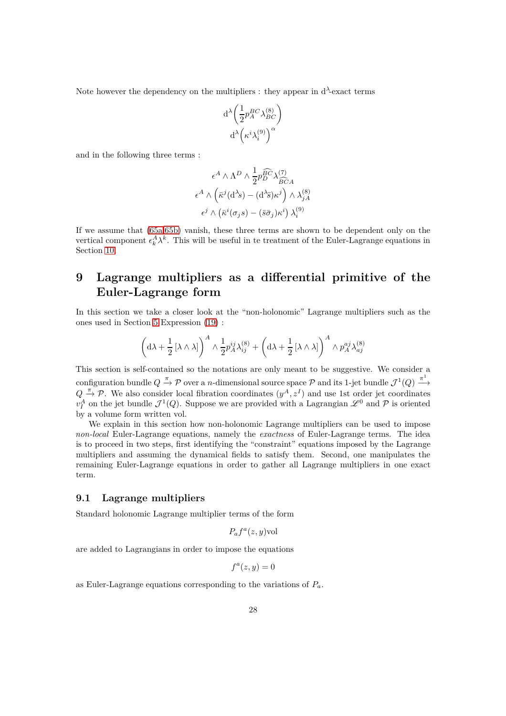Note however the dependency on the multipliers : they appear in  $d^{\lambda}$ -exact terms

$$
\mathrm{d}^\lambda \bigg(\frac{1}{2} p_A^{BC} \lambda_{BC}^{(8)}\bigg)\\ \mathrm{d}^\lambda \Big(\kappa^i \lambda_i^{(9)}\Big)^\alpha
$$

and in the following three terms :

$$
\epsilon^A \wedge \Lambda^D \wedge \frac{1}{2} p_{D}^{\widehat{BC}} \lambda_{\widehat{BC}A}^{(7)}
$$

$$
\epsilon^A \wedge (\bar{\kappa}^j (\mathrm{d}^{\lambda} s) - (\mathrm{d}^{\lambda} \bar{s}) \kappa^j) \wedge \lambda_{jA}^{(8)}
$$

$$
\epsilon^j \wedge (\bar{\kappa}^i (\sigma_j s) - (\bar{s}\bar{\sigma}_j) \kappa^i) \lambda_i^{(9)}
$$

If we assume that [\(65a,](#page-26-2)[65b\)](#page-26-3) vanish, these three terms are shown to be dependent only on the vertical component  $\epsilon_k^A \lambda^k$ . This will be useful in te treatment of the Euler-Lagrange equations in Section [10.](#page-30-0)

# <span id="page-27-0"></span>**9 Lagrange multipliers as a differential primitive of the Euler-Lagrange form**

In this section we take a closer look at the "non-holonomic" Lagrange multipliers such as the ones used in Section [5](#page-11-0) Expression [\(19\)](#page-12-1) :

$$
\left(\mathrm{d}\lambda + \frac{1}{2}\left[\lambda \wedge \lambda\right]\right)^A \wedge \frac{1}{2}p_A^{ij}\lambda_{ij}^{(8)} + \left(\mathrm{d}\lambda + \frac{1}{2}\left[\lambda \wedge \lambda\right]\right)^A \wedge p_A^{aj}\lambda_{aj}^{(8)}
$$

This section is self-contained so the notations are only meant to be suggestive. We consider a configuration bundle  $Q \stackrel{\pi}{\to} \mathcal{P}$  over a *n*-dimensional source space  $\mathcal{P}$  and its 1-jet bundle  $\mathcal{J}^1(Q) \stackrel{\pi^1}{\to}$  $Q \stackrel{\pi}{\rightarrow} P$ . We also consider local fibration coordinates  $(y^A, z^I)$  and use 1st order jet coordinates  $v_I^A$  on the jet bundle  $\mathcal{J}^1(Q)$ . Suppose we are provided with a Lagrangian  $\mathscr{L}^0$  and  $\mathcal P$  is oriented by a volume form written vol.

We explain in this section how non-holonomic Lagrange multipliers can be used to impose *non-local* Euler-Lagrange equations, namely the *exactness* of Euler-Lagrange terms. The idea is to proceed in two steps, first identifying the "constraint" equations imposed by the Lagrange multipliers and assuming the dynamical fields to satisfy them. Second, one manipulates the remaining Euler-Lagrange equations in order to gather all Lagrange multipliers in one exact term.

# <span id="page-27-1"></span>**9.1 Lagrange multipliers**

Standard holonomic Lagrange multiplier terms of the form

$$
P_a f^a(z, y)
$$
vol

are added to Lagrangians in order to impose the equations

$$
f^a(z,y) = 0
$$

as Euler-Lagrange equations corresponding to the variations of *Pa*.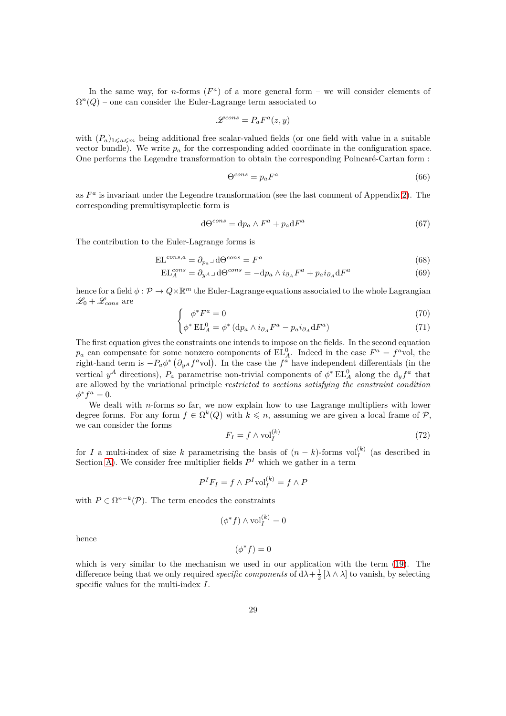In the same way, for *n*-forms  $(F^a)$  of a more general form – we will consider elements of  $\Omega^{n}(Q)$  – one can consider the Euler-Lagrange term associated to

$$
\mathscr{L}^{cons}=P_aF^a(z,y)
$$

with  $(P_a)_{1\leq a \leq m}$  being additional free scalar-valued fields (or one field with value in a suitable vector bundle). We write  $p_a$  for the corresponding added coordinate in the configuration space. One performs the Legendre transformation to obtain the corresponding Poincaré-Cartan form :

<span id="page-28-1"></span>
$$
\Theta^{cons} = p_a F^a \tag{66}
$$

as  $F^a$  is invariant under the Legendre transformation (see the last comment of Appendix [2\)](#page-5-0). The corresponding premultisymplectic form is

$$
d\Theta^{cons} = dp_a \wedge F^a + p_a dF^a \tag{67}
$$

The contribution to the Euler-Lagrange forms is

$$
EL^{cons,a} = \partial_{p_a} \lrcorner \, d\Theta^{cons} = F^a \tag{68}
$$

$$
EL_A^{cons} = \partial_{y^A} \Box \, d\Theta^{cons} = -dp_a \wedge i_{\partial_A} F^a + p_a i_{\partial_A} dF^a \tag{69}
$$

hence for a field  $\phi: \mathcal{P} \to Q \times \mathbb{R}^m$  the Euler-Lagrange equations associated to the whole Lagrangian  $\mathscr{L}_0 + \mathscr{L}_{cons}$  are

$$
\int \phi^* F^a = 0 \tag{70}
$$

$$
\phi^* \operatorname{EL}_A^0 = \phi^* \left( \mathrm{d}p_a \wedge i_{\partial_A} F^a - p_a i_{\partial_A} \mathrm{d}F^a \right) \tag{71}
$$

The first equation gives the constraints one intends to impose on the fields. In the second equation  $p_a$  can compensate for some nonzero components of  $EL_A^0$ . Indeed in the case  $F^a = f^a$ vol, the right-hand term is  $-P_a\phi^*$  ( $\partial_{y^A}f^a$ vol). In the case the  $f^a$  have independent differentials (in the vertical  $y^A$  directions),  $P_a$  parametrise non-trivial components of  $\phi^* \to L_A^0$  along the  $d_y f^a$  that are allowed by the variational principle *restricted to sections satisfying the constraint condition*  $\phi^* f^a = 0.$ 

We dealt with *n*-forms so far, we now explain how to use Lagrange multipliers with lower degree forms. For any form  $f \in \Omega^k(Q)$  with  $k \leq n$ , assuming we are given a local frame of P, we can consider the forms

<span id="page-28-0"></span>
$$
F_I = f \wedge \text{vol}_I^{(k)} \tag{72}
$$

for *I* a multi-index of size *k* parametrising the basis of  $(n - k)$ -forms vol $_I^{(k)}$  (as described in Section [A\)](#page-46-0). We consider free multiplier fields  $P<sup>I</sup>$  which we gather in a term

$$
P^I F_I = f \wedge P^I \text{vol}_I^{(k)} = f \wedge P
$$

with  $P \in \Omega^{n-k}(\mathcal{P})$ . The term encodes the constraints

$$
(\phi^* f) \wedge \text{vol}_I^{(k)} = 0
$$

hence

$$
(\phi^* f) = 0
$$

which is very similar to the mechanism we used in our application with the term [\(19\)](#page-12-1). The difference being that we only required *specific components* of  $d\lambda + \frac{1}{2} [\lambda \wedge \lambda]$  to vanish, by selecting specific values for the multi-index *I*.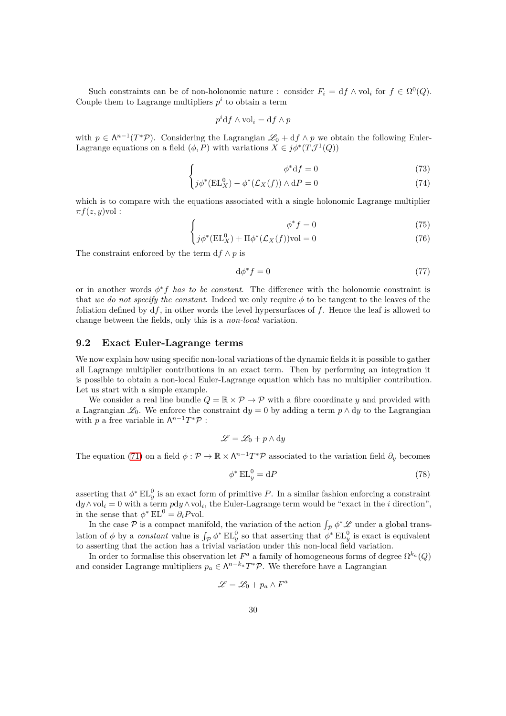Such constraints can be of non-holonomic nature : consider  $F_i = df \wedge vol_i$  for  $f \in \Omega^0(Q)$ . Couple them to Lagrange multipliers  $p^i$  to obtain a term

$$
p^i \mathrm{d} f \wedge \mathrm{vol}_i = \mathrm{d} f \wedge p
$$

with  $p \in \Lambda^{n-1}(T^*\mathcal{P})$ . Considering the Lagrangian  $\mathscr{L}_0 + df \wedge p$  we obtain the following Euler-Lagrange equations on a field  $(\phi, P)$  with variations  $X \in j\phi^*(T\mathcal{J}^1(Q))$ 

$$
\phi^* df = 0 \tag{73}
$$

$$
\left\{ j\phi^*(EL_X^0) - \phi^*(\mathcal{L}_X(f)) \wedge dP = 0 \right\} \tag{74}
$$

which is to compare with the equations associated with a single holonomic Lagrange multiplier  $\pi f(z, y)$ vol :

$$
\begin{cases}\n\phi^* f = 0\n\end{cases}
$$
\n(75)

$$
\int j\phi^*(EL_X^0) + \Pi\phi^*(\mathcal{L}_X(f))\text{vol} = 0\tag{76}
$$

The constraint enforced by the term  $df \wedge p$  is

 $\int$ 

$$
\mathrm{d}\phi^* f = 0\tag{77}
$$

or in another words *φ* ∗ *f has to be constant*. The difference with the holonomic constraint is that *we do not specify the constant*. Indeed we only require  $\phi$  to be tangent to the leaves of the foliation defined by d*f*, in other words the level hypersurfaces of *f*. Hence the leaf is allowed to change between the fields, only this is a *non-local* variation.

#### <span id="page-29-0"></span>**9.2 Exact Euler-Lagrange terms**

We now explain how using specific non-local variations of the dynamic fields it is possible to gather all Lagrange multiplier contributions in an exact term. Then by performing an integration it is possible to obtain a non-local Euler-Lagrange equation which has no multiplier contribution. Let us start with a simple example.

We consider a real line bundle  $Q = \mathbb{R} \times \mathcal{P} \to \mathcal{P}$  with a fibre coordinate *y* and provided with a Lagrangian  $\mathscr{L}_0$ . We enforce the constraint dy = 0 by adding a term  $p \wedge dy$  to the Lagrangian with  $p$  a free variable in  $\Lambda^{n-1}T^*\mathcal{P}$ :

$$
\mathscr{L} = \mathscr{L}_0 + p \wedge dy
$$

The equation [\(71\)](#page-28-0) on a field  $\phi : \mathcal{P} \to \mathbb{R} \times \Lambda^{n-1}T^*\mathcal{P}$  associated to the variation field  $\partial_y$  becomes

$$
\phi^* \mathop{\rm EL}_y^0 = \mathrm{d}P \tag{78}
$$

asserting that  $\phi^*$  EL<sup>0</sup><sub>y</sub> is an exact form of primitive *P*. In a similar fashion enforcing a constraint  $dy \wedge vol_i = 0$  with a term  $pdy \wedge vol_i$ , the Euler-Lagrange term would be "exact in the *i* direction", in the sense that  $\phi^*$  EL<sup>0</sup> =  $\partial_i P$ vol.

In the case  $P$  is a compact manifold, the variation of the action  $\int_{\mathcal{P}} \phi^* \mathcal{L}$  under a global translation of  $\phi$  by a *constant* value is  $\int_{\mathcal{P}} \phi^* \mathrm{EL}_y^0$  so that asserting that  $\phi^* \mathrm{EL}_y^0$  is exact is equivalent to asserting that the action has a trivial variation under this non-local field variation.

In order to formalise this observation let  $F^a$  a family of homogeneous forms of degree  $\Omega^{k_a}(Q)$ and consider Lagrange multipliers  $p_a \in \Lambda^{n-k_a} T^* \mathcal{P}$ . We therefore have a Lagrangian

$$
\mathscr{L} = \mathscr{L}_0 + p_a \wedge F^a
$$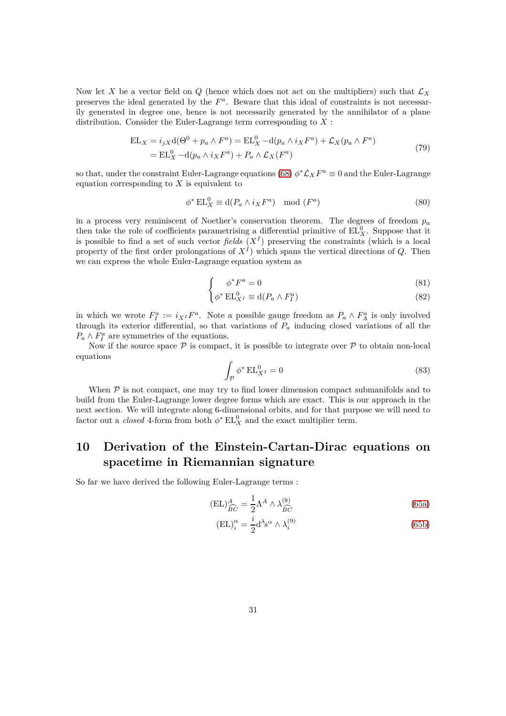Now let X be a vector field on  $Q$  (hence which does not act on the multipliers) such that  $\mathcal{L}_X$ preserves the ideal generated by the  $F^a$ . Beware that this ideal of constraints is not necessarily generated in degree one, hence is not necessarily generated by the annihilator of a plane distribution. Consider the Euler-Lagrange term corresponding to *X* :

$$
EL_X = i_j X d(\Theta^0 + p_a \wedge F^a) = EL_X^0 - d(p_a \wedge i_X F^a) + \mathcal{L}_X(p_a \wedge F^a)
$$
  
= EL\_X^0 - d(p\_a \wedge i\_X F^a) + P\_a \wedge \mathcal{L}\_X(F^a) (79)

so that, under the constraint Euler-Lagrange equations [\(68\)](#page-28-1)  $\phi^* \mathcal{L}_X F^a \equiv 0$  and the Euler-Lagrange equation corresponding to *X* is equivalent to

$$
\phi^* \operatorname{EL}_X^0 \equiv \operatorname{d}(P_a \wedge i_X F^a) \mod (F^a) \tag{80}
$$

in a process very reminiscent of Noether's conservation theorem. The degrees of freedom  $p_a$ then take the role of coefficients parametrising a differential primitive of  $EL_X^0$ . Suppose that it is possible to find a set of such vector *fields*  $(X<sup>I</sup>)$  preserving the constraints (which is a local property of the first order prolongations of *X<sup>I</sup>* ) which spans the vertical directions of *Q*. Then we can express the whole Euler-Lagrange equation system as

$$
\int \phi^* F^a = 0 \tag{81}
$$

$$
\phi^* \operatorname{EL}^0_{X^I} \equiv \operatorname{d}(P_a \wedge F_I^a) \tag{82}
$$

in which we wrote  $F_I^a := i_{X^I} F^a$ . Note a possible gauge freedom as  $P_a \wedge F_A^a$  is only involved through its exterior differential, so that variations of  $P_a$  inducing closed variations of all the  $P_a \wedge F_I^a$  are symmetries of the equations.

Now if the source space  $P$  is compact, it is possible to integrate over  $P$  to obtain non-local equations

$$
\int_{\mathcal{P}} \phi^* \operatorname{EL}^0_{X^I} = 0 \tag{83}
$$

When  $P$  is not compact, one may try to find lower dimension compact submanifolds and to build from the Euler-Lagrange lower degree forms which are exact. This is our approach in the next section. We will integrate along 6-dimensional orbits, and for that purpose we will need to factor out a *closed* 4-form from both  $\phi^*$  EL<sub>X</sub><sup>0</sup> and the exact multiplier term.

# <span id="page-30-0"></span>**10 Derivation of the Einstein-Cartan-Dirac equations on spacetime in Riemannian signature**

So far we have derived the following Euler-Lagrange terms :

$$
(\text{EL})^A_{\widehat{BC}} = \frac{1}{2} \Lambda^A \wedge \lambda^{(8)}_{\widehat{BC}} \tag{65a}
$$

$$
(\mathbf{EL})_i^{\alpha} = \frac{i}{2} \mathbf{d}^{\lambda} s^{\alpha} \wedge \lambda_i^{(9)}
$$
\n(65b)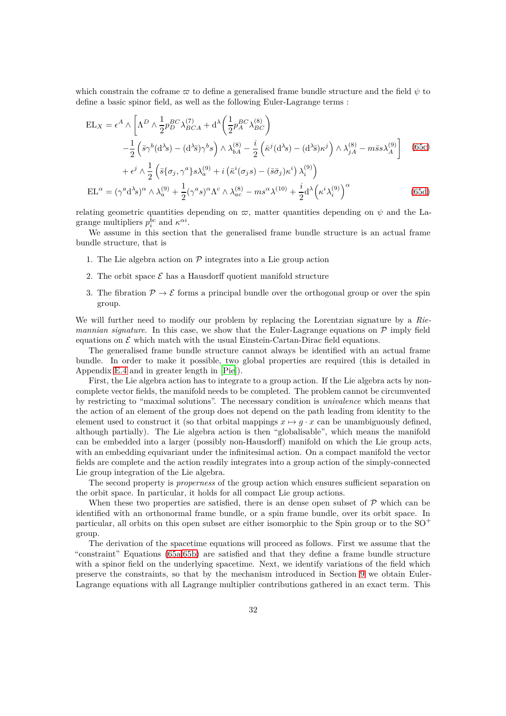which constrain the coframe  $\varpi$  to define a generalised frame bundle structure and the field  $\psi$  to define a basic spinor field, as well as the following Euler-Lagrange terms :

$$
EL_X = \epsilon^A \wedge \left[ \Lambda^D \wedge \frac{1}{2} p_D^{BC} \lambda_{BCA}^{(7)} + d^\lambda \left( \frac{1}{2} p_A^{BC} \lambda_{BC}^{(8)} \right) \right]
$$
  
\n
$$
- \frac{1}{2} \left( \bar{s} \gamma^b (d^\lambda s) - (d^\lambda \bar{s}) \gamma^b s \right) \wedge \lambda_{bA}^{(8)} - \frac{i}{2} \left( \bar{\kappa}^j (d^\lambda s) - (d^\lambda \bar{s}) \kappa^j \right) \wedge \lambda_{jA}^{(8)} - m \bar{s} s \lambda_A^{(9)} \right] \tag{65c}
$$
  
\n
$$
+ \epsilon^j \wedge \frac{1}{2} \left( \bar{s} \{ \sigma_j, \gamma^a \} s \lambda_a^{(9)} + i \left( \bar{\kappa}^i (\sigma_j s) - (\bar{s} \bar{\sigma}_j) \kappa^i \right) \lambda_i^{(9)} \right)
$$
  
\n
$$
EL^\alpha = (\gamma^a d^\lambda s)^\alpha \wedge \lambda_a^{(9)} + \frac{1}{2} (\gamma^a s)^\alpha \Lambda^c \wedge \lambda_{ac}^{(8)} - m s^\alpha \lambda^{(10)} + \frac{i}{2} d^\lambda \left( \kappa^i \lambda_i^{(9)} \right)^\alpha \tag{65d}
$$

relating geometric quantities depending on  $\varpi$ , matter quantities depending on  $\psi$  and the Lagrange multipliers  $p_i^{bc}$  and  $\kappa^{\alpha i}$ .

We assume in this section that the generalised frame bundle structure is an actual frame bundle structure, that is

- 1. The Lie algebra action on  $P$  integrates into a Lie group action
- 2. The orbit space  $\mathcal E$  has a Hausdorff quotient manifold structure
- 3. The fibration  $\mathcal{P} \to \mathcal{E}$  forms a principal bundle over the orthogonal group or over the spin group.

We will further need to modify our problem by replacing the Lorentzian signature by a *Riemannian signature*. In this case, we show that the Euler-Lagrange equations on  $P$  imply field equations on  $\mathcal E$  which match with the usual Einstein-Cartan-Dirac field equations.

The generalised frame bundle structure cannot always be identified with an actual frame bundle. In order to make it possible, two global properties are required (this is detailed in Appendix [E.4](#page-60-0) and in greater length in [\[Pie](#page-65-3)]).

First, the Lie algebra action has to integrate to a group action. If the Lie algebra acts by noncomplete vector fields, the manifold needs to be completed. The problem cannot be circumvented by restricting to "maximal solutions". The necessary condition is *univalence* which means that the action of an element of the group does not depend on the path leading from identity to the element used to construct it (so that orbital mappings  $x \mapsto g \cdot x$  can be unambiguously defined, although partially). The Lie algebra action is then "globalisable", which means the manifold can be embedded into a larger (possibly non-Hausdorff) manifold on which the Lie group acts, with an embedding equivariant under the infinitesimal action. On a compact manifold the vector fields are complete and the action readily integrates into a group action of the simply-connected Lie group integration of the Lie algebra.

The second property is *properness* of the group action which ensures sufficient separation on the orbit space. In particular, it holds for all compact Lie group actions.

When these two properties are satisfied, there is an dense open subset of  $\mathcal P$  which can be identified with an orthonormal frame bundle, or a spin frame bundle, over its orbit space. In particular, all orbits on this open subset are either isomorphic to the Spin group or to the  $SO^+$ group.

The derivation of the spacetime equations will proceed as follows. First we assume that the "constraint" Equations [\(65a](#page-26-2)[,65b\)](#page-26-3) are satisfied and that they define a frame bundle structure with a spinor field on the underlying spacetime. Next, we identify variations of the field which preserve the constraints, so that by the mechanism introduced in Section [9](#page-27-0) we obtain Euler-Lagrange equations with all Lagrange multiplier contributions gathered in an exact term. This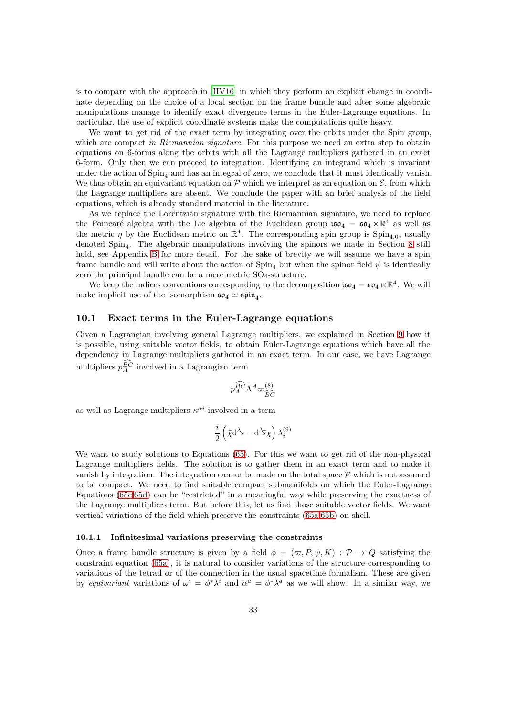is to compare with the approach in [\[HV16](#page-64-0)] in which they perform an explicit change in coordinate depending on the choice of a local section on the frame bundle and after some algebraic manipulations manage to identify exact divergence terms in the Euler-Lagrange equations. In particular, the use of explicit coordinate systems make the computations quite heavy.

We want to get rid of the exact term by integrating over the orbits under the Spin group, which are compact *in Riemannian signature*. For this purpose we need an extra step to obtain equations on 6-forms along the orbits with all the Lagrange multipliers gathered in an exact 6-form. Only then we can proceed to integration. Identifying an integrand which is invariant under the action of  $Spin_4$  and has an integral of zero, we conclude that it must identically vanish. We thus obtain an equivariant equation on  $\mathcal P$  which we interpret as an equation on  $\mathcal E$ , from which the Lagrange multipliers are absent. We conclude the paper with an brief analysis of the field equations, which is already standard material in the literature.

As we replace the Lorentzian signature with the Riemannian signature, we need to replace the Poincaré algebra with the Lie algebra of the Euclidean group  $\mathfrak{iso}_4 = \mathfrak{so}_4 \ltimes \mathbb{R}^4$  as well as the metric  $\eta$  by the Euclidean metric on  $\mathbb{R}^4$ . The corresponding spin group is Spin<sub>4,0</sub>, usually denoted Spin<sup>4</sup> . The algebraic manipulations involving the spinors we made in Section [8](#page-23-0) still hold, see Appendix [B](#page-47-0) for more detail. For the sake of brevity we will assume we have a spin frame bundle and will write about the action of  $Spin_4$  but when the spinor field  $\psi$  is identically zero the principal bundle can be a mere metric  $SO_4$ -structure.

We keep the indices conventions corresponding to the decomposition  $\mathfrak{iso}_4 = \mathfrak{so}_4 \ltimes \mathbb{R}^4$ . We will make implicit use of the isomorphism  $\mathfrak{so}_4 \simeq \mathfrak{spin}_4$ .

# <span id="page-32-0"></span>**10.1 Exact terms in the Euler-Lagrange equations**

Given a Lagrangian involving general Lagrange multipliers, we explained in Section [9](#page-27-0) how it is possible, using suitable vector fields, to obtain Euler-Lagrange equations which have all the dependency in Lagrange multipliers gathered in an exact term. In our case, we have Lagrange multipliers  $p_A^{BC}$  involved in a Lagrangian term

$$
p_A^{\widehat{BC}}\Lambda^A\varpi^{(8)}_{\widehat{BC}}
$$

as well as Lagrange multipliers  $\kappa^{\alpha i}$  involved in a term

$$
\frac{i}{2}\left(\bar{\chi}\mathrm{d}^\lambda\! s-\mathrm{d}^\lambda\!\bar{s}\chi\right)\lambda_i^{(9)}
$$

We want to study solutions to Equations [\(65\)](#page-26-6). For this we want to get rid of the non-physical Lagrange multipliers fields. The solution is to gather them in an exact term and to make it vanish by integration. The integration cannot be made on the total space  $P$  which is not assumed to be compact. We need to find suitable compact submanifolds on which the Euler-Lagrange Equations [\(65c,](#page-26-4)[65d\)](#page-26-5) can be "restricted" in a meaningful way while preserving the exactness of the Lagrange multipliers term. But before this, let us find those suitable vector fields. We want vertical variations of the field which preserve the constraints [\(65a](#page-26-2)[,65b\)](#page-26-3) on-shell.

#### <span id="page-32-1"></span>**10.1.1 Infinitesimal variations preserving the constraints**

Once a frame bundle structure is given by a field  $\phi = (\varpi, P, \psi, K) : \mathcal{P} \to Q$  satisfying the constraint equation [\(65a\)](#page-26-2), it is natural to consider variations of the structure corresponding to variations of the tetrad or of the connection in the usual spacetime formalism. These are given by *equivariant* variations of  $\omega^i = \phi^* \lambda^i$  and  $\alpha^a = \phi^* \lambda^a$  as we will show. In a similar way, we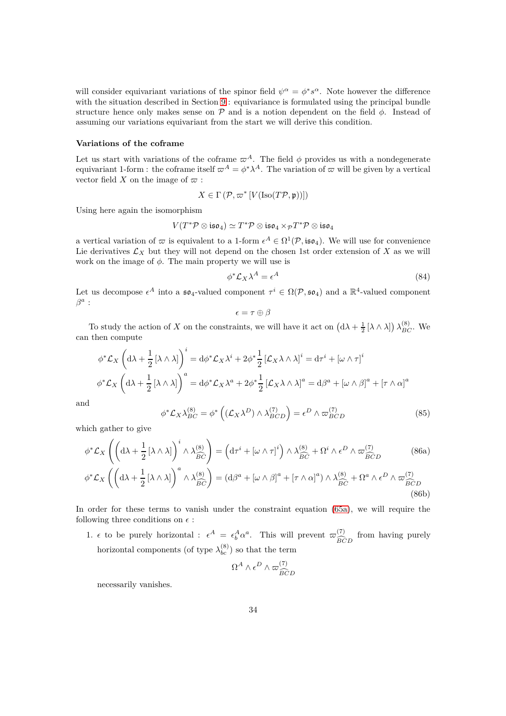will consider equivariant variations of the spinor field  $\psi^{\alpha} = \phi^* s^{\alpha}$ . Note however the difference with the situation described in Section [9](#page-27-0) : equivariance is formulated using the principal bundle structure hence only makes sense on  $\mathcal P$  and is a notion dependent on the field  $\phi$ . Instead of assuming our variations equivariant from the start we will derive this condition.

#### **Variations of the coframe**

Let us start with variations of the coframe  $\varpi^A$ . The field  $\phi$  provides us with a nondegenerate equivariant 1-form : the coframe itself  $\varpi^A = \phi^* \lambda^A$ . The variation of  $\varpi$  will be given by a vertical vector field *X* on the image of  $\varpi$ :

$$
X \in \Gamma(\mathcal{P}, \varpi^* \left[ V(\text{Iso}(T\mathcal{P}, \mathfrak{p})) \right])
$$

Using here again the isomorphism

$$
V(T^*\mathcal{P}\otimes \mathfrak{iso}_4)\simeq T^*\mathcal{P}\otimes \mathfrak{iso}_4\times_{\mathcal{P}}T^*\mathcal{P}\otimes \mathfrak{iso}_4
$$

a vertical variation of  $\varpi$  is equivalent to a 1-form  $\epsilon^A \in \Omega^1(\mathcal{P}, \mathfrak{iso}_4)$ . We will use for convenience Lie derivatives  $\mathcal{L}_X$  but they will not depend on the chosen 1st order extension of X as we will work on the image of *φ*. The main property we will use is

$$
\phi^* \mathcal{L}_X \lambda^A = \epsilon^A \tag{84}
$$

Let us decompose  $\epsilon^A$  into a  $\mathfrak{so}_4$ -valued component  $\tau^i \in \Omega(\mathcal{P}, \mathfrak{so}_4)$  and a  $\mathbb{R}^4$ -valued component *β a* :

$$
\epsilon = \tau \oplus \beta
$$

To study the action of *X* on the constraints, we will have it act on  $(d\lambda + \frac{1}{2} [\lambda \wedge \lambda]) \lambda_{BC}^{(8)}$ . We can then compute

$$
\phi^* \mathcal{L}_X \left( d\lambda + \frac{1}{2} \left[ \lambda \wedge \lambda \right] \right)^i = d\phi^* \mathcal{L}_X \lambda^i + 2\phi^* \frac{1}{2} \left[ \mathcal{L}_X \lambda \wedge \lambda \right]^i = d\tau^i + \left[ \omega \wedge \tau \right]^i
$$

$$
\phi^* \mathcal{L}_X \left( d\lambda + \frac{1}{2} \left[ \lambda \wedge \lambda \right] \right)^a = d\phi^* \mathcal{L}_X \lambda^a + 2\phi^* \frac{1}{2} \left[ \mathcal{L}_X \lambda \wedge \lambda \right]^a = d\beta^a + \left[ \omega \wedge \beta \right]^a + \left[ \tau \wedge \alpha \right]^a
$$

and

<span id="page-33-0"></span>
$$
\phi^* \mathcal{L}_X \lambda_{BC}^{(8)} = \phi^* \left( (\mathcal{L}_X \lambda^D) \wedge \lambda_{BCD}^{(7)} \right) = \epsilon^D \wedge \varpi_{BCD}^{(7)} \tag{85}
$$

which gather to give

$$
\phi^* \mathcal{L}_X \left( \left( d\lambda + \frac{1}{2} \left[ \lambda \wedge \lambda \right] \right)^i \wedge \lambda_{\widehat{BC}}^{(8)} \right) = \left( d\tau^i + \left[ \omega \wedge \tau \right]^i \right) \wedge \lambda_{\widehat{BC}}^{(8)} + \Omega^i \wedge \epsilon^D \wedge \varpi_{\widehat{BC}}^{(7)} \tag{86a}
$$
\n
$$
\phi^* \mathcal{L}_X \left( \left( d\lambda + \frac{1}{2} \left[ \lambda \wedge \lambda \right] \right)^a \wedge \lambda_{\widehat{BC}}^{(8)} \right) = \left( d\beta^a + \left[ \omega \wedge \beta \right]^a + \left[ \tau \wedge \alpha \right]^a \right) \wedge \lambda_{\widehat{BC}}^{(8)} + \Omega^a \wedge \epsilon^D \wedge \varpi_{\widehat{BC}}^{(7)} \tag{86b}
$$

In order for these terms to vanish under the constraint equation [\(65a\)](#page-26-2), we will require the following three conditions on  $\epsilon$ :

1.  $\epsilon$  to be purely horizontal :  $\epsilon^A = \epsilon_b^A \alpha^a$ . This will prevent  $\varpi_{\widehat{BC}}^{(7)}$ *BCD* c from having purely horizontal components (of type  $\lambda_{bc}^{(8)}$ ) so that the term

$$
\Omega^A \wedge \epsilon^D \wedge \varpi_{\widetilde{BCD}}^{(7)}
$$

necessarily vanishes.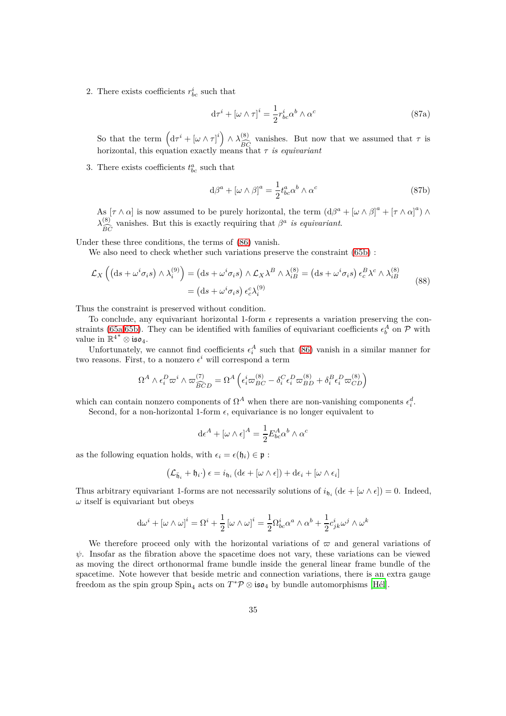2. There exists coefficients  $r_{bc}^i$  such that

$$
d\tau^{i} + [\omega \wedge \tau]^{i} = \frac{1}{2}r_{bc}^{i}\alpha^{b} \wedge \alpha^{c}
$$
 (87a)

So that the term  $\left(\mathrm{d}\tau^{i} + \left[\omega \wedge \tau\right]^{i}\right) \wedge \lambda_{\infty}^{(8)}$ *BC*c vanishes. But now that we assumed that  $\tau$  is horizontal, this equation exactly means that *τ is equivariant*

3. There exists coefficients  $t_{bc}^a$  such that

$$
d\beta^{a} + [\omega \wedge \beta]^{a} = \frac{1}{2} t_{bc}^{a} \alpha^{b} \wedge \alpha^{c}
$$
 (87b)

As  $[\tau \wedge \alpha]$  is now assumed to be purely horizontal, the term  $(d\beta^a + [\omega \wedge \beta]^a + [\tau \wedge \alpha]^a) \wedge d\beta$  $\lambda_{\widehat{K}}^{(8)}$ *BC*c vanishes. But this is exactly requiring that  $\beta^a$  *is equivariant.* 

Under these three conditions, the terms of [\(86\)](#page-33-0) vanish.

We also need to check whether such variations preserve the constraint  $(65b)$ :

$$
\mathcal{L}_X \left( \left( ds + \omega^i \sigma_i s \right) \wedge \lambda_i^{(9)} \right) = \left( ds + \omega^i \sigma_i s \right) \wedge \mathcal{L}_X \lambda^B \wedge \lambda_{iB}^{(8)} = \left( ds + \omega^i \sigma_i s \right) \epsilon_c^B \lambda^c \wedge \lambda_{iB}^{(8)} \tag{88}
$$
\n
$$
= \left( ds + \omega^i \sigma_i s \right) \epsilon_c^c \lambda_i^{(9)}
$$

Thus the constraint is preserved without condition.

To conclude, any equivariant horizontal 1-form  $\epsilon$  represents a variation preserving the con-straints (65<sub>a</sub>,[65b\)](#page-26-3). They can be identified with families of equivariant coefficients  $\epsilon_b^A$  on  $\mathcal P$  with value in  $\mathbb{R}^{4*} \otimes \mathfrak{iso}_4$ .

Unfortunately, we cannot find coefficients  $\epsilon_i^A$  such that [\(86\)](#page-33-0) vanish in a similar manner for two reasons. First, to a nonzero  $\epsilon^i$  will correspond a term

$$
\Omega^A \wedge \epsilon_i^D \varpi^i \wedge \varpi_{\widetilde{BC}D}^{(7)} = \Omega^A \left( \epsilon_i^i \varpi_{BC}^{(8)} - \delta_i^C \epsilon_i^D \varpi_{BD}^{(8)} + \delta_i^B \epsilon_i^D \varpi_{CD}^{(8)} \right)
$$

which can contain nonzero components of  $\Omega^A$  when there are non-vanishing components  $\epsilon_i^d$ .

Second, for a non-horizontal 1-form  $\epsilon$ , equivariance is no longer equivalent to

$$
d\epsilon^{A} + [\omega \wedge \epsilon]^{A} = \frac{1}{2} E_{bc}^{A} \alpha^{b} \wedge \alpha^{c}
$$

as the following equation holds, with  $\epsilon_i = \epsilon(\mathfrak{h}_i) \in \mathfrak{p}$ :

$$
\left(\mathcal{L}_{\bar{\mathfrak{h}}_i}+\mathfrak{h}_i\cdot\right)\epsilon=i_{\mathfrak{h}_i}\left(\mathrm{d}\epsilon+[\omega\wedge\epsilon]\right)+\mathrm{d}\epsilon_i+[\omega\wedge\epsilon_i]
$$

Thus arbitrary equivariant 1-forms are not necessarily solutions of  $i_{\mathfrak{h}_i}$  ( $d\epsilon + [\omega \wedge \epsilon]$ ) = 0. Indeed,  $\omega$  itself is equivariant but obeys

$$
d\omega^{i} + [\omega \wedge \omega]^{i} = \Omega^{i} + \frac{1}{2} [\omega \wedge \omega]^{i} = \frac{1}{2} \Omega_{bc}^{i} \alpha^{a} \wedge \alpha^{b} + \frac{1}{2} c_{jk}^{i} \omega^{j} \wedge \omega^{k}
$$

We therefore proceed only with the horizontal variations of  $\varpi$  and general variations of  $\psi$ . Insofar as the fibration above the spacetime does not vary, these variations can be viewed as moving the direct orthonormal frame bundle inside the general linear frame bundle of the spacetime. Note however that beside metric and connection variations, there is an extra gauge freedom as the spin group  $Spin_4$  acts on  $T^*\mathcal{P} \otimes \mathfrak{iso}_4$  by bundle automorphisms [\[Hél\]](#page-64-9).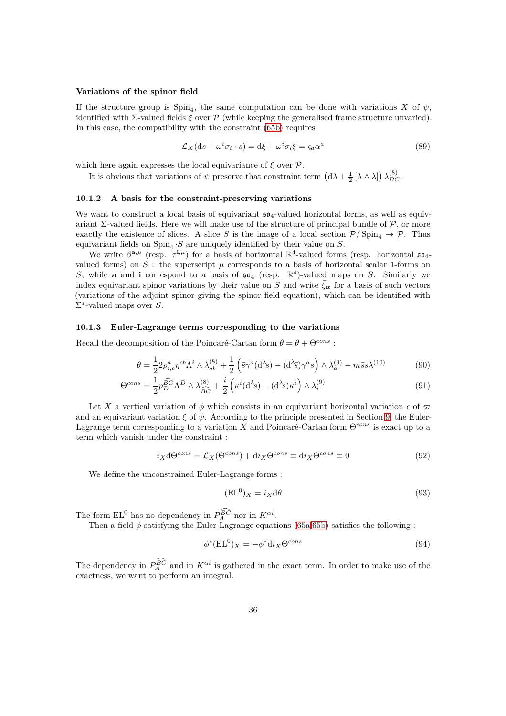#### **Variations of the spinor field**

If the structure group is  $\text{Spin}_4$ , the same computation can be done with variations *X* of  $\psi$ , identified with  $\Sigma$ -valued fields  $\xi$  over  $\mathcal P$  (while keeping the generalised frame structure unvaried). In this case, the compatibility with the constraint [\(65b\)](#page-26-3) requires

$$
\mathcal{L}_X(\mathrm{d}s + \omega^i \sigma_i \cdot s) = \mathrm{d}\xi + \omega^i \sigma_i \xi = \varsigma_a \alpha^a \tag{89}
$$

which here again expresses the local equivariance of *ξ* over P.

It is obvious that variations of  $\psi$  preserve that constraint term  $(d\lambda + \frac{1}{2} [\lambda \wedge \lambda]) \lambda_{BC}^{(8)}$ .

#### <span id="page-35-0"></span>**10.1.2 A basis for the constraint-preserving variations**

We want to construct a local basis of equivariant  $\mathfrak{so}_4$ -valued horizontal forms, as well as equivariant Σ-valued fields. Here we will make use of the structure of principal bundle of  $P$ , or more exactly the existence of slices. A slice *S* is the image of a local section  $P/\text{Spin}_4 \to P$ . Thus equivariant fields on  $\text{Spin}_4 \cdot S$  are uniquely identified by their value on  $S$ .

We write  $\beta^{\mathbf{a},\mu}$  (resp.  $\tau^{\mathbf{i},\mu}$ ) for a basis of horizontal  $\mathbb{R}^4$ -valued forms (resp. horizontal  $\mathfrak{so}_{4}$ valued forms) on  $S$ : the superscript  $\mu$  corresponds to a basis of horizontal scalar 1-forms on S, while **a** and **i** correspond to a basis of  $\mathfrak{so}_4$  (resp.  $\mathbb{R}^4$ )-valued maps on S. Similarly we index equivariant spinor variations by their value on *S* and write  $\bar{\xi}_{\alpha}$  for a basis of such vectors (variations of the adjoint spinor giving the spinor field equation), which can be identified with Σ ∗ -valued maps over *S*.

#### <span id="page-35-1"></span>**10.1.3 Euler-Lagrange terms corresponding to the variations**

Recall the decomposition of the Poincaré-Cartan form  $\bar{\theta} = \theta + \Theta^{cons}$ :

$$
\theta = \frac{1}{2} 2 \rho_{i,c}^a \eta^{cb} \Lambda^i \wedge \lambda_{ab}^{(8)} + \frac{1}{2} \left( \bar{s} \gamma^a (\mathrm{d}^{\lambda} s) - (\mathrm{d}^{\lambda} \bar{s}) \gamma^a s \right) \wedge \lambda_a^{(9)} - m \bar{s} s \lambda^{(10)} \tag{90}
$$

$$
\Theta^{cons} = \frac{1}{2} p_D^{\widehat{BC}} \Lambda^D \wedge \lambda_{\widehat{BC}}^{(8)} + \frac{i}{2} \left( \bar{\kappa}^i (\mathrm{d}^{\lambda_{\mathcal{S}}}) - (\mathrm{d}^{\lambda_{\mathcal{S}}}) \kappa^i \right) \wedge \lambda_i^{(9)} \tag{91}
$$

Let X a vertical variation of  $\phi$  which consists in an equivariant horizontal variation  $\epsilon$  of  $\varpi$ and an equivariant variation  $\xi$  of  $\psi$ . According to the principle presented in Section [9,](#page-27-0) the Euler-Lagrange term corresponding to a variation *X* and Poincaré-Cartan form Θ*cons* is exact up to a term which vanish under the constraint :

$$
i_X \mathrm{d}\Theta^{cons} = \mathcal{L}_X(\Theta^{cons}) + \mathrm{d}i_X \Theta^{cons} \equiv \mathrm{d}i_X \Theta^{cons} \equiv 0 \tag{92}
$$

We define the unconstrained Euler-Lagrange forms :

<span id="page-35-4"></span><span id="page-35-3"></span>
$$
(\text{EL}^0)_X = i_X \text{d}\theta \tag{93}
$$

The form  $EL^0$  has no dependency in  $P_A^{BC}$  nor in  $K^{\alpha i}$ .

Then a field  $\phi$  satisfying the Euler-Lagrange equations [\(65a](#page-26-2)[,65b\)](#page-26-3) satisfies the following :

<span id="page-35-2"></span>
$$
\phi^*(\mathbf{EL}^0)_X = -\phi^* \mathrm{d}i_X \Theta^{cons} \tag{94}
$$

The dependency in  $P_A^{BC}$  and in  $K^{\alpha i}$  is gathered in the exact term. In order to make use of the exactness, we want to perform an integral.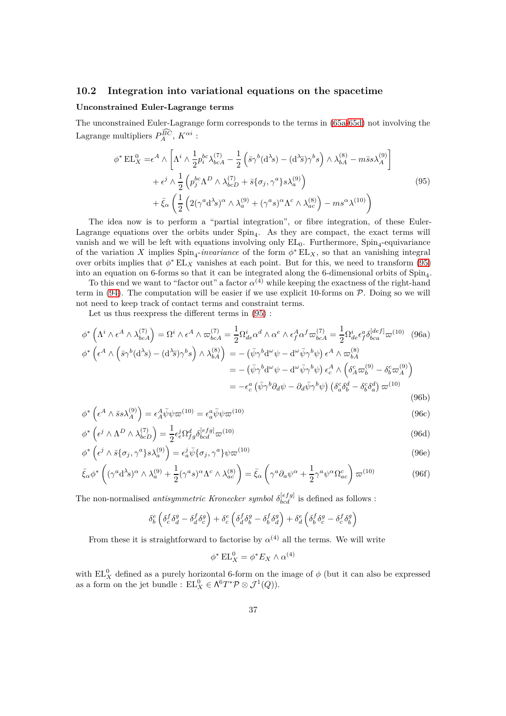# <span id="page-36-0"></span>**10.2 Integration into variational equations on the spacetime**

#### **Unconstrained Euler-Lagrange terms**

The unconstrained Euler-Lagrange form corresponds to the terms in [\(65a-](#page-26-2)[65d\)](#page-26-5) not involving the Lagrange multipliers  $P_A^{BC}$ ,  $K^{\alpha i}$ :

<span id="page-36-1"></span>
$$
\phi^* \operatorname{EL}_X^0 = \epsilon^A \wedge \left[ \Lambda^i \wedge \frac{1}{2} p_i^{bc} \lambda_{bcA}^{(7)} - \frac{1}{2} \left( \bar{s} \gamma^b (\mathrm{d}^{\lambda} s) - (\mathrm{d}^{\lambda} \bar{s}) \gamma^b s \right) \wedge \lambda_{bA}^{(8)} - m \bar{s} s \lambda_A^{(9)} \right] + \epsilon^j \wedge \frac{1}{2} \left( p_j^{bc} \Lambda^D \wedge \lambda_{bcD}^{(7)} + \bar{s} \{ \sigma_j, \gamma^a \} s \lambda_a^{(9)} \right) + \bar{\xi}_{\alpha} \left( \frac{1}{2} \left( 2(\gamma^a \mathrm{d}^{\lambda} s)^{\alpha} \wedge \lambda_a^{(9)} + (\gamma^a s)^{\alpha} \Lambda^c \wedge \lambda_{ac}^{(8)} \right) - m s^{\alpha} \lambda^{(10)} \right)
$$
(95)

The idea now is to perform a "partial integration", or fibre integration, of these Euler-Lagrange equations over the orbits under  $Spin<sub>4</sub>$ . As they are compact, the exact terms will vanish and we will be left with equations involving only  $EL_0$ . Furthermore,  $Spin_4$ -equivariance of the variation *X* implies  $Spin_4$ -*invariance* of the form  $\phi^* EL_X$ , so that an vanishing integral over orbits implies that  $\phi^*$  EL<sub>X</sub> vanishes at each point. But for this, we need to transform [\(95\)](#page-36-1) into an equation on 6-forms so that it can be integrated along the 6-dimensional orbits of Spin<sup>4</sup> .

To this end we want to "factor out" a factor  $\alpha^{(4)}$  while keeping the exactness of the right-hand term in  $(94)$ . The computation will be easier if we use explicit 10-forms on  $P$ . Doing so we will not need to keep track of contact terms and constraint terms.

<span id="page-36-2"></span>Let us thus reexpress the different terms in [\(95\)](#page-36-1) :

$$
\phi^* \left( \Lambda^i \wedge \epsilon^A \wedge \lambda_{bcA}^{(7)} \right) = \Omega^i \wedge \epsilon^A \wedge \varpi_{bcA}^{(7)} = \frac{1}{2} \Omega_{de}^i \alpha^d \wedge \alpha^e \wedge \epsilon_f^A \alpha^f \varpi_{bcA}^{(7)} = \frac{1}{2} \Omega_{de}^i \epsilon_f^a \delta_{bca}^{[def]} \varpi^{(10)} \tag{96a}
$$
\n
$$
\phi^* \left( \epsilon^A \wedge \left( \bar{s} \gamma^b (\mathrm{d}^{\lambda} s) - (\mathrm{d}^{\lambda} \bar{s}) \gamma^b s \right) \wedge \lambda_{bA}^{(8)} \right) = - \left( \bar{\psi} \gamma^b \mathrm{d}^{\omega} \psi - \mathrm{d}^{\omega} \bar{\psi} \gamma^b \psi \right) \epsilon^A \wedge \varpi_{bA}^{(8)}
$$
\n
$$
= - \left( \bar{\psi} \gamma^b \mathrm{d}^{\omega} \psi - \mathrm{d}^{\omega} \bar{\psi} \gamma^b \psi \right) \epsilon_c^A \wedge \left( \delta_A^c \varpi_b^{(9)} - \delta_b^c \varpi_A^{(9)} \right)
$$
\n
$$
= -\epsilon_c^a \left( \bar{\psi} \gamma^b \partial_d \psi - \partial_d \bar{\psi} \gamma^b \psi \right) \left( \delta_a^c \delta_b^d - \delta_b^c \delta_a^d \right) \varpi^{(10)} \tag{96b}
$$

$$
\phi^* \left( \epsilon^A \wedge \bar{s} s \lambda_A^{(9)} \right) = \epsilon_A^A \bar{\psi} \psi \varpi^{(10)} = \epsilon_a^a \bar{\psi} \psi \varpi^{(10)} \tag{96c}
$$

$$
\phi^* \left( \epsilon^j \wedge \Lambda^D \wedge \lambda_{bcD}^{(7)} \right) = \frac{1}{2} \epsilon_e^j \Omega_{fg}^d \delta_{bcd}^{[eff]} \varpi^{(10)} \tag{96d}
$$

$$
\phi^* \left( \epsilon^j \wedge \bar{s} \{ \sigma_j, \gamma^a \} s \lambda_a^{(9)} \right) = \epsilon_a^j \bar{\psi} \{ \sigma_j, \gamma^a \} \psi \varpi^{(10)} \tag{96e}
$$

$$
\bar{\xi}_{\alpha}\phi^* \left( (\gamma^a \mathrm{d}^{\lambda}s)^{\alpha} \wedge \lambda_a^{(9)} + \frac{1}{2} (\gamma^a s)^{\alpha} \Lambda^c \wedge \lambda_{ac}^{(8)} \right) = \bar{\xi}_{\alpha} \left( \gamma^a \partial_a \psi^{\alpha} + \frac{1}{2} \gamma^a \psi^{\alpha} \Omega_{ac}^c \right) \varpi^{(10)} \tag{96f}
$$

The non-normalised *antisymmetric Kronecker symbol*  $\delta_{bcd}^{[eff]}$  is defined as follows :

$$
\delta^{e}_{b}\left(\delta^{f}_{c}\delta^{g}_{d}-\delta^{f}_{d}\delta^{g}_{c}\right)+\delta^{e}_{c}\left(\delta^{f}_{d}\delta^{g}_{b}-\delta^{f}_{b}\delta^{g}_{d}\right)+\delta^{e}_{d}\left(\delta^{f}_{b}\delta^{g}_{c}-\delta^{f}_{c}\delta^{g}_{b}\right)
$$

From these it is straightforward to factorise by  $\alpha^{(4)}$  all the terms. We will write

$$
\phi^* \operatorname{EL}_X^0 = \phi^* E_X \wedge \alpha^{(4)}
$$

with  $EL_X^0$  defined as a purely horizontal 6-form on the image of  $\phi$  (but it can also be expressed as a form on the jet bundle :  $EL_X^0 \in \Lambda^6 T^* \mathcal{P} \otimes \mathcal{J}^1(Q)$ .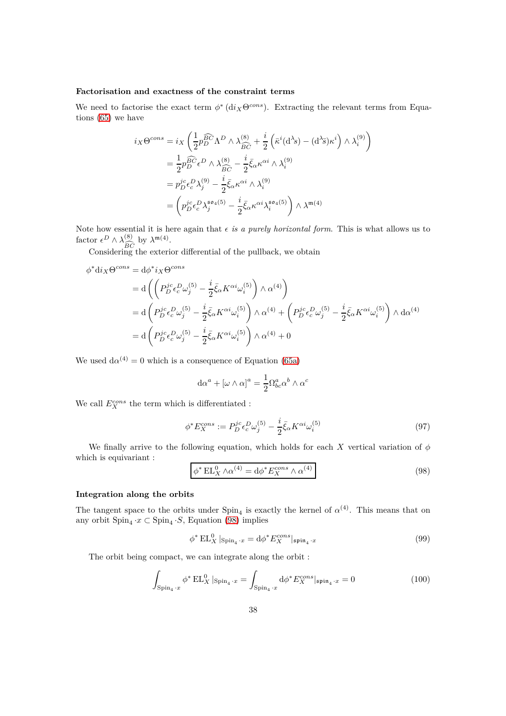#### **Factorisation and exactness of the constraint terms**

We need to factorise the exact term  $\phi^*$  (d*i*<sub>*X*</sub> $\Theta^{cons}$ ). Extracting the relevant terms from Equations [\(65\)](#page-26-6) we have

$$
i_X \Theta^{cons} = i_X \left( \frac{1}{2} p_D^{\widehat{BC}} \Lambda^D \wedge \lambda_{\widehat{BC}}^{(8)} + \frac{i}{2} \left( \bar{\kappa}^i (\mathrm{d}^{\lambda_s}) - (\mathrm{d}^{\lambda_s}) \kappa^i \right) \wedge \lambda_i^{(9)} \right)
$$
  

$$
= \frac{1}{2} p_D^{\widehat{BC}} \epsilon^D \wedge \lambda_{\widehat{BC}}^{(8)} - \frac{i}{2} \bar{\xi}_{\alpha} \kappa^{\alpha i} \wedge \lambda_i^{(9)}
$$
  

$$
= p_D^{jc} \epsilon_c^D \lambda_j^{(9)} - \frac{i}{2} \bar{\xi}_{\alpha} \kappa^{\alpha i} \wedge \lambda_i^{(9)}
$$
  

$$
= \left( p_D^{jc} \epsilon_c^D \lambda_j^{so_4(5)} - \frac{i}{2} \bar{\xi}_{\alpha} \kappa^{\alpha i} \lambda_i^{so_4(5)} \right) \wedge \lambda^{m(4)}
$$

Note how essential it is here again that  $\epsilon$  *is a purely horizontal form*. This is what allows us to factor  $\epsilon^D \wedge \lambda_{\widehat{S}}^{(8)}$ by  $\lambda^{\mathfrak{m}(4)}$ .

 $^{BC}_{\mathrm{nr}}$ Considering the exterior differential of the pullback, we obtain

$$
\phi^* \mathrm{d}i_X \Theta^{cons} = \mathrm{d} \phi^* i_X \Theta^{cons}
$$
\n
$$
= \mathrm{d} \left( \left( P_D^{jc} \epsilon_c^D \omega_j^{(5)} - \frac{i}{2} \bar{\xi}_{\alpha} K^{\alpha i} \omega_i^{(5)} \right) \wedge \alpha^{(4)} \right)
$$
\n
$$
= \mathrm{d} \left( P_D^{jc} \epsilon_c^D \omega_j^{(5)} - \frac{i}{2} \bar{\xi}_{\alpha} K^{\alpha i} \omega_i^{(5)} \right) \wedge \alpha^{(4)} + \left( P_D^{jc} \epsilon_c^D \omega_j^{(5)} - \frac{i}{2} \bar{\xi}_{\alpha} K^{\alpha i} \omega_i^{(5)} \right) \wedge \mathrm{d} \alpha^{(4)}
$$
\n
$$
= \mathrm{d} \left( P_D^{jc} \epsilon_c^D \omega_j^{(5)} - \frac{i}{2} \bar{\xi}_{\alpha} K^{\alpha i} \omega_i^{(5)} \right) \wedge \alpha^{(4)} + 0
$$

We used  $d\alpha^{(4)} = 0$  which is a consequence of Equation [\(65a\)](#page-26-2)

$$
d\alpha^{a} + [\omega \wedge \alpha]^{a} = \frac{1}{2} \Omega^{a}_{bc} \alpha^{b} \wedge \alpha^{c}
$$

We call  $E_X^{cons}$  the term which is differentiated :

$$
\phi^* E_X^{cons} := P_D^{jc} \epsilon_c^D \omega_j^{(5)} - \frac{i}{2} \bar{\xi}_{\alpha} K^{\alpha i} \omega_i^{(5)} \tag{97}
$$

We finally arrive to the following equation, which holds for each *X* vertical variation of *φ* which is equivariant :

<span id="page-37-0"></span>
$$
\phi^* \operatorname{EL}_X^0 \wedge \alpha^{(4)} = \mathrm{d}\phi^* E_X^{cons} \wedge \alpha^{(4)} \tag{98}
$$

# **Integration along the orbits**

The tangent space to the orbits under  $Spin_4$  is exactly the kernel of  $\alpha^{(4)}$ . This means that on any orbit  $\text{Spin}_4 \cdot x \subset \text{Spin}_4 \cdot S$ , Equation [\(98\)](#page-37-0) implies

$$
\phi^* \operatorname{EL}^0_X |_{\operatorname{Spin}_4 \cdot x} = d\phi^* E_X^{\operatorname{cons}} |_{\operatorname{\mathfrak{spin}}_4 \cdot x} \tag{99}
$$

The orbit being compact, we can integrate along the orbit :

$$
\int_{\text{Spin}_4\cdot x} \phi^* \operatorname{EL}_X^0 \vert_{\text{Spin}_4\cdot x} = \int_{\text{Spin}_4\cdot x} \text{d}\phi^* E_X^{\text{cons}} \vert_{\mathfrak{spin}_4\cdot x} = 0 \tag{100}
$$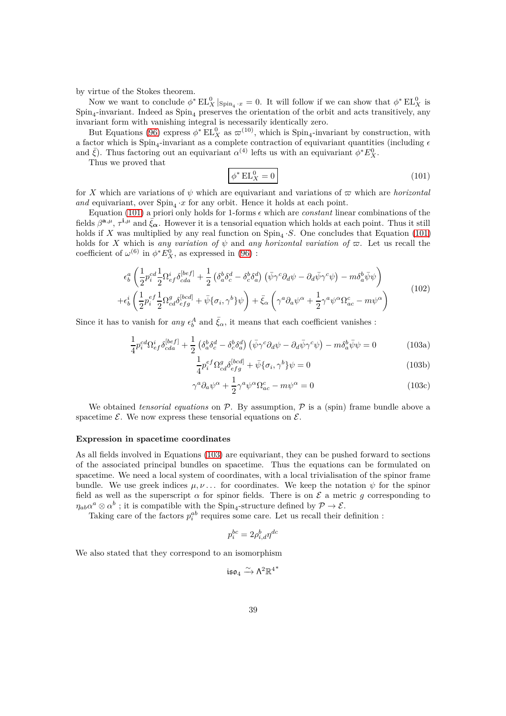by virtue of the Stokes theorem.

Now we want to conclude  $\phi^* \to L_X^0|_{Spin_4 \cdot x} = 0$ . It will follow if we can show that  $\phi^* \to L_X^0$  is  $\text{Spin}_4$ -invariant. Indeed as  $\text{Spin}_4$  preserves the orientation of the orbit and acts transitively, any invariant form with vanishing integral is necessarily identically zero.

But Equations [\(96\)](#page-36-2) express  $\phi^*$  EL<sub>X</sub> as  $\varpi^{(10)}$ , which is Spin<sub>4</sub>-invariant by construction, with a factor which is  $Spin_4$ -invariant as a complete contraction of equivariant quantities (including  $\epsilon$ and  $\bar{\xi}$ ). Thus factoring out an equivariant  $\alpha^{(4)}$  lefts us with an equivariant  $\phi^* E_X^0$ .

Thus we proved that

<span id="page-38-0"></span>
$$
\phi^* \operatorname{EL}_X^0 = 0 \tag{101}
$$

for *X* which are variations of  $\psi$  which are equivariant and variations of  $\varpi$  which are *horizontal* and equivariant, over  $Spin_4 \cdot x$  for any orbit. Hence it holds at each point.

Equation [\(101\)](#page-38-0) a priori only holds for 1-forms  $\epsilon$  which are *constant* linear combinations of the fields  $\beta^{a,\mu}, \tau^{i,\mu}$  and  $\bar{\xi}_{\alpha}$ . However it is a tensorial equation which holds at each point. Thus it still holds if X was multiplied by any real function on  $\text{Spin}_4 \cdot S$ . One concludes that Equation [\(101\)](#page-38-0) holds for *X* which is *any variation of*  $\psi$  and *any horizontal variation of*  $\varpi$ . Let us recall the coefficient of  $\omega^{(6)}$  in  $\phi^* E_X^0$ , as expressed in [\(96\)](#page-36-2) :

$$
\epsilon_b^a \left( \frac{1}{2} p_i^{cd} \frac{1}{2} \Omega_{ef}^i \delta_{cda}^{[bef]} + \frac{1}{2} \left( \delta_a^b \delta_c^d - \delta_c^b \delta_a^d \right) \left( \bar{\psi} \gamma^c \partial_d \psi - \partial_d \bar{\psi} \gamma^c \psi \right) - m \delta_a^b \bar{\psi} \psi \right) + \epsilon_b^i \left( \frac{1}{2} p_i^{ef} \frac{1}{2} \Omega_{cd}^g \delta_{efg}^{[bcd]} + \bar{\psi} \{ \sigma_i, \gamma^b \} \psi \right) + \bar{\xi}_{\alpha} \left( \gamma^a \partial_a \psi^{\alpha} + \frac{1}{2} \gamma^a \psi^{\alpha} \Omega_{ac}^c - m \psi^{\alpha} \right)
$$
(102)

Since it has to vanish for *any*  $\epsilon_b^A$  and  $\bar{\xi}_{\alpha}$ , it means that each coefficient vanishes :

$$
\frac{1}{4}p_i^{cd}\Omega_{ef}^i\delta_{cda}^{[bef]} + \frac{1}{2}\left(\delta_a^b\delta_c^d - \delta_c^b\delta_a^d\right)\left(\bar{\psi}\gamma^c\partial_d\psi - \partial_d\bar{\psi}\gamma^c\psi\right) - m\delta_a^b\bar{\psi}\psi = 0\tag{103a}
$$

<span id="page-38-3"></span><span id="page-38-2"></span><span id="page-38-1"></span>
$$
\frac{1}{4}p_i^{ef} \Omega_{cd}^g \delta_{efg}^{[bcd]} + \bar{\psi} \{ \sigma_i, \gamma^b \} \psi = 0
$$
\n(103b)

$$
\gamma^a \partial_a \psi^\alpha + \frac{1}{2} \gamma^a \psi^\alpha \Omega_{ac}^c - m \psi^\alpha = 0 \tag{103c}
$$

We obtained *tensorial equations* on  $P$ . By assumption,  $P$  is a (spin) frame bundle above a spacetime  $\mathcal{E}$ . We now express these tensorial equations on  $\mathcal{E}$ .

### **Expression in spacetime coordinates**

As all fields involved in Equations [\(103\)](#page-38-1) are equivariant, they can be pushed forward to sections of the associated principal bundles on spacetime. Thus the equations can be formulated on spacetime. We need a local system of coordinates, with a local trivialisation of the spinor frame bundle. We use greek indices  $\mu, \nu$ ... for coordinates. We keep the notation  $\psi$  for the spinor field as well as the superscript  $\alpha$  for spinor fields. There is on  $\mathcal E$  a metric g corresponding to  $\eta_{ab} \alpha^a \otimes \alpha^b$ ; it is compatible with the Spin<sub>4</sub>-structure defined by  $\mathcal{P} \to \mathcal{E}$ .

Taking care of the factors  $p_i^{ab}$  requires some care. Let us recall their definition :

$$
p_i^{bc} = 2\rho_{i,d}^b \eta^{dc}
$$

We also stated that they correspond to an isomorphism

$$
\mathfrak{iso}_4 \xrightarrow{\sim} \Lambda^2 \mathbb{R}^{4^*}
$$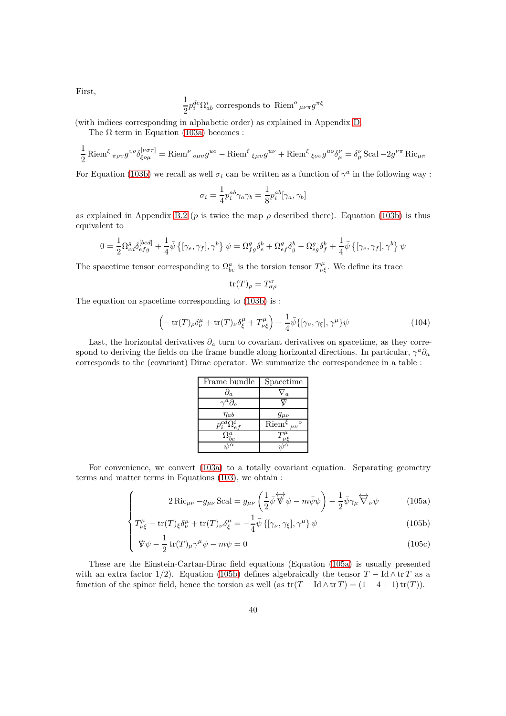1  $\frac{1}{2}p_i^{de}\Omega_{ab}^i$  corresponds to Riem<sup>o</sup><sub>μνπ</sub> $g^{\pi\xi}$ 

(with indices corresponding in alphabetic order) as explained in Appendix [D.](#page-51-0)

The  $\Omega$  term in Equation [\(103a\)](#page-38-2) becomes :

$$
\frac{1}{2}\operatorname{Riem}^{\xi}{}_{\pi\rho\upsilon}g^{\upsilon\delta}{}_{\xi\upsilon\mu}^{[\nu\sigma\tau]} = \operatorname{Riem}^{\nu}{}_{\upsilon\mu\upsilon}g^{\upsilon\delta} - \operatorname{Riem}^{\xi}{}_{\xi\mu\upsilon}g^{\upsilon\nu} + \operatorname{Riem}^{\xi}{}_{\xi\upsilon\upsilon}g^{\upsilon\delta}{}_{\mu}^{\nu} = \delta^{\nu}_{\mu}\operatorname{Scal} - 2g^{\nu\pi}\operatorname{Ric}_{\mu\pi}
$$

For Equation [\(103b\)](#page-38-3) we recall as well  $\sigma_i$  can be written as a function of  $\gamma^a$  in the following way :

$$
\sigma_i = \frac{1}{4} p_i^{ab} \gamma_a \gamma_b = \frac{1}{8} p_i^{ab} [\gamma_a, \gamma_b]
$$

as explained in Appendix [B.2](#page-47-2) ( $p$  is twice the map  $\rho$  described there). Equation [\(103b\)](#page-38-3) is thus equivalent to

$$
0 = \frac{1}{2} \Omega_{cd}^g \delta_{efg}^{[bcd]} + \frac{1}{4} \bar{\psi} \left\{ [\gamma_e, \gamma_f], \gamma^b \right\} \psi = \Omega_{fg}^g \delta_e^b + \Omega_{ef}^g \delta_g^b - \Omega_{eg}^g \delta_f^b + \frac{1}{4} \bar{\psi} \left\{ [\gamma_e, \gamma_f], \gamma^b \right\} \psi
$$

The spacetime tensor corresponding to  $\Omega^a_{bc}$  is the torsion tensor  $T^{\mu}_{\nu\xi}$ . We define its trace

$$
\operatorname{tr}(T)_{\rho} = T^{\sigma}_{\sigma\rho}
$$

The equation on spacetime corresponding to [\(103b\)](#page-38-3) is :

 $\sqrt{ }$ 

$$
\left(-\operatorname{tr}(T)_{\rho}\delta_{\nu}^{\mu}+\operatorname{tr}(T)_{\nu}\delta_{\xi}^{\mu}+T_{\nu\xi}^{\mu}\right)+\frac{1}{4}\bar{\psi}\{[\gamma_{\nu},\gamma_{\xi}],\gamma^{\mu}\}\psi\tag{104}
$$

Last, the horizontal derivatives  $\partial_a$  turn to covariant derivatives on spacetime, as they correspond to deriving the fields on the frame bundle along horizontal directions. In particular,  $\gamma^a \partial_a$ corresponds to the (covariant) Dirac operator. We summarize the correspondence in a table :

<span id="page-39-1"></span><span id="page-39-0"></span>

| Frame bundle                        | Spacetime                                     |
|-------------------------------------|-----------------------------------------------|
| $\partial_a$                        | $\overline{a}$                                |
| $\iota^a\partial_a$                 |                                               |
| $\eta_{ab}$                         | $g_{\mu\nu}$                                  |
| $\overline{p_i^{cd}} \Omega_{ef}^i$ | $\overline{\text{Riem}}^{\xi}{}_{\mu\nu}{}^o$ |
| $\Omega^a_{bc}$                     | $T^{\mu}_{\nu\xi}$                            |
| $\overline{\psi^{\alpha}}$          | $\sqrt{2}$                                    |

For convenience, we convert [\(103a\)](#page-38-2) to a totally covariant equation. Separating geometry terms and matter terms in Equations [\(103\)](#page-38-1), we obtain :

<span id="page-39-2"></span>
$$
2 \operatorname{Ric}_{\mu\nu} - g_{\mu\nu} \operatorname{Scal} = g_{\mu\nu} \left( \frac{1}{2} \bar{\psi} \overleftrightarrow{\nabla} \psi - m \bar{\psi} \psi \right) - \frac{1}{2} \bar{\psi} \gamma_{\mu} \overleftrightarrow{\nabla}_{\nu} \psi \tag{105a}
$$

$$
2 \operatorname{Ric}_{\mu\nu} - g_{\mu\nu} \operatorname{Scal} = g_{\mu\nu} \left( \frac{1}{2} \psi \nabla \psi - m \psi \psi \right) - \frac{1}{2} \psi \gamma_{\mu} \nabla_{\nu} \psi \qquad (105a)
$$
  

$$
T^{\mu}_{\nu\xi} - \operatorname{tr}(T)_{\xi} \delta^{\mu}_{\nu} + \operatorname{tr}(T)_{\nu} \delta^{\mu}_{\xi} = -\frac{1}{4} \bar{\psi} \left\{ [\gamma_{\nu}, \gamma_{\xi}], \gamma^{\mu} \right\} \psi \qquad (105b)
$$

$$
\oint \psi - \frac{1}{2} \operatorname{tr}(T) \mu \gamma^{\mu} \psi - m \psi = 0
$$
 (105c)

These are the Einstein-Cartan-Dirac field equations (Equation [\(105a\)](#page-39-0) is usually presented with an extra factor 1/2). Equation [\(105b\)](#page-39-1) defines algebraically the tensor  $T - \text{Id} \wedge \text{tr } T$  as a function of the spinor field, hence the torsion as well (as  $tr(T - Id \wedge tr T) = (1 - 4 + 1) tr(T)$ ).

First,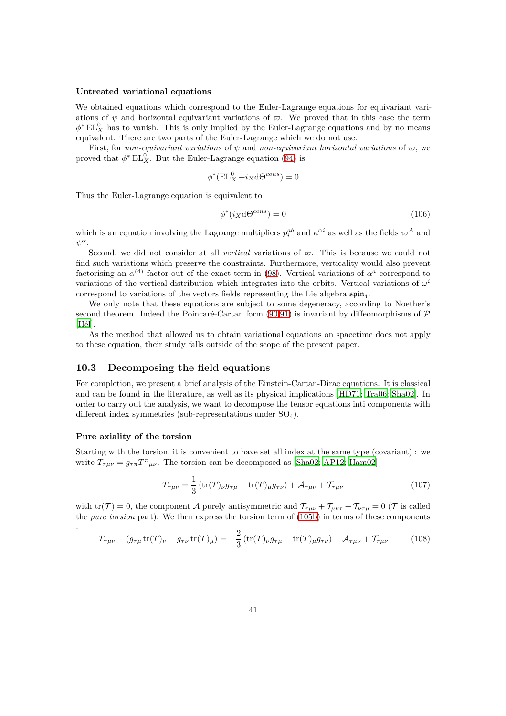#### **Untreated variational equations**

We obtained equations which correspond to the Euler-Lagrange equations for equivariant variations of  $\psi$  and horizontal equivariant variations of  $\varpi$ . We proved that in this case the term  $\phi^*$  EL<sup>0</sup><sub>X</sub> has to vanish. This is only implied by the Euler-Lagrange equations and by no means equivalent. There are two parts of the Euler-Lagrange which we do not use.

First, for *non-equivariant variations* of  $\psi$  and *non-equivariant horizontal variations* of  $\varpi$ , we proved that  $\phi^*$  EL<sup>0</sup><sub>X</sub>. But the Euler-Lagrange equation [\(94\)](#page-35-2) is

$$
\phi^*(\mathbf{EL}_X^0 + i_X \mathbf{d}\Theta^{cons}) = 0
$$

Thus the Euler-Lagrange equation is equivalent to

$$
\phi^*(i_X \, \mathrm{d}\Theta^{cons}) = 0 \tag{106}
$$

which is an equation involving the Lagrange multipliers  $p_i^{ab}$  and  $\kappa^{\alpha i}$  as well as the fields  $\omega^A$  and *ψ α*.

Second, we did not consider at all *vertical* variations of  $\varpi$ . This is because we could not find such variations which preserve the constraints. Furthermore, verticality would also prevent factorising an  $\alpha^{(4)}$  factor out of the exact term in [\(98\)](#page-37-0). Vertical variations of  $\alpha^a$  correspond to variations of the vertical distribution which integrates into the orbits. Vertical variations of  $\omega^i$ correspond to variations of the vectors fields representing the Lie algebra  $\mathfrak{spin}_4$ .

We only note that these equations are subject to some degeneracy, according to Noether's second theorem. Indeed the Poincaré-Cartan form  $(90.91)$  $(90.91)$  is invariant by diffeomorphisms of  $\mathcal P$ [\[Hél\]](#page-64-9).

As the method that allowed us to obtain variational equations on spacetime does not apply to these equation, their study falls outside of the scope of the present paper.

# <span id="page-40-0"></span>**10.3 Decomposing the field equations**

For completion, we present a brief analysis of the Einstein-Cartan-Dirac equations. It is classical and can be found in the literature, as well as its physical implications [\[HD71;](#page-64-10) [Tra06;](#page-65-7) [Sha02\]](#page-65-8). In order to carry out the analysis, we want to decompose the tensor equations inti components with different index symmetries (sub-representations under  $SO_4$ ).

#### **Pure axiality of the torsion**

Starting with the torsion, it is convenient to have set all index at the same type (covariant) : we write  $T_{\tau\mu\nu} = g_{\tau\pi} T^{\tau}_{\mu\nu}$ . The torsion can be decomposed as [\[Sha02;](#page-65-8) [AP12;](#page-63-7) [Ham02\]](#page-64-11)

$$
T_{\tau\mu\nu} = \frac{1}{3} \left( \text{tr}(T)_{\nu} g_{\tau\mu} - \text{tr}(T)_{\mu} g_{\tau\nu} \right) + \mathcal{A}_{\tau\mu\nu} + \mathcal{T}_{\tau\mu\nu}
$$
(107)

with  $tr(\mathcal{T}) = 0$ , the component A purely antisymmetric and  $\mathcal{T}_{\tau\mu\nu} + \mathcal{T}_{\mu\nu\tau} + \mathcal{T}_{\nu\tau\mu} = 0$  ( $\mathcal{T}$  is called the *pure torsion* part). We then express the torsion term of [\(105b\)](#page-39-1) in terms of these components :

$$
T_{\tau\mu\nu} - (g_{\tau\mu} \operatorname{tr}(T)_{\nu} - g_{\tau\nu} \operatorname{tr}(T)_{\mu}) = -\frac{2}{3} \left( \operatorname{tr}(T)_{\nu} g_{\tau\mu} - \operatorname{tr}(T)_{\mu} g_{\tau\nu} \right) + \mathcal{A}_{\tau\mu\nu} + \mathcal{T}_{\tau\mu\nu}
$$
(108)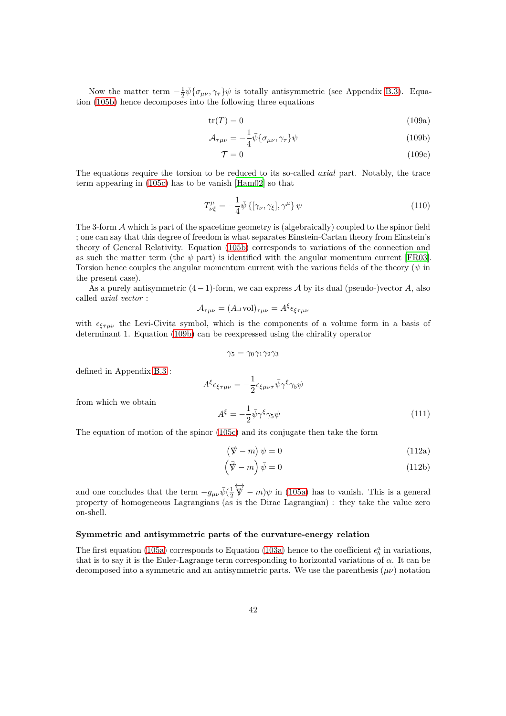Now the matter term  $-\frac{1}{2}\bar{\psi}\{\sigma_{\mu\nu},\gamma_{\tau}\}\psi$  is totally antisymmetric (see Appendix [B.3\)](#page-49-0). Equation [\(105b\)](#page-39-1) hence decomposes into the following three equations

$$
tr(T) = 0 \tag{109a}
$$

$$
\mathcal{A}_{\tau\mu\nu} = -\frac{1}{4}\bar{\psi}\{\sigma_{\mu\nu},\gamma_{\tau}\}\psi\tag{109b}
$$

<span id="page-41-0"></span>
$$
\mathcal{T} = 0 \tag{109c}
$$

The equations require the torsion to be reduced to its so-called *axial* part. Notably, the trace term appearing in [\(105c\)](#page-39-2) has to be vanish [\[Ham02](#page-64-11)] so that

$$
T^{\mu}_{\nu\xi} = -\frac{1}{4}\bar{\psi}\left\{[\gamma_{\nu}, \gamma_{\xi}], \gamma^{\mu}\right\}\psi\tag{110}
$$

The 3-form A which is part of the spacetime geometry is (algebraically) coupled to the spinor field ; one can say that this degree of freedom is what separates Einstein-Cartan theory from Einstein's theory of General Relativity. Equation [\(105b\)](#page-39-1) corresponds to variations of the connection and as such the matter term (the  $\psi$  part) is identified with the angular momentum current [\[FR03](#page-64-8)]. Torsion hence couples the angular momentum current with the various fields of the theory (*ψ* in the present case).

As a purely antisymmetric (4−1)-form, we can express A by its dual (pseudo-)vector *A*, also called *axial vector* :

$$
\mathcal{A}_{\tau\mu\nu} = (A \lrcorner \operatorname{vol})_{\tau\mu\nu} = A^{\xi} \epsilon_{\xi\tau\mu\nu}
$$

with  $\epsilon_{\xi\tau\mu\nu}$  the Levi-Civita symbol, which is the components of a volume form in a basis of determinant 1. Equation [\(109b\)](#page-41-0) can be reexpressed using the chirality operator

$$
\gamma_5=\gamma_0\gamma_1\gamma_2\gamma_3
$$

defined in Appendix [B.3](#page-49-0) :

$$
A^{\xi} \epsilon_{\xi \tau \mu \nu} = -\frac{1}{2} \epsilon_{\xi \mu \nu \tau} \bar{\psi} \gamma^{\xi} \gamma_5 \psi
$$

$$
A^{\xi} = -\frac{1}{2} \bar{\psi} \gamma^{\xi} \gamma_5 \psi
$$
(111)

from which we obtain

The equation of motion of the spinor [\(105c\)](#page-39-2) and its conjugate then take the form

<span id="page-41-1"></span>
$$
(\nabla - m)\psi = 0 \tag{112a}
$$

$$
\left(\bar{\nabla} - m\right)\bar{\psi} = 0\tag{112b}
$$

and one concludes that the term  $-g_{\mu\nu}\bar{\psi}(\frac{1}{2})$  $\overleftrightarrow{\nabla}$  –  $m$ ) $\psi$  in [\(105a\)](#page-39-0) has to vanish. This is a general property of homogeneous Lagrangians (as is the Dirac Lagrangian) : they take the value zero on-shell.

# **Symmetric and antisymmetric parts of the curvature-energy relation**

The first equation [\(105a\)](#page-39-0) corresponds to Equation [\(103a\)](#page-38-2) hence to the coefficient  $\epsilon_b^a$  in variations, that is to say it is the Euler-Lagrange term corresponding to horizontal variations of *α*. It can be decomposed into a symmetric and an antisymmetric parts. We use the parenthesis (*µν*) notation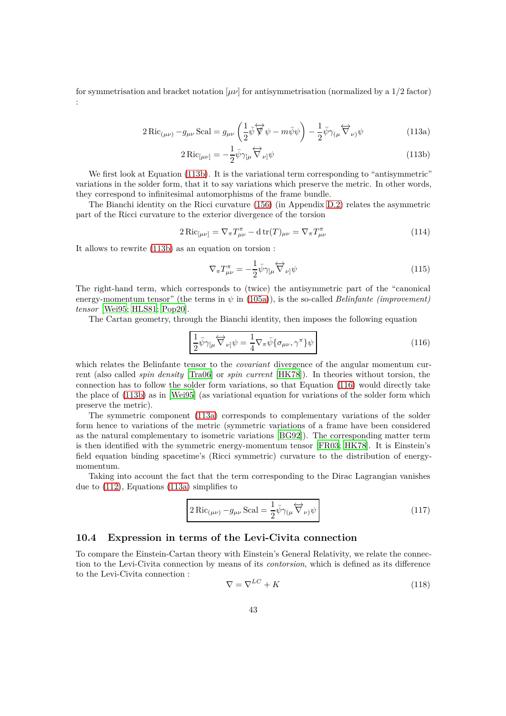for symmetrisation and bracket notation  $[\mu\nu]$  for antisymmetrisation (normalized by a  $1/2$  factor) :

$$
2 \operatorname{Ric}_{(\mu\nu)} - g_{\mu\nu} \operatorname{Scal} = g_{\mu\nu} \left( \frac{1}{2} \bar{\psi} \overleftrightarrow{\nabla} \psi - m \bar{\psi} \psi \right) - \frac{1}{2} \bar{\psi} \gamma_{(\mu} \overleftrightarrow{\nabla}_{\nu)} \psi \tag{113a}
$$

<span id="page-42-3"></span><span id="page-42-1"></span>
$$
2\operatorname{Ric}_{\left[\mu\nu\right]} = -\frac{1}{2}\bar{\psi}\gamma_{\left[\mu\right.}\overleftrightarrow{\nabla}_{\nu\right]}\psi\tag{113b}
$$

We first look at Equation [\(113b\)](#page-42-1). It is the variational term corresponding to "antisymmetric" variations in the solder form, that it to say variations which preserve the metric. In other words, they correspond to infinitesimal automorphisms of the frame bundle.

The Bianchi identity on the Ricci curvature [\(156\)](#page-54-1) (in Appendix [D.2\)](#page-54-0) relates the asymmetric part of the Ricci curvature to the exterior divergence of the torsion

<span id="page-42-4"></span>
$$
2\operatorname{Ric}_{\left[\mu\nu\right]} = \nabla_{\pi}T_{\mu\nu}^{\pi} - \operatorname{d}\operatorname{tr}(T)_{\mu\nu} = \nabla_{\pi}T_{\mu\nu}^{\pi}
$$
\n(114)

It allows to rewrite [\(113b\)](#page-42-1) as an equation on torsion :

$$
\nabla_{\pi}T_{\mu\nu}^{\pi} = -\frac{1}{2}\bar{\psi}\gamma_{\left[\mu\right.}\overleftrightarrow{\nabla}_{\nu\right.}\psi\tag{115}
$$

The right-hand term, which corresponds to (twice) the antisymmetric part of the "canonical energy-momentum tensor" (the terms in  $\psi$  in [\(105a\)](#page-39-0)), is the so-called *Belinfante (improvement) tensor* [\[Wei95](#page-65-6); [HLS81](#page-64-3); [Pop20\]](#page-65-1).

The Cartan geometry, through the Bianchi identity, then imposes the following equation

<span id="page-42-2"></span>
$$
\frac{1}{2}\bar{\psi}\gamma_{\mu}\overleftrightarrow{\nabla}_{\nu]}\psi = \frac{1}{4}\nabla_{\pi}\bar{\psi}\{\sigma_{\mu\nu},\gamma^{\pi}\}\psi
$$
\n(116)

which relates the Belinfante tensor to the *covariant* divergence of the angular momentum current (also called *spin density* [\[Tra06](#page-65-7)] or *spin current* [\[HK78\]](#page-64-2)). In theories without torsion, the connection has to follow the solder form variations, so that Equation [\(116\)](#page-42-2) would directly take the place of [\(113b\)](#page-42-1) as in [\[Wei95\]](#page-65-6) (as variational equation for variations of the solder form which preserve the metric).

The symmetric component [\(113a\)](#page-42-3) corresponds to complementary variations of the solder form hence to variations of the metric (symmetric variations of a frame have been considered as the natural complementary to isometric variations [\[BG92](#page-63-8)]). The corresponding matter term is then identified with the symmetric energy-momentum tensor [\[FR03;](#page-64-8) [HK78\]](#page-64-2). It is Einstein's field equation binding spacetime's (Ricci symmetric) curvature to the distribution of energymomentum.

Taking into account the fact that the term corresponding to the Dirac Lagrangian vanishes due to [\(112\)](#page-41-1), Equations [\(113a\)](#page-42-3) simplifies to

$$
2 \operatorname{Ric}_{(\mu\nu)} - g_{\mu\nu} \operatorname{Scal} = \frac{1}{2} \bar{\psi} \gamma_{(\mu} \overleftrightarrow{\nabla}_{\nu)} \psi
$$
 (117)

# <span id="page-42-0"></span>**10.4 Expression in terms of the Levi-Civita connection**

To compare the Einstein-Cartan theory with Einstein's General Relativity, we relate the connection to the Levi-Civita connection by means of its *contorsion*, which is defined as its difference to the Levi-Civita connection :

<span id="page-42-5"></span>
$$
\nabla = \nabla^{LC} + K \tag{118}
$$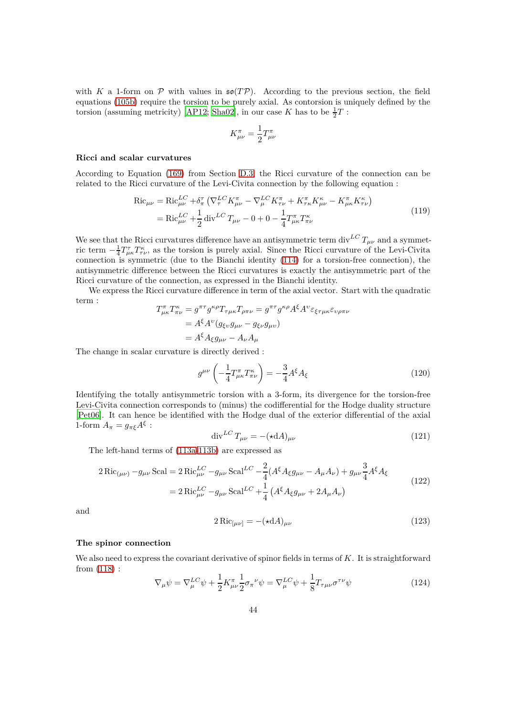with *K* a 1-form on  $P$  with values in  $\mathfrak{so}(TP)$ . According to the previous section, the field equations [\(105b\)](#page-39-1) require the torsion to be purely axial. As contorsion is uniquely defined by the torsion (assuming metricity) [\[AP12](#page-63-7); [Sha02\]](#page-65-8), in our case *K* has to be  $\frac{1}{2}T$ :

$$
K^{\pi}_{\mu\nu} = \frac{1}{2} T^{\pi}_{\mu\nu}
$$

#### **Ricci and scalar curvatures**

According to Equation [\(169\)](#page-57-3) from Section [D.3,](#page-57-0) the Ricci curvature of the connection can be related to the Ricci curvature of the Levi-Civita connection by the following equation :

$$
Ric_{\mu\nu} = Ric_{\mu\nu}^{LC} + \delta_{\pi}^{\tau} \left( \nabla_{\tau}^{LC} K_{\mu\nu}^{\pi} - \nabla_{\mu}^{LC} K_{\tau\nu}^{\pi} + K_{\tau\kappa}^{\pi} K_{\mu\nu}^{\kappa} - K_{\mu\kappa}^{\pi} K_{\tau\nu}^{\kappa} \right)
$$
  
=  $Ric_{\mu\nu}^{LC} + \frac{1}{2} \operatorname{div}^{LC} T_{\mu\nu} - 0 + 0 - \frac{1}{4} T_{\mu\kappa}^{\pi} T_{\pi\nu}^{\kappa}$  (119)

We see that the Ricci curvatures difference have an antisymmetric term div<sup>LC</sup>  $T_{\mu\nu}$  and a symmetric term  $-\frac{1}{4}T^{\tau}_{\mu\kappa}T^{\kappa}_{\tau\nu}$ , as the torsion is purely axial. Since the Ricci curvature of the Levi-Civita connection is symmetric (due to the Bianchi identity [\(114\)](#page-42-4) for a torsion-free connection), the antisymmetric difference between the Ricci curvatures is exactly the antisymmetric part of the Ricci curvature of the connection, as expressed in the Bianchi identity.

We express the Ricci curvature difference in term of the axial vector. Start with the quadratic term :

$$
T_{\mu\kappa}^{\pi}T_{\pi\nu}^{\kappa} = g^{\pi\tau}g^{\kappa\rho}T_{\tau\mu\kappa}T_{\rho\pi\nu} = g^{\pi\tau}g^{\kappa\rho}A^{\xi}A^{\nu}\varepsilon_{\xi\tau\mu\kappa}\varepsilon_{\nu\rho\pi\nu}
$$
  
=  $A^{\xi}A^{\nu}(g_{\xi\nu}g_{\mu\nu} - g_{\xi\nu}g_{\mu\nu})$   
=  $A^{\xi}A_{\xi}g_{\mu\nu} - A_{\nu}A_{\mu}$ 

The change in scalar curvature is directly derived :

$$
g^{\mu\nu}\left(-\frac{1}{4}T^{\pi}_{\mu\kappa}T^{\kappa}_{\pi\nu}\right) = -\frac{3}{4}A^{\xi}A_{\xi}
$$
\n(120)

Identifying the totally antisymmetric torsion with a 3-form, its divergence for the torsion-free Levi-Civita connection corresponds to (minus) the codifferential for the Hodge duality structure [\[Pet06\]](#page-65-9). It can hence be identified with the Hodge dual of the exterior differential of the axial 1-form  $A_{\pi} = g_{\pi\xi} A^{\xi}$ :

$$
\operatorname{div}^{LC} T_{\mu\nu} = -(\star \mathrm{d}A)_{\mu\nu} \tag{121}
$$

The left-hand terms of [\(113a](#page-42-3)[-113b\)](#page-42-1) are expressed as

$$
2 \operatorname{Ric}_{(\mu\nu)} - g_{\mu\nu} \operatorname{Scal} = 2 \operatorname{Ric}_{\mu\nu}^{LC} - g_{\mu\nu} \operatorname{Scal}^{LC} - \frac{2}{4} (A^{\xi} A_{\xi} g_{\mu\nu} - A_{\mu} A_{\nu}) + g_{\mu\nu} \frac{3}{4} A^{\xi} A_{\xi}
$$
  
= 
$$
2 \operatorname{Ric}_{\mu\nu}^{LC} - g_{\mu\nu} \operatorname{Scal}^{LC} + \frac{1}{4} (A^{\xi} A_{\xi} g_{\mu\nu} + 2 A_{\mu} A_{\nu})
$$
(122)

and

$$
2 \operatorname{Ric}_{\left[\mu\nu\right]} = -\left(\star \mathrm{d}A\right)_{\mu\nu} \tag{123}
$$

#### **The spinor connection**

We also need to express the covariant derivative of spinor fields in terms of *K*. It is straightforward from [\(118\)](#page-42-5) :

$$
\nabla_{\mu}\psi = \nabla_{\mu}^{LC}\psi + \frac{1}{2}K_{\mu\nu}^{\pi}\frac{1}{2}\sigma_{\pi}^{\nu}\psi = \nabla_{\mu}^{LC}\psi + \frac{1}{8}T_{\tau\mu\nu}\sigma^{\tau\nu}\psi
$$
\n(124)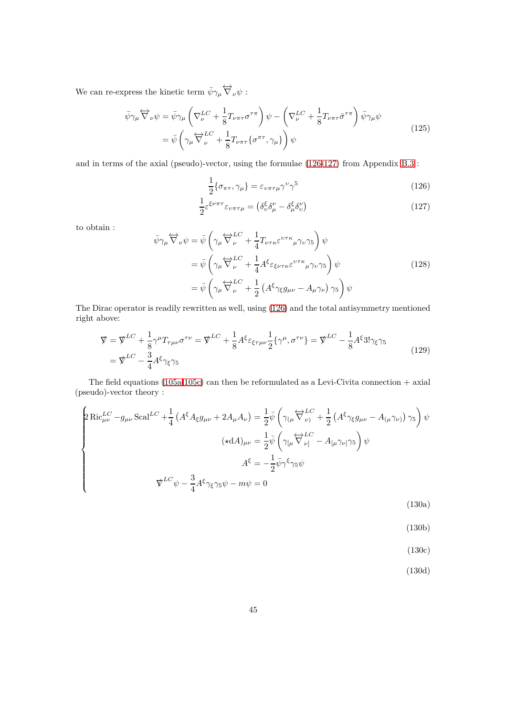We can re-express the kinetic term  $\bar{\psi}\gamma_\mu \overleftrightarrow{\nabla}_\nu \psi$ :

<span id="page-44-5"></span>
$$
\bar{\psi}\gamma_{\mu}\overleftrightarrow{\nabla}_{\nu}\psi = \bar{\psi}\gamma_{\mu}\left(\nabla_{\nu}^{LC} + \frac{1}{8}T_{\nu\pi\tau}\sigma^{\tau\pi}\right)\psi - \left(\nabla_{\nu}^{LC} + \frac{1}{8}T_{\nu\pi\tau}\bar{\sigma}^{\tau\pi}\right)\bar{\psi}\gamma_{\mu}\psi
$$
\n
$$
= \bar{\psi}\left(\gamma_{\mu}\overleftrightarrow{\nabla}_{\nu}^{LC} + \frac{1}{8}T_{\nu\pi\tau}\{\sigma^{\pi\tau},\gamma_{\mu}\}\right)\psi
$$
\n(125)

and in terms of the axial (pseudo)-vector, using the formulae [\(126](#page-44-0)[-127\)](#page-44-1) from Appendix [B.3](#page-49-0) :

<span id="page-44-1"></span><span id="page-44-0"></span>
$$
\frac{1}{2}\{\sigma_{\pi\tau}, \gamma_{\mu}\} = \varepsilon_{\nu\pi\tau\mu} \gamma^{\nu} \gamma^5 \tag{126}
$$

$$
\frac{1}{2} \varepsilon^{\xi \nu \pi \tau} \varepsilon_{\nu \pi \tau \mu} = \left( \delta_v^{\xi} \delta_{\mu}^{\nu} - \delta_{\mu}^{\xi} \delta_v^{\nu} \right)
$$
\n(127)

to obtain :

$$
\bar{\psi}\gamma_{\mu}\overleftrightarrow{\nabla}_{\nu}\psi = \bar{\psi}\left(\gamma_{\mu}\overleftrightarrow{\nabla}_{\nu}^{LC} + \frac{1}{4}T_{\nu\tau\kappa}\varepsilon^{\nu\tau\kappa}{}_{\mu}\gamma_{\nu}\gamma_{5}\right)\psi
$$
\n
$$
= \bar{\psi}\left(\gamma_{\mu}\overleftrightarrow{\nabla}_{\nu}^{LC} + \frac{1}{4}A^{\xi}\varepsilon_{\xi\nu\tau\kappa}\varepsilon^{\nu\tau\kappa}{}_{\mu}\gamma_{\nu}\gamma_{5}\right)\psi
$$
\n
$$
= \bar{\psi}\left(\gamma_{\mu}\overleftrightarrow{\nabla}_{\nu}^{LC} + \frac{1}{2}\left(A^{\xi}\gamma_{\xi}g_{\mu\nu} - A_{\mu}\gamma_{\nu}\right)\gamma_{5}\right)\psi
$$
\n(128)

The Dirac operator is readily rewritten as well, using [\(126\)](#page-44-0) and the total antisymmetry mentioned right above:

$$
\nabla = \nabla^{LC} + \frac{1}{8} \gamma^{\mu} T_{\tau \mu \nu} \sigma^{\tau \nu} = \nabla^{LC} + \frac{1}{8} A^{\xi} \varepsilon_{\xi \tau \mu \nu} \frac{1}{2} \{ \gamma^{\mu}, \sigma^{\tau \nu} \} = \nabla^{LC} - \frac{1}{8} A^{\xi} 3! \gamma_{\xi} \gamma_{5}
$$
\n
$$
= \nabla^{LC} - \frac{3}{4} A^{\xi} \gamma_{\xi} \gamma_{5}
$$
\n(129)

The field equations [\(105a-](#page-39-0)[105c\)](#page-39-2) can then be reformulated as a Levi-Civita connection + axial (pseudo)-vector theory :

$$
\begin{cases}\n\text{Ric}_{\mu\nu}^{LC} - g_{\mu\nu}\,\text{Scal}^{LC} + \frac{1}{4}\left(A^{\xi}A_{\xi}g_{\mu\nu} + 2A_{\mu}A_{\nu}\right) = \frac{1}{2}\bar{\psi}\left(\gamma_{(\mu}\overleftrightarrow{\nabla}^{LC}_{\nu)} + \frac{1}{2}\left(A^{\xi}\gamma_{\xi}g_{\mu\nu} - A_{(\mu}\gamma_{\nu)}\right)\gamma_{5}\right)\psi \\
\text{(d}A)_{\mu\nu} = \frac{1}{2}\bar{\psi}\left(\gamma_{[\mu}\overleftrightarrow{\nabla}^{LC}_{\nu]} - A_{[\mu}\gamma_{\nu]}\gamma_{5}\right)\psi \\
A^{\xi} = -\frac{1}{2}\bar{\psi}\gamma^{\xi}\gamma_{5}\psi \\
\psi^{LC}\psi - \frac{3}{4}A^{\xi}\gamma_{\xi}\gamma_{5}\psi - m\psi = 0\n\end{cases}
$$

<span id="page-44-4"></span>(130a)

(130b)

<span id="page-44-2"></span>(130c)

<span id="page-44-3"></span>(130d)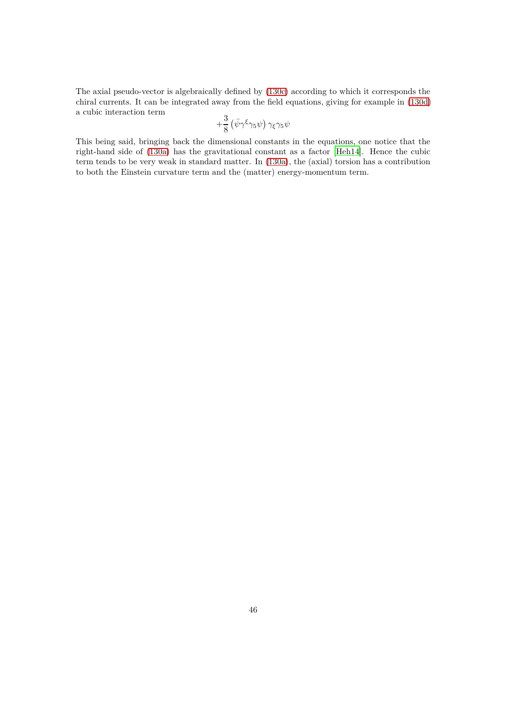The axial pseudo-vector is algebraically defined by [\(130c\)](#page-44-2) according to which it corresponds the chiral currents. It can be integrated away from the field equations, giving for example in [\(130d\)](#page-44-3) a cubic interaction term

$$
+\frac{3}{8}\left(\bar{\psi}\gamma^{\xi}\gamma_5\psi\right)\gamma_{\xi}\gamma_5\psi
$$

This being said, bringing back the dimensional constants in the equations, one notice that the right-hand side of [\(130a\)](#page-44-4) has the gravitational constant as a factor [\[Heh14\]](#page-64-12). Hence the cubic term tends to be very weak in standard matter. In [\(130a\)](#page-44-4), the (axial) torsion has a contribution to both the Einstein curvature term and the (matter) energy-momentum term.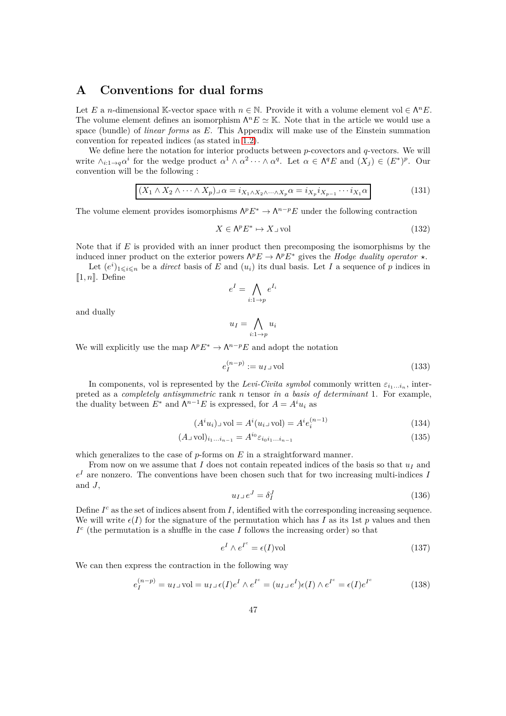# <span id="page-46-0"></span>**A Conventions for dual forms**

Let *E* a *n*-dimensional K-vector space with  $n \in \mathbb{N}$ . Provide it with a volume element vol  $\in \Lambda^n E$ . The volume element defines an isomorphism  $\Lambda^n E \simeq \mathbb{K}$ . Note that in the article we would use a space (bundle) of *linear forms* as *E*. This Appendix will make use of the Einstein summation convention for repeated indices (as stated in [1.2\)](#page-4-0).

We define here the notation for interior products between *p*-covectors and *q*-vectors. We will write  $\wedge_{i:1\to q}\alpha^i$  for the wedge product  $\alpha^1 \wedge \alpha^2 \cdots \wedge \alpha^q$ . Let  $\alpha \in \Lambda^q E$  and  $(X_j) \in (E^*)^p$ . Our convention will be the following :

$$
(X_1 \wedge X_2 \wedge \cdots \wedge X_p) \lrcorner \alpha = i_{X_1 \wedge X_2 \wedge \cdots \wedge X_p} \alpha = i_{X_p} i_{X_{p-1}} \cdots i_{X_1} \alpha
$$
\n(131)

The volume element provides isomorphisms  $\Lambda^p E^* \to \Lambda^{n-p} E$  under the following contraction

$$
X \in \Lambda^p E^* \mapsto X \lrcorner \text{vol} \tag{132}
$$

Note that if *E* is provided with an inner product then precomposing the isomorphisms by the induced inner product on the exterior powers  $\Lambda^p E \to \Lambda^p E^*$  gives the *Hodge duality operator*  $\star$ .

Let  $(e^{i})_{1\leqslant i\leqslant n}$  be a *direct* basis of *E* and  $(u_i)$  its dual basis. Let *I* a sequence of *p* indices in  $[1, n]$ . Define

$$
e^I = \bigwedge_{i:1 \to p} e^{I_i}
$$

and dually

$$
u_I = \bigwedge_{i:1 \to p} u_i
$$

We will explicitly use the map  $\Lambda^p E^* \to \Lambda^{n-p} E$  and adopt the notation

$$
e_I^{(n-p)} := u_I \lrcorner \operatorname{vol} \tag{133}
$$

In components, vol is represented by the *Levi-Civita symbol* commonly written  $\varepsilon_{i_1...i_n}$ , interpreted as a *completely antisymmetric* rank *n* tensor *in a basis of determinant* 1. For example, the duality between  $E^*$  and  $\Lambda^{n-1}E$  is expressed, for  $A = A^i u_i$  as

$$
(Aiui)1vol = Ai(ui1vol) = Aiei(n-1)
$$
\n(134)

$$
(A \cup \text{vol})_{i_1...i_{n-1}} = A^{i_0} \varepsilon_{i_0 i_1...i_{n-1}} \tag{135}
$$

which generalizes to the case of *p*-forms on *E* in a straightforward manner.

From now on we assume that *I* does not contain repeated indices of the basis so that  $u_I$  and *e <sup>I</sup>* are nonzero. The conventions have been chosen such that for two increasing multi-indices *I* and *J*,

$$
u_I \lrcorner \, e^J = \delta_I^J \tag{136}
$$

Define  $I^c$  as the set of indices absent from  $I$ , identified with the corresponding increasing sequence. We will write  $\epsilon(I)$  for the signature of the permutation which has I as its 1st p values and then  $I<sup>c</sup>$  (the permutation is a shuffle in the case *I* follows the increasing order) so that

<span id="page-46-1"></span>
$$
e^I \wedge e^{I^c} = \epsilon(I) \text{vol} \tag{137}
$$

We can then express the contraction in the following way

<span id="page-46-2"></span>
$$
e_I^{(n-p)} = u_I \cup \text{vol} = u_I \cup \epsilon(I) e^I \wedge e^{I^c} = (u_I \cup e^I) \epsilon(I) \wedge e^{I^c} = \epsilon(I) e^{I^c}
$$
(138)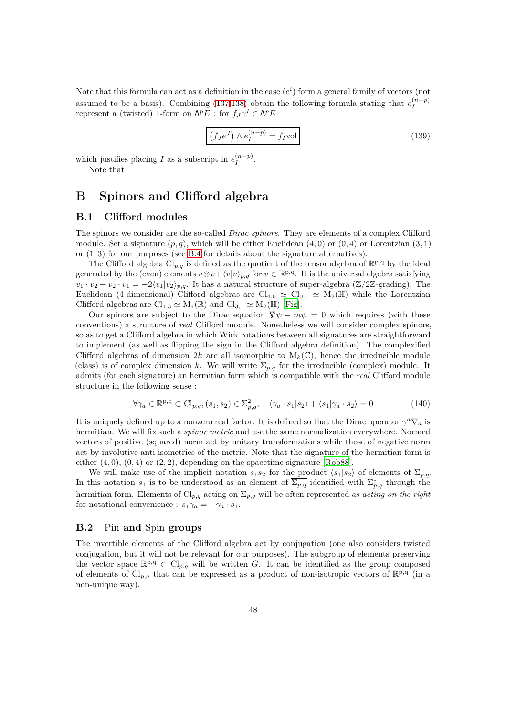Note that this formula can act as a definition in the case  $(e^i)$  form a general family of vectors (not assumed to be a basis). Combining [\(137](#page-46-1)[,138\)](#page-46-2) obtain the following formula stating that  $e_I^{(n-p)}$ represent a (twisted) 1-form on  $\Lambda^p E$ : for  $f_J e^J \in \Lambda^p E$ 

$$
(f_{J}e^{J}) \wedge e_{I}^{(n-p)} = f_{I}vol
$$
\n(139)

which justifies placing *I* as a subscript in  $e_I^{(n-p)}$  $I^{(n-p)}$ .

Note that

# <span id="page-47-0"></span>**B Spinors and Clifford algebra**

## <span id="page-47-1"></span>**B.1 Clifford modules**

The spinors we consider are the so-called *Dirac spinors*. They are elements of a complex Clifford module. Set a signature  $(p, q)$ , which will be either Euclidean  $(4, 0)$  or  $(0, 4)$  or Lorentzian  $(3, 1)$ or (1*,* 3) for our purposes (see [B.4](#page-49-1) for details about the signature alternatives).

The Clifford algebra  $\text{Cl}_{p,q}$  is defined as the quotient of the tensor algebra of  $\mathbb{R}^{p,q}$  by the ideal generated by the (even) elements  $v \otimes v + \langle v | v \rangle_{p,q}$  for  $v \in \mathbb{R}^{p,q}$ . It is the universal algebra satisfying  $v_1 \cdot v_2 + v_2 \cdot v_1 = -2\langle v_1 | v_2 \rangle_{p,q}$ . It has a natural structure of super-algebra ( $\mathbb{Z}/2\mathbb{Z}$ -grading). The Euclidean (4-dimensional) Clifford algebras are  $Cl_{4,0} \simeq Cl_{0,4} \simeq M_2(\mathbb{H})$  while the Lorentzian Clifford algebras are  $\text{Cl}_{1,3} \simeq \text{M}_4(\mathbb{R})$  and  $\text{Cl}_{3,1} \simeq \text{M}_2(\mathbb{H})$  [\[Fig\]](#page-64-13).

Our spinors are subject to the Dirac equation  $\nabla \psi - m\psi = 0$  which requires (with these conventions) a structure of *real* Clifford module. Nonetheless we will consider complex spinors, so as to get a Clifford algebra in which Wick rotations between all signatures are straightforward to implement (as well as flipping the sign in the Clifford algebra definition). The complexified Clifford algebras of dimension 2*k* are all isomorphic to  $M_k(\mathbb{C})$ , hence the irreducible module (class) is of complex dimension *k*. We will write  $\Sigma_{p,q}$  for the irreducible (complex) module. It admits (for each signature) an hermitian form which is compatible with the *real* Clifford module structure in the following sense :

<span id="page-47-3"></span>
$$
\forall \gamma_a \in \mathbb{R}^{p,q} \subset \text{Cl}_{p,q}, (s_1, s_2) \in \Sigma_{p,q}^2, \quad \langle \gamma_a \cdot s_1 | s_2 \rangle + \langle s_1 | \gamma_a \cdot s_2 \rangle = 0 \tag{140}
$$

It is uniquely defined up to a nonzero real factor. It is defined so that the Dirac operator  $\gamma^a \nabla_a$  is hermitian. We will fix such a *spinor metric* and use the same normalization everywhere. Normed vectors of positive (squared) norm act by unitary transformations while those of negative norm act by involutive anti-isometries of the metric. Note that the signature of the hermitian form is either  $(4, 0)$ ,  $(0, 4)$  or  $(2, 2)$ , depending on the spacetime signature [\[Rob88\]](#page-65-10).

We will make use of the implicit notation  $\bar{s_1} s_2$  for the product  $\langle s_1 | s_2 \rangle$  of elements of  $\Sigma_{p,q}$ . In this notation  $s_1$  is to be understood as an element of  $\overline{\Sigma_{p,q}}$  identified with  $\Sigma_{p,q}^*$  through the hermitian form. Elements of  $Cl_{p,q}$  acting on  $\overline{\Sigma_{p,q}}$  will be often represented *as acting on the right* for notational convenience :  $\bar{s_1}\gamma_a = -\bar{\gamma_a} \cdot \bar{s_1}$ .

# <span id="page-47-2"></span>**B.2** Pin **and** Spin **groups**

The invertible elements of the Clifford algebra act by conjugation (one also considers twisted conjugation, but it will not be relevant for our purposes). The subgroup of elements preserving the vector space  $\mathbb{R}^{p,q} \subset Cl_{p,q}$  will be written *G*. It can be identified as the group composed of elements of Cl<sub>p,q</sub> that can be expressed as a product of non-isotropic vectors of  $\mathbb{R}^{p,q}$  (in a non-unique way).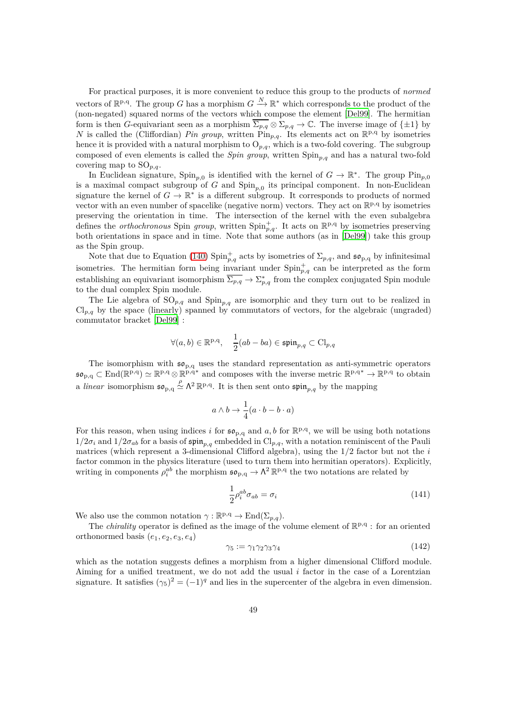For practical purposes, it is more convenient to reduce this group to the products of *normed* vectors of  $\mathbb{R}^{p,q}$ . The group *G* has a morphism  $G \stackrel{N}{\longrightarrow} \mathbb{R}^*$  which corresponds to the product of the (non-negated) squared norms of the vectors which compose the element [\[Del99\]](#page-64-14). The hermitian form is then *G*-equivariant seen as a morphism  $\overline{\Sigma_{p,q}} \otimes \Sigma_{p,q} \to \mathbb{C}$ . The inverse image of  $\{\pm 1\}$  by *N* is called the (Cliffordian) *Pin group*, written  $\widehat{\text{Pin}}_{p,q}$ . Its elements act on  $\mathbb{R}^{p,q}$  by isometries hence it is provided with a natural morphism to  $O_{p,q}$ , which is a two-fold covering. The subgroup composed of even elements is called the *Spin group*, written Spin*p,q* and has a natural two-fold covering map to  $SO_{p,q}$ .

In Euclidean signature,  $\text{Spin}_{p,0}$  is identified with the kernel of  $G \to \mathbb{R}^*$ . The group  $\text{Pin}_{p,0}$ is a maximal compact subgroup of *G* and Spin*p,*<sup>0</sup> its principal component. In non-Euclidean signature the kernel of  $G \to \mathbb{R}^*$  is a different subgroup. It corresponds to products of normed vector with an even number of spacelike (negative norm) vectors. They act on  $\mathbb{R}^{p,q}$  by isometries preserving the orientation in time. The intersection of the kernel with the even subalgebra defines the *orthochronous* Spin *group*, written  $\text{Spin}_{p,q}^+$ . It acts on  $\mathbb{R}^{p,q}$  by isometries preserving both orientations in space and in time. Note that some authors (as in [\[Del99](#page-64-14)]) take this group as the Spin group.

Note that due to Equation [\(140\)](#page-47-3)  $\text{Spin}_{p,q}^+$  acts by isometries of  $\Sigma_{p,q}$ , and  $\mathfrak{so}_{p,q}$  by infinitesimal isometries. The hermitian form being invariant under  $\text{Spin}_{p,q}^+$  can be interpreted as the form establishing an equivariant isomorphism  $\overline{\Sigma_{p,q}} \to \Sigma_{p,q}^*$  from the complex conjugated Spin module to the dual complex Spin module.

The Lie algebra of  $SO_{p,q}$  and  $Spin_{p,q}$  are isomorphic and they turn out to be realized in  $Cl_{p,q}$  by the space (linearly) spanned by commutators of vectors, for the algebraic (ungraded) commutator bracket [\[Del99](#page-64-14)] :

$$
\forall (a,b) \in \mathbb{R}^{p,q}, \quad \frac{1}{2}(ab-ba) \in \mathfrak{spin}_{p,q} \subset \text{Cl}_{p,q}
$$

The isomorphism with  $\mathfrak{so}_{p,q}$  uses the standard representation as anti-symmetric operators  $\mathfrak{so}_{p,q} \subset \text{End}(\mathbb{R}^{p,q}) \simeq \mathbb{R}^{p,q} \otimes \mathbb{R}^{p,q*}$  and composes with the inverse metric  $\mathbb{R}^{p,q*} \to \mathbb{R}^{p,q}$  to obtain a *linear* isomorphism  $\mathfrak{so}_{p,q} \stackrel{\rho}{\simeq} \Lambda^2 \mathbb{R}^{p,q}$ . It is then sent onto  $\mathfrak{spin}_{p,q}$  by the mapping

$$
a \wedge b \rightarrow \frac{1}{4}(a \cdot b - b \cdot a)
$$

For this reason, when using indices *i* for  $\mathfrak{so}_{p,q}$  and  $a, b$  for  $\mathbb{R}^{p,q}$ , we will be using both notations  $1/2\sigma_i$  and  $1/2\sigma_{ab}$  for a basis of  $\sin n_{p,q}$  embedded in  $Cl_{p,q}$ , with a notation reminiscent of the Pauli matrices (which represent a 3-dimensional Clifford algebra), using the 1*/*2 factor but not the *i* factor common in the physics literature (used to turn them into hermitian operators). Explicitly, writing in components  $\rho_i^{ab}$  the morphism  $\mathfrak{so}_{p,q} \to \Lambda^2 \mathbb{R}^{p,q}$  the two notations are related by

$$
\frac{1}{2}\rho_i^{ab}\sigma_{ab} = \sigma_i \tag{141}
$$

We also use the common notation  $\gamma : \mathbb{R}^{p,q} \to \text{End}(\Sigma_{p,q}).$ 

The *chirality* operator is defined as the image of the volume element of  $\mathbb{R}^{p,q}$ : for an oriented orthonormed basis  $(e_1, e_2, e_3, e_4)$ 

$$
\gamma_5 := \gamma_1 \gamma_2 \gamma_3 \gamma_4 \tag{142}
$$

which as the notation suggests defines a morphism from a higher dimensional Clifford module. Aiming for a unified treatment, we do not add the usual *i* factor in the case of a Lorentzian signature. It satisfies  $(\gamma_5)^2 = (-1)^q$  and lies in the supercenter of the algebra in even dimension.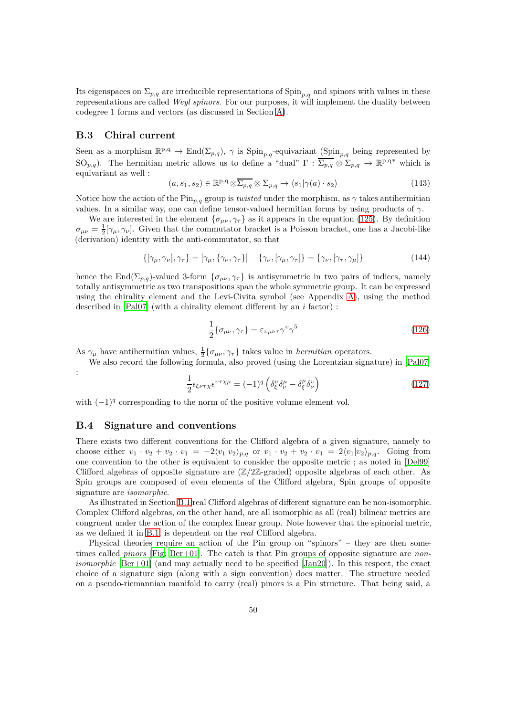Its eigenspaces on  $\Sigma_{p,q}$  are irreducible representations of  $\text{Spin}_{p,q}$  and spinors with values in these representations are called *Weyl spinors*. For our purposes, it will implement the duality between codegree 1 forms and vectors (as discussed in Section [A\)](#page-46-0).

# <span id="page-49-0"></span>**B.3 Chiral current**

Seen as a morphism  $\mathbb{R}^{p,q} \to \text{End}(\Sigma_{p,q})$ ,  $\gamma$  is  $\text{Spin}_{p,q}$ -equivariant  $(\text{Spin}_{p,q}$  being represented by SO<sub>p,q</sub>). The hermitian metric allows us to define a "dual"  $\Gamma : \overline{\Sigma_{p,q}} \otimes \Sigma_{p,q} \to \mathbb{R}^{p,q*}$  which is equivariant as well :

$$
(a, s_1, s_2) \in \mathbb{R}^{p,q} \otimes \overline{\Sigma_{p,q}} \otimes \Sigma_{p,q} \mapsto \langle s_1 | \gamma(a) \cdot s_2 \rangle \tag{143}
$$

Notice how the action of the  $\text{Pin}_{p,q}$  group is *twisted* under the morphism, as  $\gamma$  takes antihermitian values. In a similar way, one can define tensor-valued hermitian forms by using products of *γ*.

We are interested in the element  $\{\sigma_{\mu\nu}, \gamma_\tau\}$  as it appears in the equation [\(125\)](#page-44-5). By definition  $\sigma_{\mu\nu} = \frac{1}{2} [\gamma_{\mu}, \gamma_{\nu}]$ . Given that the commutator bracket is a Poisson bracket, one has a Jacobi-like (derivation) identity with the anti-commutator, so that

$$
\{[\gamma_{\mu}, \gamma_{\nu}], \gamma_{\tau}\} = [\gamma_{\mu}, \{\gamma_{\nu}, \gamma_{\tau}\}] - \{\gamma_{\nu}, [\gamma_{\mu}, \gamma_{\tau}]\} = \{\gamma_{\nu}, [\gamma_{\tau}, \gamma_{\mu}]\}\tag{144}
$$

hence the End( $\Sigma_{p,q}$ )-valued 3-form  $\{\sigma_{\mu\nu}, \gamma_{\tau}\}\$ is antisymmetric in two pairs of indices, namely totally antisymmetric as two transpositions span the whole symmetric group. It can be expressed using the chirality element and the Levi-Civita symbol (see Appendix [A\)](#page-46-0), using the method described in [\[Pal07\]](#page-65-11) (with a chirality element different by an *i* factor) :

$$
\frac{1}{2}\{\sigma_{\mu\nu}, \gamma_{\tau}\} = \varepsilon_{\nu\mu\nu\tau} \gamma^{\nu} \gamma^5 \tag{126}
$$

As  $\gamma_{\mu}$  have antihermitian values,  $\frac{1}{2} \{\sigma_{\mu\nu}, \gamma_{\tau}\}\)$  takes value in *hermitian* operators.

We also record the following formula, also proved (using the Lorentzian signature) in [\[Pal07\]](#page-65-11)

$$
\frac{1}{2}\epsilon_{\xi\nu\tau\chi}\epsilon^{\nu\tau\chi\mu} = (-1)^q \left(\delta^{\nu}_{\xi}\delta^{\mu}_{\nu} - \delta^{\mu}_{\xi}\delta^{\nu}_{\nu}\right)
$$
\n(127)

with  $(-1)^q$  corresponding to the norm of the positive volume element vol.

### <span id="page-49-1"></span>**B.4 Signature and conventions**

:

There exists two different conventions for the Clifford algebra of a given signature, namely to choose either  $v_1 \cdot v_2 + v_2 \cdot v_1 = -2\langle v_1 | v_2 \rangle_{p,q}$  or  $v_1 \cdot v_2 + v_2 \cdot v_1 = 2\langle v_1 | v_2 \rangle_{p,q}$ . Going from one convention to the other is equivalent to consider the opposite metric ; as noted in [\[Del99](#page-64-14)] Clifford algebras of opposite signature are (Z*/*2Z-graded) opposite algebras of each other. As Spin groups are composed of even elements of the Clifford algebra, Spin groups of opposite signature are *isomorphic*.

As illustrated in Section [B.1](#page-47-1) real Clifford algebras of different signature can be non-isomorphic. Complex Clifford algebras, on the other hand, are all isomorphic as all (real) bilinear metrics are congruent under the action of the complex linear group. Note however that the spinorial metric, as we defined it in [B.1,](#page-47-1) is dependent on the *real* Clifford algebra.

Physical theories require an action of the Pin group on "spinors" – they are then sometimes called *pinors* [\[Fig](#page-64-13); [Ber+01\]](#page-63-6). The catch is that Pin groups of opposite signature are *nonisomorphic* [\[Ber+01\]](#page-63-6) (and may actually need to be specified [\[Jan20\]](#page-64-15)). In this respect, the exact choice of a signature sign (along with a sign convention) does matter. The structure needed on a pseudo-riemannian manifold to carry (real) pinors is a Pin structure. That being said, a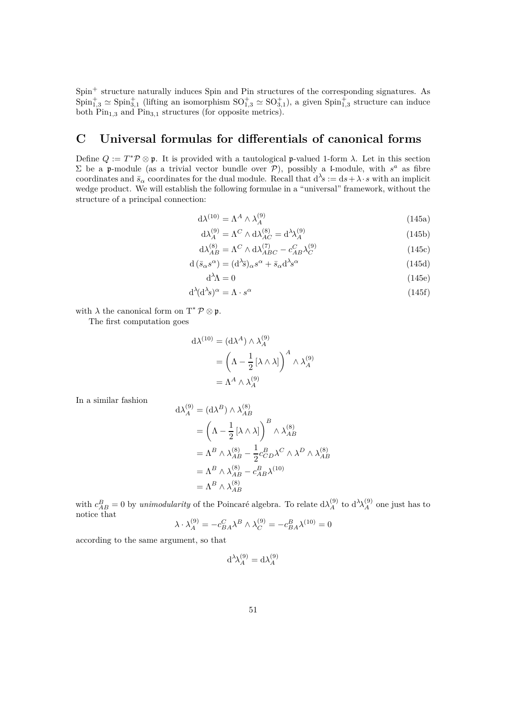Spin<sup>+</sup> structure naturally induces Spin and Pin structures of the corresponding signatures. As  $Spin_{1,3}^+\simeq Spin_{3,1}^+$  (lifting an isomorphism  $SO_{1,3}^+\simeq SO_{3,1}^+$ ), a given  $Spin_{1,3}^+$  structure can induce both Pin<sub>1,3</sub> and Pin<sub>3,1</sub> structures (for opposite metrics).

# <span id="page-50-0"></span>**C Universal formulas for differentials of canonical forms**

Define  $Q := T^* \mathcal{P} \otimes \mathfrak{p}$ . It is provided with a tautological p-valued 1-form  $\lambda$ . Let in this section  $\Sigma$  be a p-module (as a trivial vector bundle over P), possibly a l-module, with  $s^a$  as fibre coordinates and  $\bar{s}_{\alpha}$  coordinates for the dual module. Recall that  $d^{\lambda} s := ds + \lambda \cdot s$  with an implicit wedge product. We will establish the following formulae in a "universal" framework, without the structure of a principal connection:

$$
d\lambda^{(10)} = \Lambda^A \wedge \lambda_A^{(9)} \tag{145a}
$$

$$
d\lambda_A^{(9)} = \Lambda^C \wedge d\lambda_{AC}^{(8)} = d^{\lambda} \lambda_A^{(9)} \tag{145b}
$$

$$
d\lambda_{AB}^{(8)} = \Lambda^C \wedge d\lambda_{ABC}^{(7)} - c_{AB}^C \lambda_C^{(9)} \tag{145c}
$$

$$
d\left(\bar{s}_{\alpha}s^{\alpha}\right) = (d^{\lambda}\bar{s})_{\alpha}s^{\alpha} + \bar{s}_{\alpha}d^{\lambda}s^{\alpha} \tag{145d}
$$

$$
d^{\lambda} \Lambda = 0 \tag{145e}
$$

$$
d^{\lambda}(d^{\lambda}s)^{\alpha} = \Lambda \cdot s^{\alpha} \tag{145f}
$$

with  $\lambda$  the canonical form on  $T^* \mathcal{P} \otimes \mathfrak{p}$ .

The first computation goes

$$
d\lambda^{(10)} = (d\lambda^A) \wedge \lambda_A^{(9)}
$$
  
= 
$$
\left(\Lambda - \frac{1}{2} [\lambda \wedge \lambda] \right)^A \wedge \lambda_A^{(9)}
$$
  
= 
$$
\Lambda^A \wedge \lambda_A^{(9)}
$$

 $(9)$ 

In a similar fashion

$$
d\lambda_A^{(9)} = (d\lambda^B) \wedge \lambda_{AB}^{(8)}
$$
  
=  $\left(\Lambda - \frac{1}{2} [\lambda \wedge \lambda] \right)^B \wedge \lambda_{AB}^{(8)}$   
=  $\Lambda^B \wedge \lambda_{AB}^{(8)} - \frac{1}{2} c_{CD}^B \lambda^C \wedge \lambda^D \wedge \lambda_{AB}^{(8)}$   
=  $\Lambda^B \wedge \lambda_{AB}^{(8)} - c_{AB}^B \lambda^{(10)}$   
=  $\Lambda^B \wedge \lambda_{AB}^{(8)}$ 

with  $c_{AB}^B = 0$  by *unimodularity* of the Poincaré algebra. To relate  $d\lambda_A^{(9)}$ <sup>(9)</sup> to  $d^{\lambda}$ λ<sup>(9)</sup>  $\binom{9}{A}$  one just has to notice that

$$
\lambda \cdot \lambda_A^{(9)} = -c_{BA}^C \lambda^B \wedge \lambda_C^{(9)} = -c_{BA}^B \lambda^{(10)} = 0
$$

according to the same argument, so that

$$
d^{\lambda} \lambda_A^{(9)} = d \lambda_A^{(9)}
$$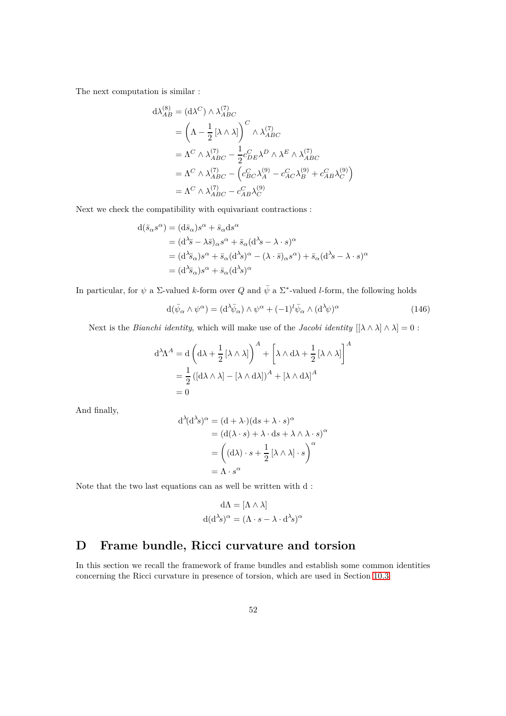The next computation is similar :

$$
d\lambda_{AB}^{(8)} = (d\lambda^C) \wedge \lambda_{ABC}^{(7)}
$$
  
=  $\left(\Lambda - \frac{1}{2} [\lambda \wedge \lambda] \right)^C \wedge \lambda_{ABC}^{(7)}$   
=  $\Lambda^C \wedge \lambda_{ABC}^{(7)} - \frac{1}{2} c_{DE}^C \lambda^D \wedge \lambda^E \wedge \lambda_{ABC}^{(7)}$   
=  $\Lambda^C \wedge \lambda_{ABC}^{(7)} - \left( c_{BC}^C \lambda_A^{(9)} - c_{AC}^C \lambda_B^{(9)} + c_{AB}^C \lambda_C^{(9)} \right)$   
=  $\Lambda^C \wedge \lambda_{ABC}^{(7)} - c_{AB}^C \lambda_C^{(9)}$ 

Next we check the compatibility with equivariant contractions :

$$
d(\bar{s}_{\alpha}s^{\alpha}) = (d\bar{s}_{\alpha})s^{\alpha} + \bar{s}_{\alpha}ds^{\alpha}
$$
  
=  $(d^{\lambda}\bar{s} - \lambda\bar{s})_{\alpha}s^{\alpha} + \bar{s}_{\alpha}(d^{\lambda}s - \lambda \cdot s)^{\alpha}$   
=  $(d^{\lambda}\bar{s}_{\alpha})s^{\alpha} + \bar{s}_{\alpha}(d^{\lambda}s)^{\alpha} - (\lambda \cdot \bar{s})_{\alpha}s^{\alpha}) + \bar{s}_{\alpha}(d^{\lambda}s - \lambda \cdot s)^{\alpha}$   
=  $(d^{\lambda}\bar{s}_{\alpha})s^{\alpha} + \bar{s}_{\alpha}(d^{\lambda}s)^{\alpha}$ 

In particular, for  $\psi$  a  $\Sigma$ -valued *k*-form over *Q* and  $\bar{\psi}$  a  $\Sigma^*$ -valued *l*-form, the following holds

$$
d(\bar{\psi}_{\alpha} \wedge \psi^{\alpha}) = (d^{\lambda} \bar{\psi}_{\alpha}) \wedge \psi^{\alpha} + (-1)^{l} \bar{\psi}_{\alpha} \wedge (d^{\lambda} \psi)^{\alpha}
$$
(146)

Next is the *Bianchi identity*, which will make use of the *Jacobi identity*  $[{\lambda \wedge \lambda} \wedge {\lambda}] = 0$ :

$$
d^{\lambda}\Lambda^{A} = d \left( d\lambda + \frac{1}{2} [\lambda \wedge \lambda] \right)^{A} + \left[ \lambda \wedge d\lambda + \frac{1}{2} [\lambda \wedge \lambda] \right]^{A}
$$

$$
= \frac{1}{2} ([d\lambda \wedge \lambda] - [\lambda \wedge d\lambda])^{A} + [\lambda \wedge d\lambda]^{A}
$$

$$
= 0
$$

And finally,

$$
d^{\lambda}(d^{\lambda}s)^{\alpha} = (d + \lambda \cdot)(ds + \lambda \cdot s)^{\alpha}
$$
  
=  $(d(\lambda \cdot s) + \lambda \cdot ds + \lambda \wedge \lambda \cdot s)^{\alpha}$   
=  $((d\lambda) \cdot s + \frac{1}{2} [\lambda \wedge \lambda] \cdot s)^{\alpha}$   
=  $\Lambda \cdot s^{\alpha}$ 

Note that the two last equations can as well be written with d :

$$
d\Lambda = [\Lambda \wedge \lambda]
$$

$$
d(d^{\lambda}s)^{\alpha} = (\Lambda \cdot s - \lambda \cdot d^{\lambda}s)^{\alpha}
$$

# <span id="page-51-0"></span>**D Frame bundle, Ricci curvature and torsion**

In this section we recall the framework of frame bundles and establish some common identities concerning the Ricci curvature in presence of torsion, which are used in Section [10.3.](#page-40-0)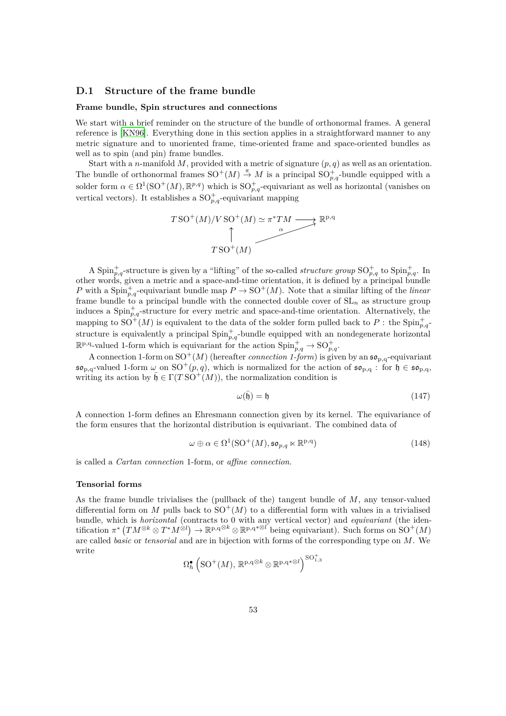# <span id="page-52-0"></span>**D.1 Structure of the frame bundle**

#### **Frame bundle, Spin structures and connections**

We start with a brief reminder on the structure of the bundle of orthonormal frames. A general reference is [\[KN96](#page-65-12)]. Everything done in this section applies in a straightforward manner to any metric signature and to unoriented frame, time-oriented frame and space-oriented bundles as well as to spin (and pin) frame bundles.

Start with a *n*-manifold *M*, provided with a metric of signature (*p, q*) as well as an orientation. The bundle of orthonormal frames  $SO^+(M) \stackrel{\pi}{\rightarrow} M$  is a principal  $SO_{p,q}^+$ -bundle equipped with a solder form  $\alpha \in \Omega^1(\mathrm{SO}^+(M), \mathbb{R}^{p,q})$  which is  $\mathrm{SO}^+_{p,q}$ -equivariant as well as horizontal (vanishes on vertical vectors). It establishes a  $SO_{p,q}^+$ -equivariant mapping



A Spin<sup>+</sup><sub>*p*,*q*</sub>-structure is given by a "lifting" of the so-called *structure group*  $SO_{p,q}^+$  to  $Spin_{p,q}^+$ . In other words, given a metric and a space-and-time orientation, it is defined by a principal bundle *P* with a  $\text{Spin}_{p,q}^+$ -equivariant bundle map  $P \to \text{SO}^+(M)$ . Note that a similar lifting of the *linear* frame bundle to a principal bundle with the connected double cover of  $SL_n$  as structure group induces a  $\text{Spin}_{p,q}^+$ -structure for every metric and space-and-time orientation. Alternatively, the mapping to  $SO^+(M)$  is equivalent to the data of the solder form pulled back to P : the  $Spin^+_{p,q}$ structure is equivalently a principal  $\text{Spin}_{p,q}^+$ -bundle equipped with an nondegenerate horizontal  $\mathbb{R}^{p,q}$ -valued 1-form which is equivariant for the action  $\text{Spin}_{p,q}^+ \to \text{SO}_{p,q}^+$ .

A connection 1-form on  $SO^+(M)$  (hereafter *connection 1-form*) is given by an  $\mathfrak{so}_{p,q}$ -equivariant  $\mathfrak{so}_{p,q}$ -valued 1-form  $\omega$  on  $SO^+(p,q)$ , which is normalized for the action of  $\mathfrak{so}_{p,q}$ : for  $\mathfrak{h} \in \mathfrak{so}_{p,q}$ , writing its action by  $\bar{\mathfrak{h}} \in \Gamma(T\text{SO}^+(M))$ , the normalization condition is

<span id="page-52-1"></span>
$$
\omega(\bar{\mathfrak{h}}) = \mathfrak{h} \tag{147}
$$

A connection 1-form defines an Ehresmann connection given by its kernel. The equivariance of the form ensures that the horizontal distribution is equivariant. The combined data of

$$
\omega \oplus \alpha \in \Omega^1(\text{SO}^+(M), \mathfrak{so}_{p,q} \ltimes \mathbb{R}^{p,q})
$$
\n(148)

is called a *Cartan connection* 1-form, or *affine connection*.

#### **Tensorial forms**

As the frame bundle trivialises the (pullback of the) tangent bundle of *M*, any tensor-valued differential form on *M* pulls back to  $SO^+(M)$  to a differential form with values in a trivialised bundle, which is *horizontal* (contracts to 0 with any vertical vector) and *equivariant* (the iden- $\text{tification } \pi^* (TM^{\otimes k} \otimes T^*M^{\otimes l}) \to \mathbb{R}^{p,q^{\otimes k}} \otimes \mathbb{R}^{p,q^{*\otimes l}}$  being equivariant). Such forms on  $\text{SO}^+(M)$ are called *basic* or *tensorial* and are in bijection with forms of the corresponding type on *M*. We write

$$
\Omega_h^{\bullet}\left(\mathrm{SO}^+(M), \, \mathbb{R}^{p,q \otimes k} \otimes \mathbb{R}^{p,q \ast \otimes l}\right)^{\mathrm{SO}^+_{1,3}}
$$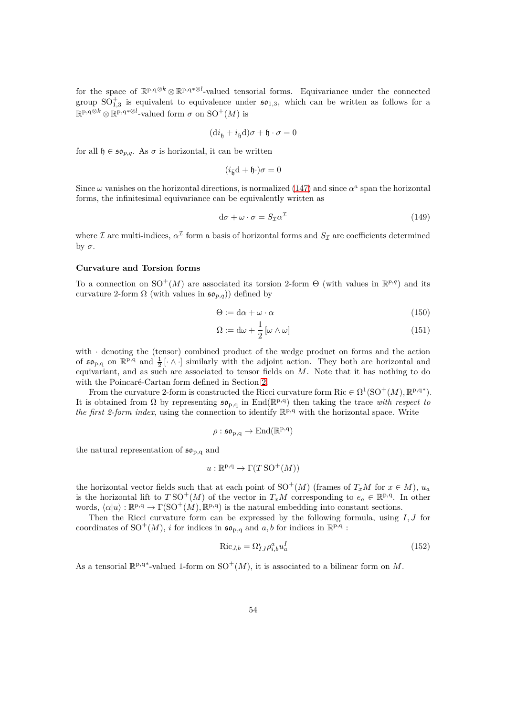for the space of  $\mathbb{R}^{p,q\otimes k} \otimes \mathbb{R}^{p,q*\otimes l}$ -valued tensorial forms. Equivariance under the connected group  $SO_{1,3}^+$  is equivalent to equivalence under  $\mathfrak{so}_{1,3}$ , which can be written as follows for a  $\mathbb{R}^{p,q\otimes k} \otimes \mathbb{R}^{p,q*\otimes l}$ -valued form  $\sigma$  on  $\mathrm{SO}^+(M)$  is

$$
(\mathrm{d} i_{\bar{\mathfrak h}}+i_{\bar{\mathfrak h}}{\mathrm{d}})\sigma+\mathfrak h\cdot\sigma=0
$$

for all  $\mathfrak{h} \in \mathfrak{so}_{p,q}$ . As  $\sigma$  is horizontal, it can be written

$$
(i_{\bar{\mathfrak{h}}}d + \mathfrak{h} \cdot) \sigma = 0
$$

Since  $\omega$  vanishes on the horizontal directions, is normalized [\(147\)](#page-52-1) and since  $\alpha^a$  span the horizontal forms, the infinitesimal equivariance can be equivalently written as

<span id="page-53-0"></span>
$$
d\sigma + \omega \cdot \sigma = S_{\mathcal{I}} \alpha^{\mathcal{I}} \tag{149}
$$

where  $\mathcal I$  are multi-indices,  $\alpha^{\mathcal I}$  form a basis of horizontal forms and  $S_{\mathcal I}$  are coefficients determined by *σ*.

# **Curvature and Torsion forms**

To a connection on  $SO^+(M)$  are associated its torsion 2-form  $\Theta$  (with values in  $\mathbb{R}^{p,q}$ ) and its curvature 2-form  $\Omega$  (with values in  $\mathfrak{so}_{p,q}$ )) defined by

$$
\Theta := d\alpha + \omega \cdot \alpha \tag{150}
$$

$$
\Omega := d\omega + \frac{1}{2} [\omega \wedge \omega]
$$
\n(151)

with  $\cdot$  denoting the (tensor) combined product of the wedge product on forms and the action of  $\mathfrak{so}_{p,q}$  on  $\mathbb{R}^{p,q}$  and  $\frac{1}{2}$  [ $\wedge$ ] similarly with the adjoint action. They both are horizontal and equivariant, and as such are associated to tensor fields on *M*. Note that it has nothing to do with the Poincaré-Cartan form defined in Section [2.](#page-5-0)

From the curvature 2-form is constructed the Ricci curvature form  $\mathrm{Ric} \in \Omega^1(\mathrm{SO}^+(M), \mathbb{R}^{p,q*})$ . It is obtained from  $\Omega$  by representing  $\mathfrak{so}_{p,q}$  in End( $\mathbb{R}^{p,q}$ ) then taking the trace *with respect to* the first 2-form index, using the connection to identify  $\mathbb{R}^{p,q}$  with the horizontal space. Write

$$
\rho: \mathfrak{so}_{p,q} \to \mathrm{End}(\mathbb{R}^{p,q})
$$

the natural representation of  $\mathfrak{so}_{p,q}$  and

$$
u: \mathbb{R}^{p,q} \to \Gamma(T\operatorname{SO}^+(M))
$$

the horizontal vector fields such that at each point of  $SO^+(M)$  (frames of  $T_xM$  for  $x \in M$ ),  $u_a$ is the horizontal lift to  $TSO^+(M)$  of the vector in  $T_xM$  corresponding to  $e_a \in \mathbb{R}^{p,q}$ . In other words,  $\langle \alpha | u \rangle : \mathbb{R}^{p,q} \to \Gamma(\text{SO}^+(M), \mathbb{R}^{p,q})$  is the natural embedding into constant sections.

Then the Ricci curvature form can be expressed by the following formula, using *I, J* for coordinates of SO<sup>+</sup>(M), *i* for indices in  $\mathfrak{so}_{p,q}$  and *a*, *b* for indices in  $\mathbb{R}^{p,q}$ :

$$
\text{Ric}_{J,b} = \Omega_{IJ}^i \rho_{i,b}^a u_a^I \tag{152}
$$

As a tensorial  $\mathbb{R}^{p,q*}$ -valued 1-form on  $\text{SO}^+(M)$ , it is associated to a bilinear form on M.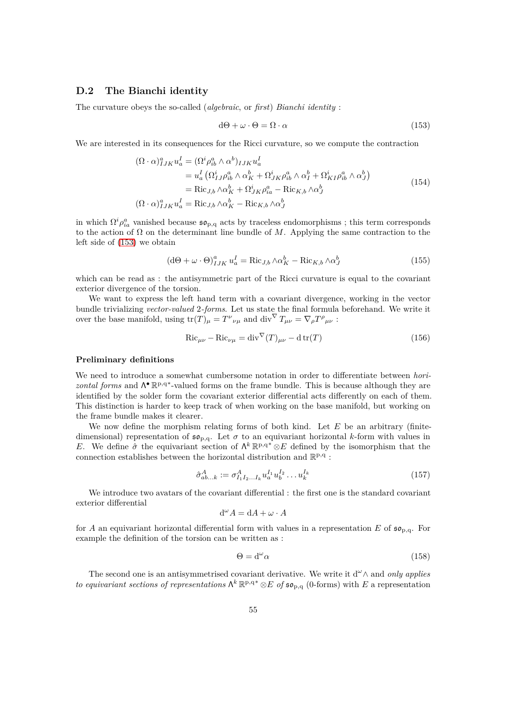### <span id="page-54-0"></span>**D.2 The Bianchi identity**

The curvature obeys the so-called (*algebraic*, or *first*) *Bianchi identity* :

<span id="page-54-2"></span>
$$
d\Theta + \omega \cdot \Theta = \Omega \cdot \alpha \tag{153}
$$

We are interested in its consequences for the Ricci curvature, so we compute the contraction

$$
(\Omega \cdot \alpha)^{a}_{IJK} u_{a}^{I} = (\Omega^{i} \rho_{ib}^{a} \wedge \alpha^{b})_{IJK} u_{a}^{I}
$$
  
\n
$$
= u_{a}^{I} (\Omega^{i}_{IJ} \rho_{ib}^{a} \wedge \alpha^{b}_{K} + \Omega^{i}_{JK} \rho_{ib}^{a} \wedge \alpha^{b}_{I} + \Omega^{i}_{KI} \rho_{ib}^{a} \wedge \alpha^{b}_{J})
$$
  
\n
$$
= \text{Ric}_{J,b} \wedge \alpha^{b}_{K} + \Omega^{i}_{JK} \rho_{ia}^{a} - \text{Ric}_{K,b} \wedge \alpha^{b}_{J}
$$
  
\n
$$
(\Omega \cdot \alpha)^{a}_{IJK} u_{a}^{I} = \text{Ric}_{J,b} \wedge \alpha^{b}_{K} - \text{Ric}_{K,b} \wedge \alpha^{b}_{J}
$$
  
\n(154)

in which  $\Omega^i \rho_{ia}^a$  vanished because  $\mathfrak{so}_{p,q}$  acts by traceless endomorphisms ; this term corresponds to the action of  $\Omega$  on the determinant line bundle of  $M$ . Applying the same contraction to the left side of [\(153\)](#page-54-2) we obtain

<span id="page-54-3"></span>
$$
\left(\mathrm{d}\Theta + \omega \cdot \Theta\right)_{IJK}^a u_a^I = \mathrm{Ric}_{J,b} \wedge \alpha_K^b - \mathrm{Ric}_{K,b} \wedge \alpha_J^b \tag{155}
$$

which can be read as : the antisymmetric part of the Ricci curvature is equal to the covariant exterior divergence of the torsion.

We want to express the left hand term with a covariant divergence, working in the vector bundle trivializing *vector-valued* 2*-forms*. Let us state the final formula beforehand. We write it over the base manifold, using  $tr(T)_{\mu} = T^{\nu}{}_{\nu\mu}$  and  $div^{\nabla} T_{\mu\nu} = \nabla_{\rho} T^{\rho}{}_{\mu\nu}$ :

<span id="page-54-1"></span>
$$
\text{Ric}_{\mu\nu} - \text{Ric}_{\nu\mu} = \text{div}^{\nabla}(T)_{\mu\nu} - \text{d}\,\text{tr}(T) \tag{156}
$$

#### **Preliminary definitions**

We need to introduce a somewhat cumbersome notation in order to differentiate between *horizontal forms* and Λ<sup>•</sup> R<sup>p,q∗</sup>-valued forms on the frame bundle. This is because although they are identified by the solder form the covariant exterior differential acts differently on each of them. This distinction is harder to keep track of when working on the base manifold, but working on the frame bundle makes it clearer.

We now define the morphism relating forms of both kind. Let *E* be an arbitrary (finitedimensional) representation of  $\mathfrak{so}_{p,q}$ . Let  $\sigma$  to an equivariant horizontal *k*-form with values in *E*. We define  $\hat{\sigma}$  the equivariant section of  $\Lambda^k \mathbb{R}^{p,q*} \otimes E$  defined by the isomorphism that the connection establishes between the horizontal distribution and  $\mathbb{R}^{p,q}$  :

$$
\hat{\sigma}_{ab...k}^A := \sigma_{I_1 I_2...I_k}^A u_a^{I_1} u_b^{I_2} \dots u_k^{I_k}
$$
\n(157)

We introduce two avatars of the covariant differential : the first one is the standard covariant exterior differential

$$
\mathrm{d}^{\omega} A = \mathrm{d} A + \omega \cdot A
$$

for *A* an equivariant horizontal differential form with values in a representation *E* of  $\mathfrak{so}_{p,q}$ . For example the definition of the torsion can be written as :

$$
\Theta = d^{\omega} \alpha \tag{158}
$$

The second one is an antisymmetrised covariant derivative. We write it d*ω*∧ and *only applies to equivariant sections of representations*  $\Lambda^k \mathbb{R}^{p,q*} \otimes E$  *of*  $\mathfrak{so}_{p,q}$  (0-forms) with *E* a representation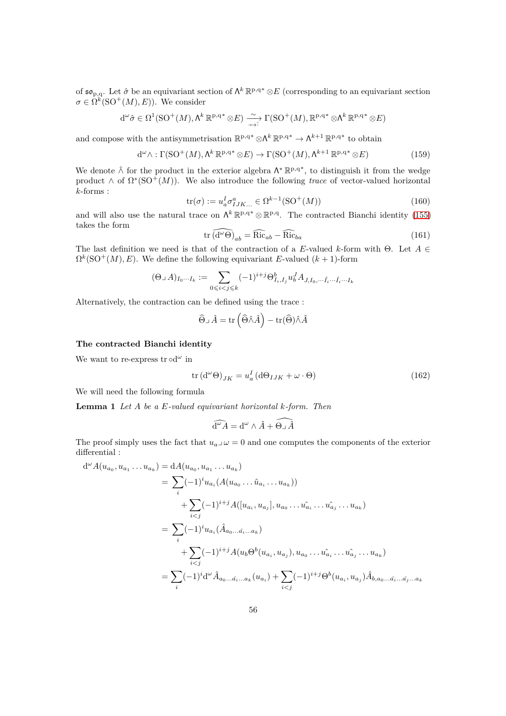of  $\mathfrak{so}_{p,q}$ . Let  $\hat{\sigma}$  be an equivariant section of  $\Lambda^k \mathbb{R}^{p,q*} \otimes E$  (corresponding to an equivariant section  $\sigma \in \Omega^k(\mathrm{SO}^+(M), E)$ ). We consider

$$
d^{\omega}\hat{\sigma} \in \Omega^{1}(\mathrm{SO}^{+}(M), \Lambda^{k}\mathbb{R}^{p,q*} \otimes E) \xrightarrow{\sim} \Gamma(\mathrm{SO}^{+}(M), \mathbb{R}^{p,q*} \otimes \Lambda^{k}\mathbb{R}^{p,q*} \otimes E)
$$

and compose with the antisymmetrisation  $\mathbb{R}^{p,q*} \otimes \Lambda^k \mathbb{R}^{p,q*} \to \Lambda^{k+1} \mathbb{R}^{p,q*}$  to obtain

$$
d^{\omega} \wedge : \Gamma(SO^{+}(M), \Lambda^{k} \mathbb{R}^{p,q*} \otimes E) \to \Gamma(SO^{+}(M), \Lambda^{k+1} \mathbb{R}^{p,q*} \otimes E)
$$
(159)

We denote  $\hat{\wedge}$  for the product in the exterior algebra Λ<sup>\*</sup> ℝ<sup>p,q\*</sup>, to distinguish it from the wedge product  $\wedge$  of  $\Omega^*(\text{SO}^+(M))$ . We also introduce the following *trace* of vector-valued horizontal *k*-forms :

$$
\text{tr}(\sigma) := u_a^I \sigma_{IJK...}^a \in \Omega^{k-1}(\text{SO}^+(M)) \tag{160}
$$

and will also use the natural trace on  $\Lambda^k \mathbb{R}^{p,q*} \otimes \mathbb{R}^{p,q}$ . The contracted Bianchi identity [\(155\)](#page-54-3) takes the form

<span id="page-55-0"></span>
$$
\operatorname{tr}\widehat{\left(\mathrm{d}^{\omega}\Theta\right)}_{ab} = \widehat{\mathrm{Ric}}_{ab} - \widehat{\mathrm{Ric}}_{ba} \tag{161}
$$

The last definition we need is that of the contraction of a *E*-valued *k*-form with Θ. Let *A* ∈  $\Omega^k(SO^+(M), E)$ . We define the following equivariant *E*-valued  $(k+1)$ -form

$$
(\Theta\lrcorner\, A)_{I_0\cdots I_k}:=\sum_{0\leqslant i
$$

Alternatively, the contraction can be defined using the trace :

$$
\widehat{\Theta} \lrcorner \,\hat{A} = \operatorname{tr}\left(\widehat{\Theta} \hat{\wedge} \hat{A}\right) - \operatorname{tr}(\widehat{\Theta}) \hat{\wedge} \hat{A}
$$

# **The contracted Bianchi identity**

We want to re-express  $\text{tr} \circ d^{\omega}$  in

<span id="page-55-1"></span>
$$
\operatorname{tr} (\mathrm{d}^{\omega} \Theta)_{JK} = u_a^I (\mathrm{d} \Theta_{IJK} + \omega \cdot \Theta) \tag{162}
$$

We will need the following formula

**Lemma 1** *Let A be a E-valued equivariant horizontal k-form. Then*

$$
\widehat{\mathrm{d}^\omega A} = \mathrm{d}^\omega \wedge \hat{A} + \widehat{\Theta \sqcup \hat{A}}
$$

The proof simply uses the fact that  $u_a \rightharpoonup \omega = 0$  and one computes the components of the exterior differential :

$$
d^{\omega} A(u_{a_0}, u_{a_1} \dots u_{a_k}) = dA(u_{a_0}, u_{a_1} \dots u_{a_k})
$$
  
\n
$$
= \sum_i (-1)^i u_{a_i} (A(u_{a_0} \dots \hat{u}_{a_i} \dots u_{a_k}))
$$
  
\n
$$
+ \sum_{i < j} (-1)^{i+j} A([u_{a_i}, u_{a_j}], u_{a_0} \dots u_{a_i} \dots u_{a_j} \dots u_{a_k})
$$
  
\n
$$
= \sum_i (-1)^i u_{a_i} (\hat{A}_{a_0 \dots \hat{a_i} \dots a_k})
$$
  
\n
$$
+ \sum_{i < j} (-1)^{i+j} A(u_b \Theta^b(u_{a_i}, u_{a_j}), u_{a_0} \dots u_{a_i} \dots u_{a_j} \dots u_{a_k})
$$
  
\n
$$
= \sum_i (-1)^i d^{\omega} \hat{A}_{a_0 \dots \hat{a_i} \dots a_k} (u_{a_i}) + \sum_{i < j} (-1)^{i+j} \Theta^b(u_{a_i}, u_{a_j}) \hat{A}_{b, a_0 \dots \hat{a_i} \dots a_j}.
$$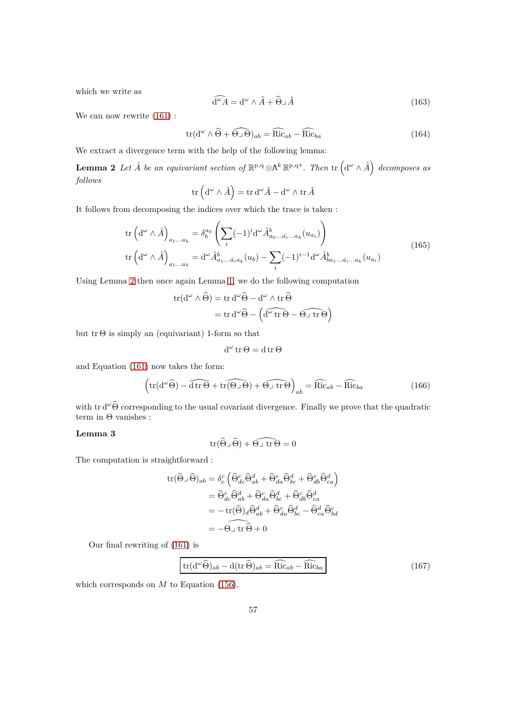which we write as

$$
\widehat{\mathrm{d}^{\omega} A} = \mathrm{d}^{\omega} \wedge \hat{A} + \widehat{\Theta} \lrcorner \hat{A} \tag{163}
$$

<span id="page-56-0"></span>!

We can now rewrite [\(161\)](#page-55-0) :

$$
\operatorname{tr}(\mathrm{d}^{\omega}\wedge\widehat{\Theta}+\widehat{\Theta}\lrcorner\,\widehat{\Theta})_{ab}=\widehat{\operatorname{Ric}}_{ab}-\widehat{\operatorname{Ric}}_{ba}\tag{164}
$$

We extract a divergence term with the help of the following lemma:

**Lemma 2** *Let*  $\hat{A}$  *be an equivariant section of*  $\mathbb{R}^{p,q} \otimes \Lambda^k \mathbb{R}^{p,q*}$ *. Then*  $\text{tr} \left( \mathrm{d}^\omega \wedge \hat{A} \right)$  *decomposes as follows*

$$
\operatorname{tr}\left(\operatorname{d}^{\omega}\wedge\hat{A}\right)=\operatorname{tr}\operatorname{d}^{\omega}\hat{A}-\operatorname{d}^{\omega}\wedge\operatorname{tr}\hat{A}
$$

It follows from decomposing the indices over which the trace is taken :

$$
\operatorname{tr}\left(\mathrm{d}^{\omega}\wedge\hat{A}\right)_{a_1\ldots a_k} = \delta_b^{a_0} \left(\sum_i (-1)^i \mathrm{d}^{\omega}\hat{A}_{a_0\ldots\hat{a}_i\ldots a_k}^b(u_{a_i})\right)
$$
\n
$$
\operatorname{tr}\left(\mathrm{d}^{\omega}\wedge\hat{A}\right)_{a_1\ldots a_k} = \mathrm{d}^{\omega}\hat{A}_{a_1\ldots\hat{a}_i a_k}^b(u_b) - \sum_i (-1)^{i-1} \mathrm{d}^{\omega}\hat{A}_{b a_1\ldots\hat{a}_i\ldots a_k}^b(u_{a_i})
$$
\n(165)

Using Lemma [2](#page-56-0) then once again Lemma [1,](#page-55-1) we do the following computation

$$
tr(d^{\omega} \wedge \widehat{\Theta}) = tr d^{\omega} \widehat{\Theta} - d^{\omega} \wedge tr \widehat{\Theta}
$$
  
= tr d^{\omega} \widehat{\Theta} - (\widehat{d^{\omega} tr \Theta} - \widehat{\Theta \cup tr \Theta})

but  $\text{tr } \Theta$  is simply an (equivariant) 1-form so that

$$
d^{\omega}\operatorname{tr}\Theta = d\operatorname{tr}\Theta
$$

and Equation [\(161\)](#page-55-0) now takes the form:

$$
\left(\text{tr}(\text{d}^{\omega}\widehat{\Theta}) - \widehat{\text{d}\text{tr}\,\Theta} + \widehat{\text{tr}(\Theta \cup \Theta)} + \widehat{\Theta \cup \text{tr}\,\Theta}\right)_{ab} = \widehat{\text{Ric}}_{ab} - \widehat{\text{Ric}}_{ba}
$$
(166)

with tr  $d^{\omega}\widehat{\Theta}$  corresponding to the usual covariant divergence. Finally we prove that the quadratic term in  $Θ$  vanishes :

# **Lemma 3**

$$
\mathrm{tr}(\widehat{\Theta}\lrcorner\,\widehat{\Theta})+\widehat{\Theta\lrcorner\,\,\mathrm{tr}\,\Theta}=0
$$

The computation is straightforward :

$$
\begin{aligned} \mbox{tr}(\widehat{\Theta}_-\widehat{\Theta})_{ab} &= \delta_e^c \left( \widehat{\Theta}_{dc}^e \widehat{\Theta}_{ab}^d + \widehat{\Theta}_{da}^e \widehat{\Theta}_{bc}^d + \widehat{\Theta}_{db}^e \widehat{\Theta}_{ca}^d \right) \\ &= \widehat{\Theta}_{dc}^c \widehat{\Theta}_{ab}^d + \widehat{\Theta}_{da}^c \widehat{\Theta}_{bc}^d + \widehat{\Theta}_{ab}^c \widehat{\Theta}_{ca}^d \\ &= -\mbox{tr}(\widehat{\Theta})_d \widehat{\Theta}_{ab}^d + \widehat{\Theta}_{da}^c \widehat{\Theta}_{bc}^d - \widehat{\Theta}_{ca}^d \widehat{\Theta}_{bd}^c \\ &= -\Theta_\perp \mbox{tr} \, \widehat{\Theta} + 0 \end{aligned}
$$

Our final rewriting of [\(161\)](#page-55-0) is

<span id="page-56-1"></span>
$$
\operatorname{tr}(\mathrm{d}^{\omega}\widehat{\Theta})_{ab} - \mathrm{d}(\operatorname{tr}\widehat{\Theta})_{ab} = \widehat{\operatorname{Ric}}_{ab} - \widehat{\operatorname{Ric}}_{ba} \tag{167}
$$

which corresponds on *M* to Equation [\(156\)](#page-54-1).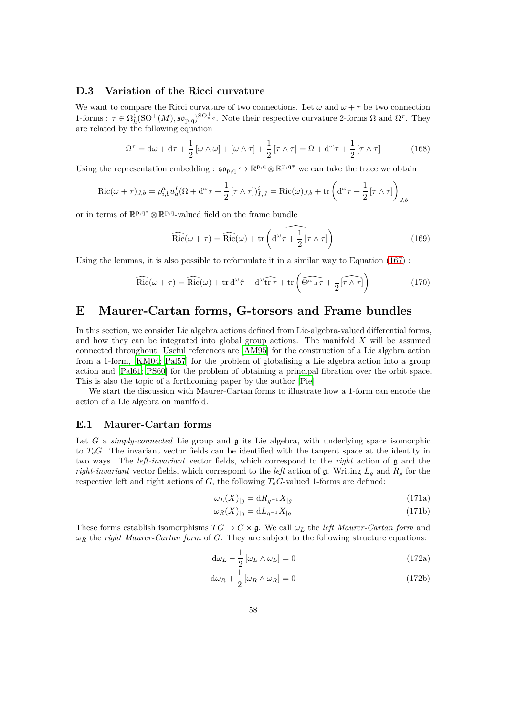# <span id="page-57-0"></span>**D.3 Variation of the Ricci curvature**

We want to compare the Ricci curvature of two connections. Let  $\omega$  and  $\omega + \tau$  be two connection 1-forms :  $\tau \in \Omega_h^1(\mathrm{SO}^+(M), \mathfrak{so}_{p,q})^{\mathrm{SO}^+_{p,q}}$ . Note their respective curvature 2-forms  $\Omega$  and  $\Omega^{\tau}$ . They are related by the following equation

$$
\Omega^{\tau} = d\omega + d\tau + \frac{1}{2} [\omega \wedge \omega] + [\omega \wedge \tau] + \frac{1}{2} [\tau \wedge \tau] = \Omega + d^{\omega} \tau + \frac{1}{2} [\tau \wedge \tau]
$$
(168)

Using the representation embedding :  $\mathfrak{so}_{p,q} \hookrightarrow \mathbb{R}^{p,q} \otimes \mathbb{R}^{p,q*}$  we can take the trace we obtain

$$
\operatorname{Ric}(\omega + \tau)_{J,b} = \rho_{i,b}^a u_a^I (\Omega + d^\omega \tau + \frac{1}{2} [\tau \wedge \tau])_{I,J}^i = \operatorname{Ric}(\omega)_{J,b} + \operatorname{tr} \left( d^\omega \tau + \frac{1}{2} [\tau \wedge \tau] \right)_{J,b}
$$

or in terms of  $\mathbb{R}^{p,q*} \otimes \mathbb{R}^{p,q}$ -valued field on the frame bundle

<span id="page-57-3"></span>
$$
\widehat{\rm Ric}(\omega + \tau) = \widehat{\rm Ric}(\omega) + \text{tr}\left(\widehat{\mathrm{d}^{\omega}\tau + \frac{1}{2}[\tau \wedge \tau]}\right) \tag{169}
$$

Using the lemmas, it is also possible to reformulate it in a similar way to Equation [\(167\)](#page-56-1) :

$$
\widehat{\rm Ric}(\omega + \tau) = \widehat{\rm Ric}(\omega) + \text{tr d}^{\omega}\hat{\tau} - d^{\omega}\widehat{\text{tr }\tau} + \text{tr }\left(\widehat{\Theta^{\omega}\lrcorner\tau} + \frac{1}{2}[\widehat{\tau\wedge\tau}]\right)
$$
(170)

# <span id="page-57-1"></span>**E Maurer-Cartan forms, G-torsors and Frame bundles**

In this section, we consider Lie algebra actions defined from Lie-algebra-valued differential forms, and how they can be integrated into global group actions. The manifold *X* will be assumed connected throughout. Useful references are [\[AM95\]](#page-63-4) for the construction of a Lie algebra action from a 1-form, [\[KM04](#page-64-16); [Pal57\]](#page-65-13) for the problem of globalising a Lie algebra action into a group action and [\[Pal61;](#page-65-14) [PS60\]](#page-65-15) for the problem of obtaining a principal fibration over the orbit space. This is also the topic of a forthcoming paper by the author [\[Pie\]](#page-65-3)

We start the discussion with Maurer-Cartan forms to illustrate how a 1-form can encode the action of a Lie algebra on manifold.

### <span id="page-57-2"></span>**E.1 Maurer-Cartan forms**

Let *G* a *simply-connected* Lie group and **g** its Lie algebra, with underlying space isomorphic to  $T_eG$ . The invariant vector fields can be identified with the tangent space at the identity in two ways. The *left-invariant* vector fields, which correspond to the *right* action of g and the *right-invariant* vector fields, which correspond to the *left* action of g. Writing  $L_q$  and  $R_q$  for the respective left and right actions of  $G$ , the following  $T_e$ *G*-valued 1-forms are defined:

$$
\omega_L(X)_{|g} = \mathrm{d}R_{g^{-1}}X_{|g} \tag{171a}
$$

<span id="page-57-4"></span>
$$
\omega_R(X)_{|g} = dL_{g^{-1}}X_{|g} \tag{171b}
$$

These forms establish isomorphisms  $TG \to G \times \mathfrak{g}$ . We call  $\omega_L$  the *left Maurer-Cartan form* and  $\omega_R$  the *right Maurer-Cartan form* of *G*. They are subject to the following structure equations:

$$
d\omega_L - \frac{1}{2} [\omega_L \wedge \omega_L] = 0 \tag{172a}
$$

$$
d\omega_R + \frac{1}{2} [\omega_R \wedge \omega_R] = 0 \tag{172b}
$$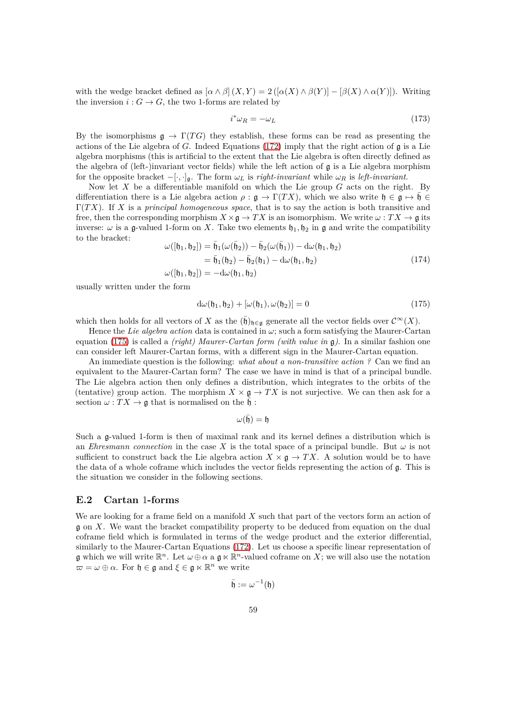with the wedge bracket defined as  $\left[\alpha \wedge \beta\right](X,Y) = 2\left(\left[\alpha(X) \wedge \beta(Y)\right] - \left[\beta(X) \wedge \alpha(Y)\right]\right)$ . Writing the inversion  $i: G \to G$ , the two 1-forms are related by

$$
i^*\omega_R = -\omega_L \tag{173}
$$

By the isomorphisms  $\mathfrak{g} \to \Gamma(TG)$  they establish, these forms can be read as presenting the actions of the Lie algebra of *G*. Indeed Equations [\(172\)](#page-57-4) imply that the right action of g is a Lie algebra morphisms (this is artificial to the extent that the Lie algebra is often directly defined as the algebra of (left-)invariant vector fields) while the left action of  $\mathfrak g$  is a Lie algebra morphism for the opposite bracket  $-[\cdot, \cdot]_{\mathfrak{g}}$ . The form  $\omega_L$  is *right-invariant* while  $\omega_R$  is *left-invariant*.

Now let *X* be a differentiable manifold on which the Lie group *G* acts on the right. By differentiation there is a Lie algebra action  $\rho : \mathfrak{g} \to \Gamma(TX)$ , which we also write  $\mathfrak{h} \in \mathfrak{g} \mapsto \mathfrak{h} \in$ Γ(*T X*). If *X* is a *principal homogeneous space*, that is to say the action is both transitive and free, then the corresponding morphism  $X \times \mathfrak{g} \to TX$  is an isomorphism. We write  $\omega : TX \to \mathfrak{g}$  its inverse:  $\omega$  is a g-valued 1-form on *X*. Take two elements  $\mathfrak{h}_1, \mathfrak{h}_2$  in g and write the compatibility to the bracket:

$$
\omega([\mathfrak{h}_1, \mathfrak{h}_2]) = \bar{\mathfrak{h}}_1(\omega(\bar{\mathfrak{h}}_2)) - \bar{\mathfrak{h}}_2(\omega(\bar{\mathfrak{h}}_1)) - d\omega(\mathfrak{h}_1, \mathfrak{h}_2) \n= \bar{\mathfrak{h}}_1(\mathfrak{h}_2) - \bar{\mathfrak{h}}_2(\mathfrak{h}_1) - d\omega(\mathfrak{h}_1, \mathfrak{h}_2) \n\omega([\mathfrak{h}_1, \mathfrak{h}_2]) = -d\omega(\mathfrak{h}_1, \mathfrak{h}_2)
$$
\n(174)

usually written under the form

<span id="page-58-1"></span>
$$
d\omega(\mathfrak{h}_1, \mathfrak{h}_2) + [\omega(\mathfrak{h}_1), \omega(\mathfrak{h}_2)] = 0 \tag{175}
$$

which then holds for all vectors of *X* as the  $(\bar{h})_{h\in\mathfrak{g}}$  generate all the vector fields over  $\mathcal{C}^{\infty}(X)$ .

Hence the *Lie algebra action* data is contained in *ω*; such a form satisfying the Maurer-Cartan equation [\(175\)](#page-58-1) is called a *(right) Maurer-Cartan form (with value in* g*)*. In a similar fashion one can consider left Maurer-Cartan forms, with a different sign in the Maurer-Cartan equation.

An immediate question is the following: *what about a non-transitive action ?* Can we find an equivalent to the Maurer-Cartan form? The case we have in mind is that of a principal bundle. The Lie algebra action then only defines a distribution, which integrates to the orbits of the (tentative) group action. The morphism  $X \times \mathfrak{g} \to TX$  is not surjective. We can then ask for a section  $\omega: TX \to \mathfrak{g}$  that is normalised on the  $\mathfrak{h}$  :

 $ω($ h̄) = h

Such a g-valued 1-form is then of maximal rank and its kernel defines a distribution which is an *Ehresmann connection* in the case  $X$  is the total space of a principal bundle. But  $\omega$  is not sufficient to construct back the Lie algebra action  $X \times \mathfrak{g} \to TX$ . A solution would be to have the data of a whole coframe which includes the vector fields representing the action of g. This is the situation we consider in the following sections.

### <span id="page-58-0"></span>**E.2 Cartan** 1**-forms**

We are looking for a frame field on a manifold *X* such that part of the vectors form an action of g on *X*. We want the bracket compatibility property to be deduced from equation on the dual coframe field which is formulated in terms of the wedge product and the exterior differential, similarly to the Maurer-Cartan Equations [\(172\)](#page-57-4). Let us choose a specific linear representation of g which we will write  $\mathbb{R}^n$ . Let  $\omega \oplus \alpha$  a g  $\ltimes \mathbb{R}^n$ -valued coframe on X; we will also use the notation  $\varpi = \omega \oplus \alpha$ . For  $\mathfrak{h} \in \mathfrak{g}$  and  $\xi \in \mathfrak{g} \ltimes \mathbb{R}^n$  we write

$$
\bar{\mathfrak{h}}:=\omega^{-1}(\mathfrak{h})
$$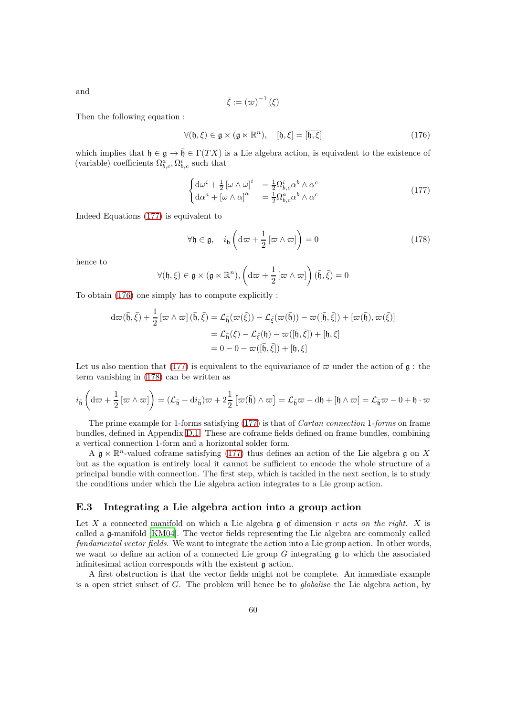and

$$
\bar{\xi}:=\left(\varpi\right)^{-1}\left(\xi\right)
$$

Then the following equation :

<span id="page-59-2"></span>
$$
\forall (\mathfrak{h}, \xi) \in \mathfrak{g} \times (\mathfrak{g} \ltimes \mathbb{R}^n), \quad [\bar{\mathfrak{h}}, \bar{\xi}] = \overline{[\mathfrak{h}, \xi]}
$$
(176)

which implies that  $\mathfrak{h} \in \mathfrak{g} \to \bar{\mathfrak{h}} \in \Gamma(TX)$  is a Lie algebra action, is equivalent to the existence of (variable) coefficients  $\Omega_{b,c}^a, \Omega_{b,c}^i$  such that

<span id="page-59-1"></span>
$$
\begin{cases} d\omega^i + \frac{1}{2} \left[ \omega \wedge \omega \right]^i &= \frac{1}{2} \Omega_{b,c}^i \alpha^b \wedge \alpha^c \\ d\alpha^a + \left[ \omega \wedge \alpha \right]^a &= \frac{1}{2} \Omega_{b,c}^a \alpha^b \wedge \alpha^c \end{cases} \tag{177}
$$

Indeed Equations [\(177\)](#page-59-1) is equivalent to

<span id="page-59-3"></span>
$$
\forall \mathfrak{h} \in \mathfrak{g}, \quad i_{\bar{\mathfrak{h}}} \left( d\varpi + \frac{1}{2} \left[ \varpi \wedge \varpi \right] \right) = 0 \tag{178}
$$

hence to

$$
\forall (\mathfrak{h},\xi) \in \mathfrak{g} \times (\mathfrak{g} \ltimes \mathbb{R}^n), \left(\mathrm{d}\varpi + \frac{1}{2}\left[\varpi \wedge \varpi\right]\right)(\bar{\mathfrak{h}},\bar{\xi}) = 0
$$

To obtain [\(176\)](#page-59-2) one simply has to compute explicitly :

$$
d\varpi(\bar{\mathfrak{h}}, \bar{\xi}) + \frac{1}{2} [\varpi \wedge \varpi] (\bar{\mathfrak{h}}, \bar{\xi}) = \mathcal{L}_{\bar{\mathfrak{h}}}(\varpi(\bar{\xi})) - \mathcal{L}_{\bar{\xi}}(\varpi(\bar{\mathfrak{h}})) - \varpi([\bar{\mathfrak{h}}, \bar{\xi}]) + [\varpi(\bar{\mathfrak{h}}), \varpi(\bar{\xi})]
$$
  

$$
= \mathcal{L}_{\bar{\mathfrak{h}}}(\xi) - \mathcal{L}_{\bar{\xi}}(\mathfrak{h}) - \varpi([\bar{\mathfrak{h}}, \bar{\xi}]) + [\mathfrak{h}, \xi]
$$
  

$$
= 0 - 0 - \varpi([\bar{\mathfrak{h}}, \bar{\xi}]) + [\mathfrak{h}, \xi]
$$

Let us also mention that [\(177\)](#page-59-1) is equivalent to the equivariance of  $\varpi$  under the action of  $\mathfrak{g}$ : the term vanishing in [\(178\)](#page-59-3) can be written as

$$
i_{\bar{\mathfrak h}}\left(\mathrm{d}\varpi+\frac{1}{2}\left[\varpi\wedge\varpi\right]\right)=(\mathcal{L}_{\bar{\mathfrak h}}-\mathrm{d} i_{\bar{\mathfrak h}})\varpi+2\frac{1}{2}\left[\varpi(\bar{\mathfrak h})\wedge\varpi\right]=\mathcal{L}_{\bar{\mathfrak h}}\varpi-\mathrm{d}\mathfrak h+[\mathfrak h\wedge\varpi]=\mathcal{L}_{\bar{\mathfrak h}}\varpi-0+\mathfrak h\cdot\varpi
$$

The prime example for 1-forms satisfying [\(177\)](#page-59-1) is that of *Cartan connection* 1*-forms* on frame bundles, defined in Appendix [D.1.](#page-52-0) These are coframe fields defined on frame bundles, combining a vertical connection 1-form and a horizontal solder form.

A  $\mathfrak{g} \ltimes \mathbb{R}^n$ -valued coframe satisfying [\(177\)](#page-59-1) thus defines an action of the Lie algebra  $\mathfrak{g}$  on X but as the equation is entirely local it cannot be sufficient to encode the whole structure of a principal bundle with connection. The first step, which is tackled in the next section, is to study the conditions under which the Lie algebra action integrates to a Lie group action.

## <span id="page-59-0"></span>**E.3 Integrating a Lie algebra action into a group action**

Let *X* a connected manifold on which a Lie algebra g of dimension *r* acts *on the right*. *X* is called a g-manifold [\[KM04](#page-64-16)]. The vector fields representing the Lie algebra are commonly called *fundamental vector fields*. We want to integrate the action into a Lie group action. In other words, we want to define an action of a connected Lie group *G* integrating g to which the associated infinitesimal action corresponds with the existent g action.

A first obstruction is that the vector fields might not be complete. An immediate example is a open strict subset of *G*. The problem will hence be to *globalise* the Lie algebra action, by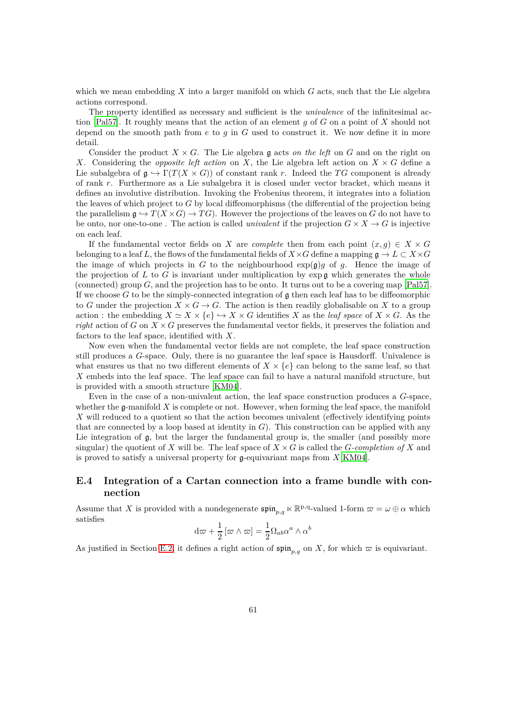which we mean embedding *X* into a larger manifold on which *G* acts, such that the Lie algebra actions correspond.

The property identified as necessary and sufficient is the *univalence* of the infinitesimal action [\[Pal57\]](#page-65-13). It roughly means that the action of an element *g* of *G* on a point of *X* should not depend on the smooth path from *e* to *g* in *G* used to construct it. We now define it in more detail.

Consider the product  $X \times G$ . The Lie algebra g acts *on the left* on G and on the right on *X*. Considering the *opposite left action* on *X*, the Lie algebra left action on  $X \times G$  define a Lie subalgebra of  $\mathfrak{g} \hookrightarrow \Gamma(T(X \times G))$  of constant rank *r*. Indeed the *TG* component is already of rank *r*. Furthermore as a Lie subalgebra it is closed under vector bracket, which means it defines an involutive distribution. Invoking the Frobenius theorem, it integrates into a foliation the leaves of which project to *G* by local diffeomorphisms (the differential of the projection being the parallelism  $\mathfrak{g} \hookrightarrow T(X \times G) \rightarrow TG$ . However the projections of the leaves on *G* do not have to be onto, nor one-to-one. The action is called *univalent* if the projection  $G \times X \to G$  is injective on each leaf.

If the fundamental vector fields on *X* are *complete* then from each point  $(x, g) \in X \times G$ belonging to a leaf *L*, the flows of the fundamental fields of  $X \times G$  define a mapping  $\mathfrak{g} \to L \subset X \times G$ the image of which projects in *G* to the neighbourhood  $exp(\mathfrak{g})q$  of *q*. Hence the image of the projection of  $L$  to  $G$  is invariant under multiplication by  $\exp \mathfrak{g}$  which generates the whole (connected) group *G*, and the projection has to be onto. It turns out to be a covering map [\[Pal57\]](#page-65-13). If we choose  $G$  to be the simply-connected integration of  $\mathfrak g$  then each leaf has to be diffeomorphic to *G* under the projection  $X \times G \to G$ . The action is then readily globalisable on X to a group action : the embedding  $X \simeq X \times \{e\} \hookrightarrow X \times G$  identifies X as the *leaf space* of  $X \times G$ . As the *right* action of *G* on  $X \times G$  preserves the fundamental vector fields, it preserves the foliation and factors to the leaf space, identified with *X*.

Now even when the fundamental vector fields are not complete, the leaf space construction still produces a *G*-space. Only, there is no guarantee the leaf space is Hausdorff. Univalence is what ensures us that no two different elements of  $X \times \{e\}$  can belong to the same leaf, so that *X* embeds into the leaf space. The leaf space can fail to have a natural manifold structure, but is provided with a smooth structure [\[KM04\]](#page-64-16).

Even in the case of a non-univalent action, the leaf space construction produces a *G*-space, whether the g-manifold *X* is complete or not. However, when forming the leaf space, the manifold *X* will reduced to a quotient so that the action becomes univalent (effectively identifying points that are connected by a loop based at identity in  $G$ ). This construction can be applied with any Lie integration of  $g$ , but the larger the fundamental group is, the smaller (and possibly more singular) the quotient of X will be. The leaf space of  $X \times G$  is called the *G*-completion of X and is proved to satisfy a universal property for g-equivariant maps from *X*[\[KM04\]](#page-64-16).

# <span id="page-60-0"></span>**E.4 Integration of a Cartan connection into a frame bundle with connection**

Assume that *X* is provided with a nondegenerate  $\mathfrak{spin}_{p,q} \ltimes \mathbb{R}^{p,q}$ -valued 1-form  $\omega = \omega \oplus \alpha$  which satisfies

$$
d\varpi + \frac{1}{2} [\varpi \wedge \varpi] = \frac{1}{2} \Omega_{ab} \alpha^a \wedge \alpha^b
$$

As justified in Section [E.2,](#page-58-0) it defines a right action of  $\mathfrak{spin}_{p,q}$  on X, for which  $\varpi$  is equivariant.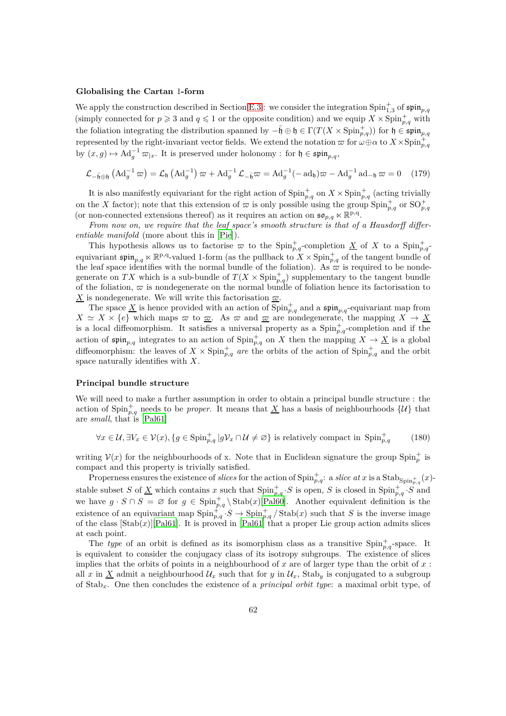#### **Globalising the Cartan** 1**-form**

We apply the construction described in Section [E.3](#page-59-0) : we consider the integration  $\text{Spin}_{1,3}^+$  of  $\mathfrak{spin}_{p,q}$ (simply connected for  $p \ge 3$  and  $q \le 1$  or the opposite condition) and we equip  $X \times \text{Spin}_{p,q}^+$  with the foliation integrating the distribution spanned by  $-\bar{\mathfrak{h}} \oplus \mathfrak{h} \in \Gamma(T(X \times \text{Spin}_{p,q}^+) )$  for  $\mathfrak{h} \in \mathfrak{spin}_{p,q}$ represented by the right-invariant vector fields. We extend the notation  $\varpi$  for  $\omega \oplus \alpha$  to  $X \times {\rm Spin}_{p,q}^+$ by  $(x, g) \mapsto \mathrm{Ad}_{g}^{-1} \varpi_{|x}$ . It is preserved under holonomy : for  $\mathfrak{h} \in \mathfrak{spin}_{p,q}$ ,

$$
\mathcal{L}_{-\bar{\mathfrak{h}}\oplus\mathfrak{h}}\left(\mathrm{Ad}_{g}^{-1}\,\varpi\right) = \mathcal{L}_{\mathfrak{h}}\left(\mathrm{Ad}_{g}^{-1}\right)\varpi + \mathrm{Ad}_{g}^{-1}\,\mathcal{L}_{-\bar{\mathfrak{h}}}\varpi = \mathrm{Ad}_{g}^{-1}(-\mathrm{ad}_{\mathfrak{h}})\varpi - \mathrm{Ad}_{g}^{-1}\mathrm{ad}_{-\mathfrak{h}}\,\varpi = 0\tag{179}
$$

It is also manifestly equivariant for the right action of  $\text{Spin}_{p,q}^+$  on  $X \times \text{Spin}_{p,q}^+$  (acting trivially on the *X* factor); note that this extension of  $\varpi$  is only possible using the group  $\text{Spin}_{p,q}^+$  or  $\text{SO}_{p,q}^+$ (or non-connected extensions thereof) as it requires an action on  $\mathfrak{so}_{p,q} \ltimes \mathbb{R}^{p,q}$ .

*From now on, we require that the leaf space's smooth structure is that of a Hausdorff differentiable manifold* (more about this in [\[Pie](#page-65-3)]).

This hypothesis allows us to factorise  $\bar{\omega}$  to the Spin<sup>+</sup><sub>*p,q*</sub>-completion <u>X</u> of X to a Spin<sup>+</sup><sub>*p,q*</sub>equivariant  $\mathfrak{spin}_{p,q} \ltimes \mathbb{R}^{p,q}$ -valued 1-form (as the pullback to  $X \times \text{Spin}_{p,q}^+$  of the tangent bundle of the leaf space identifies with the normal bundle of the foliation). As  $\hat{\varpi}$  is required to be nondegenerate on *TX* which is a sub-bundle of  $T(X \times \text{Spin}_{p,q}^+)$  supplementary to the tangent bundle of the foliation,  $\bar{\omega}$  is nondegenerate on the normal bundle of foliation hence its factorisation to *X* is nondegenerate. We will write this factorisation  $\varpi$ .

The space <u>X</u> is hence provided with an action of  $\text{Spin}_{p,q}^+$  and a  $\mathfrak{spin}_{p,q}$ -equivariant map from  $X \simeq X \times \{e\}$  which maps  $\varpi$  to  $\underline{\varpi}$ . As  $\varpi$  and  $\underline{\varpi}$  are nondegenerate, the mapping  $X \to \underline{X}$ is a local diffeomorphism. It satisfies a universal property as a  $\text{Spin}_{p,q}^+$ -completion and if the action of  $\text{spin}_{p,q}$  integrates to an action of  $\text{Spin}_{p,q}^+$  on *X* then the mapping  $X \to \underline{X}$  is a global diffeomorphism: the leaves of  $X \times Spin_{p,q}^+$  *are* the orbits of the action of  $Spin_{p,q}^+$  and the orbit space naturally identifies with *X*.

#### **Principal bundle structure**

We will need to make a further assumption in order to obtain a principal bundle structure : the action of  $\text{Spin}_{p,q}^+$  needs to be *proper*. It means that <u>X</u> has a basis of neighbourhoods  $\{\mathcal{U}\}\$  that are *small*, that is [\[Pal61\]](#page-65-14)

$$
\forall x \in \mathcal{U}, \exists V_x \in \mathcal{V}(x), \{g \in \text{Spin}_{p,q}^+ \, | g \mathcal{V}_x \cap \mathcal{U} \neq \varnothing\} \text{ is relatively compact in } \text{Spin}_{p,q}^+ \tag{180}
$$

writing  $\mathcal{V}(x)$  for the neighbourhoods of x. Note that in Euclidean signature the group  $\text{Spin}_{p}^{+}$  is compact and this property is trivially satisfied.

Properness ensures the existence of *slices* for the action of  $\text{Spin}_{p,q}^+$ : a *slice at x* is a  $\text{Stab}_{\text{Spin}_{p,q}^+}(x)$ stable subset *S* of <u>X</u> which contains *x* such that  $\text{Spin}_{p,q}^+$  *S* is open, *S* is closed in  $\text{Spin}_{p,q}^+$  *S* and we have  $g \cdot S \cap S = \emptyset$  for  $g \in \text{Spin}_{p,q}^+ \setminus \text{Stab}(x)$ [\[Pal60\]](#page-65-16). Another equivalent definition is the existence of an equivariant map  $\text{Spin}_{p,q}^+$   $\cdot$   $S \to \text{Spin}_{p,q}^+$  /  $\text{Stab}(x)$  such that *S* is the inverse image of the class  $[\text{Stab}(x)][\text{Pal61}]$ . It is proved in  $[\text{Pal61}]$  that a proper Lie group action admits slices at each point.

The *type* of an orbit is defined as its isomorphism class as a transitive  $\text{Spin}_{p,q}^+$ -space. It is equivalent to consider the conjugacy class of its isotropy subgroups. The existence of slices implies that the orbits of points in a neighbourhood of  $x$  are of larger type than the orbit of  $x$ : all x in X admit a neighbourhood  $U_x$  such that for y in  $U_x$ , Stab<sub>y</sub> is conjugated to a subgroup of Stab*x*. One then concludes the existence of a *principal orbit type*: a maximal orbit type, of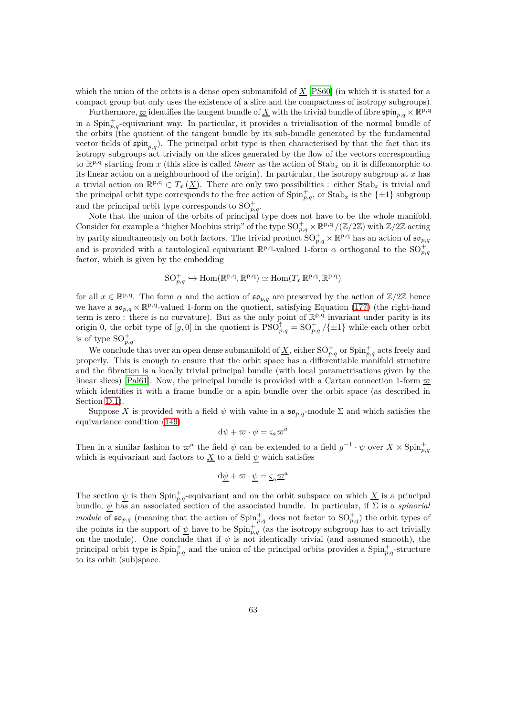which the union of the orbits is a dense open submanifold of *X* [\[PS60\]](#page-65-15) (in which it is stated for a compact group but only uses the existence of a slice and the compactness of isotropy subgroups).

Furthermore,  $\bar{\omega}$  identifies the tangent bundle of  $\underline{X}$  with the trivial bundle of fibre  $\mathfrak{spin}_{p,q} \ltimes \mathbb{R}^{p,q}$ in a  $\text{Spin}_{p,q}^+$ -equivariant way. In particular, it provides a trivialisation of the normal bundle of the orbits (the quotient of the tangent bundle by its sub-bundle generated by the fundamental vector fields of  $\frak{spin}_{p,q}$ ). The principal orbit type is then characterised by that the fact that its isotropy subgroups act trivially on the slices generated by the flow of the vectors corresponding to  $\mathbb{R}^{p,q}$  starting from *x* (this slice is called *linear* as the action of Stab<sub>*x*</sub> on it is diffeomorphic to its linear action on a neighbourhood of the origin). In particular, the isotropy subgroup at *x* has a trivial action on  $\mathbb{R}^{p,q} \subset T_x(\underline{X})$ . There are only two possibilities : either  $\text{Stab}_x$  is trivial and the principal orbit type corresponds to the free action of  $\text{Spin}_{p,q}^+$ , or  $\text{Stab}_x$  is the  $\{\pm 1\}$  subgroup and the principal orbit type corresponds to  $SO_{p,q}^+$ .

Note that the union of the orbits of principal type does not have to be the whole manifold. Consider for example a "higher Moebius strip" of the type  $SO_{p,q}^+\times \mathbb{R}^{p,q}/(\mathbb{Z}/2\mathbb{Z})$  with  $\mathbb{Z}/2\mathbb{Z}$  acting by parity simultaneously on both factors. The trivial product  $\mathrm{SO}_{p,q}^+\times\mathbb{R}^{p,q}$  has an action of  $\mathfrak{so}_{p,q}$ and is provided with a tautological equivariant  $\mathbb{R}^{p,q}$ -valued 1-form  $\alpha$  orthogonal to the  $SO_{p,q}^+$ factor, which is given by the embedding

$$
\mathrm{SO}_{p,q}^+ \hookrightarrow \mathrm{Hom}(\mathbb{R}^{p,q}, \mathbb{R}^{p,q}) \simeq \mathrm{Hom}(T_x \, \mathbb{R}^{p,q}, \mathbb{R}^{p,q})
$$

for all  $x \in \mathbb{R}^{p,q}$ . The form  $\alpha$  and the action of  $\mathfrak{so}_{p,q}$  are preserved by the action of  $\mathbb{Z}/2\mathbb{Z}$  hence we have a  $\mathfrak{so}_{p,q}\ltimes\mathbb{R}^{p,q}$ -valued 1-form on the quotient, satisfying Equation [\(177\)](#page-59-1) (the right-hand term is zero: there is no curvature). But as the only point of  $\mathbb{R}^{p,q}$  invariant under parity is its origin 0, the orbit type of  $[g, 0]$  in the quotient is  $PSO_{p,q}^{\uparrow} = SO_{p,q}^+ / {\pm 1}$  while each other orbit is of type  $SO_{p,q}^+$ .

We conclude that over an open dense submanifold of  $\underline{X}$ , either  $SO_{p,q}^+$  or  $Spin_{p,q}^+$  acts freely and properly. This is enough to ensure that the orbit space has a differentiable manifold structure and the fibration is a locally trivial principal bundle (with local parametrisations given by the linear slices) [\[Pal61\]](#page-65-14). Now, the principal bundle is provided with a Cartan connection 1-form  $\overline{\omega}$ which identifies it with a frame bundle or a spin bundle over the orbit space (as described in Section [D.1\)](#page-52-0).

Suppose X is provided with a field  $\psi$  with value in a  $\mathfrak{so}_{p,q}$ -module  $\Sigma$  and which satisfies the equivariance condition [\(149\)](#page-53-0)

$$
\mathrm{d}\psi + \varpi \cdot \psi = \varsigma_a \varpi^a
$$

Then in a similar fashion to  $\varpi^a$  the field  $\psi$  can be extended to a field  $g^{-1} \cdot \psi$  over  $X \times \text{Spin}_{p,q}^+$ which is equivariant and factors to  $\underline{X}$  to a field  $\psi$  which satisfies

$$
d\underline{\psi} + \varpi \cdot \underline{\psi} = \underline{\varsigma}_a \underline{\varpi}^a
$$

The section  $\psi$  is then  $\text{Spin}_{p,q}^+$ -equivariant and on the orbit subspace on which <u>X</u> is a principal bundle,  $\psi$  has an associated section of the associated bundle. In particular, if  $\Sigma$  is a *spinorial module* of  $\mathfrak{so}_{p,q}$  (meaning that the action of  $\text{Spin}_{p,q}^+$  does not factor to  $\text{SO}_{p,q}^+$ ) the orbit types of the points in the support of  $\underline{\psi}$  have to be  $\text{Spin}_{p,q}^+$  (as the isotropy subgroup has to act trivially on the module). One conclude that if  $\psi$  is not identically trivial (and assumed smooth), the principal orbit type is  $\text{Spin}_{p,q}^+$  and the union of the principal orbits provides a  $\text{Spin}_{p,q}^+$ -structure to its orbit (sub)space.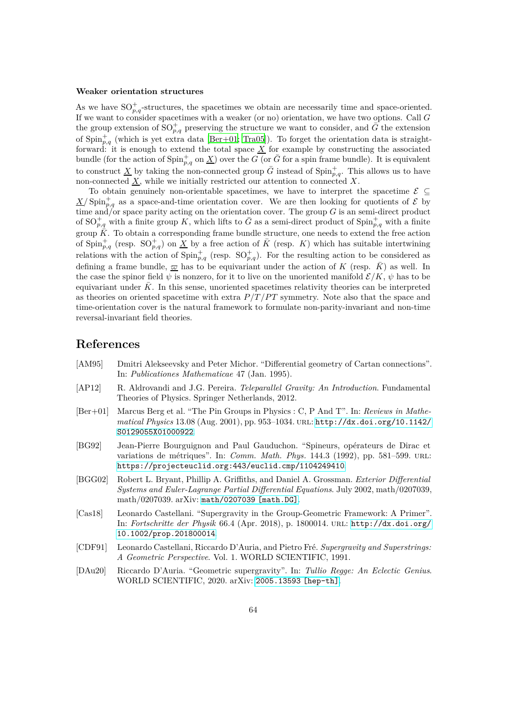#### **Weaker orientation structures**

As we have  $SO_{p,q}^+$ -structures, the spacetimes we obtain are necessarily time and space-oriented. If we want to consider spacetimes with a weaker (or no) orientation, we have two options. Call *G* the group extension of  $SO_{p,q}^+$  preserving the structure we want to consider, and  $\bar{G}$  the extension of  $\text{Spin}_{p,q}^+$  (which is yet extra data [\[Ber+01;](#page-63-6) [Tra05\]](#page-65-17)). To forget the orientation data is straightforward: it is enough to extend the total space  $\underline{X}$  for example by constructing the associated bundle (for the action of  $\text{Spin}_{p,q}^+$  on  $\underline{X}$ ) over the *G* (or  $\overline{G}$  for a spin frame bundle). It is equivalent to construct <u>X</u> by taking the non-connected group  $\bar{G}$  instead of Spin<sub>p,q</sub>. This allows us to have non-connected  $\underline{X}$ , while we initially restricted our attention to connected  $X$ .

To obtain genuinely non-orientable spacetimes, we have to interpret the spacetime  $\mathcal{E} \subseteq$  $\frac{X}{\Sigma}$  Spin<sup>+</sup><sub>p,q</sub> as a space-and-time orientation cover. We are then looking for quotients of E by time and/or space parity acting on the orientation cover. The group  $G$  is an semi-direct product of  $SO_{p,q}^+$  with a finite group K, which lifts to  $\bar{G}$  as a semi-direct product of  $Spin_{p,q}^+$  with a finite group  $\overline{K}$ . To obtain a corresponding frame bundle structure, one needs to extend the free action of  $\text{Spin}_{p,q}^+$  (resp.  $\text{SO}_{p,q}^+$ ) on  $\underline{X}$  by a free action of  $\overline{K}$  (resp. K) which has suitable intertwining relations with the action of  $\text{Spin}_{p,q}^+$  (resp.  $\text{SO}_{p,q}^+$ ). For the resulting action to be considered as defining a frame bundle,  $\bar{\underline{\sigma}}$  has to be equivariant under the action of *K* (resp.  $\bar{K}$ ) as well. In the case the spinor field  $\psi$  is nonzero, for it to live on the unoriented manifold  $\mathcal{E}/K$ ,  $\psi$  has to be equivariant under K. In this sense, unoriented spacetimes relativity theories can be interpreted as theories on oriented spacetime with extra  $P/T/PT$  symmetry. Note also that the space and time-orientation cover is the natural framework to formulate non-parity-invariant and non-time reversal-invariant field theories.

# <span id="page-63-4"></span><span id="page-63-0"></span>**References**

- [AM95] Dmitri Alekseevsky and Peter Michor. "Differential geometry of Cartan connections". In: *Publicationes Mathematicae* 47 (Jan. 1995).
- <span id="page-63-7"></span>[AP12] R. Aldrovandi and J.G. Pereira. *Teleparallel Gravity: An Introduction*. Fundamental Theories of Physics. Springer Netherlands, 2012.
- <span id="page-63-6"></span>[Ber+01] Marcus Berg et al. "The Pin Groups in Physics : C, P And T". In: *Reviews in Mathematical Physics* 13.08 (Aug. 2001), pp. 953–1034. url: [http://dx.doi.org/10.1142/](http://dx.doi.org/10.1142/S0129055X01000922) [S0129055X01000922](http://dx.doi.org/10.1142/S0129055X01000922).
- <span id="page-63-8"></span>[BG92] Jean-Pierre Bourguignon and Paul Gauduchon. "Spineurs, opérateurs de Dirac et variations de métriques". In: *Comm. Math. Phys.* 144.3 (1992), pp. 581–599. url: <https://projecteuclid.org:443/euclid.cmp/1104249410>.
- <span id="page-63-3"></span>[BGG02] Robert L. Bryant, Phillip A. Griffiths, and Daniel A. Grossman. *Exterior Differential Systems and Euler-Lagrange Partial Differential Equations*. July 2002, math/0207039, math/0207039. arXiv: [math/0207039 \[math.DG\]](https://arxiv.org/abs/math/0207039).
- <span id="page-63-5"></span>[Cas18] Leonardo Castellani. "Supergravity in the Group-Geometric Framework: A Primer". In: *Fortschritte der Physik* 66.4 (Apr. 2018), p. 1800014. url: [http://dx.doi.org/](http://dx.doi.org/10.1002/prop.201800014) [10.1002/prop.201800014](http://dx.doi.org/10.1002/prop.201800014).
- <span id="page-63-2"></span>[CDF91] Leonardo Castellani, Riccardo D'Auria, and Pietro Fré. *Supergravity and Superstrings: A Geometric Perspective*. Vol. 1. WORLD SCIENTIFIC, 1991.
- <span id="page-63-1"></span>[DAu20] Riccardo D'Auria. "Geometric supergravity". In: *Tullio Regge: An Eclectic Genius*. WORLD SCIENTIFIC, 2020. arXiv: [2005.13593 \[hep-th\]](https://arxiv.org/abs/2005.13593).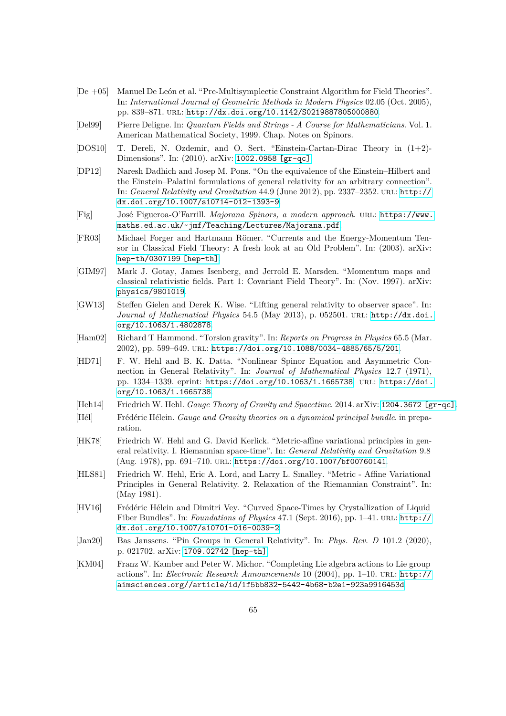- <span id="page-64-7"></span>[De +05] Manuel De León et al. "Pre-Multisymplectic Constraint Algorithm for Field Theories". In: *International Journal of Geometric Methods in Modern Physics* 02.05 (Oct. 2005), pp. 839–871. url: <http://dx.doi.org/10.1142/S0219887805000880>.
- <span id="page-64-14"></span>[Del99] Pierre Deligne. In: *Quantum Fields and Strings - A Course for Mathematicians*. Vol. 1. American Mathematical Society, 1999. Chap. Notes on Spinors.
- <span id="page-64-6"></span>[DOS10] T. Dereli, N. Ozdemir, and O. Sert. "Einstein-Cartan-Dirac Theory in (1+2)- Dimensions". In: (2010). arXiv: [1002.0958 \[gr-qc\]](https://arxiv.org/abs/1002.0958).
- <span id="page-64-4"></span>[DP12] Naresh Dadhich and Josep M. Pons. "On the equivalence of the Einstein–Hilbert and the Einstein–Palatini formulations of general relativity for an arbitrary connection". In: *General Relativity and Gravitation* 44.9 (June 2012), pp. 2337–2352. url: [http://](http://dx.doi.org/10.1007/s10714-012-1393-9) [dx.doi.org/10.1007/s10714-012-1393-9](http://dx.doi.org/10.1007/s10714-012-1393-9).
- <span id="page-64-13"></span>[Fig] José Figueroa-O'Farrill. *Majorana Spinors, a modern approach*. url: [https://www.](https://www.maths.ed.ac.uk/~jmf/Teaching/Lectures/Majorana.pdf) [maths.ed.ac.uk/~jmf/Teaching/Lectures/Majorana.pdf](https://www.maths.ed.ac.uk/~jmf/Teaching/Lectures/Majorana.pdf).
- <span id="page-64-8"></span>[FR03] Michael Forger and Hartmann Römer. "Currents and the Energy-Momentum Tensor in Classical Field Theory: A fresh look at an Old Problem". In: (2003). arXiv: [hep-th/0307199 \[hep-th\]](https://arxiv.org/abs/hep-th/0307199).
- <span id="page-64-1"></span>[GIM97] Mark J. Gotay, James Isenberg, and Jerrold E. Marsden. "Momentum maps and classical relativistic fields. Part 1: Covariant Field Theory". In: (Nov. 1997). arXiv: [physics/9801019](https://arxiv.org/abs/physics/9801019).
- <span id="page-64-5"></span>[GW13] Steffen Gielen and Derek K. Wise. "Lifting general relativity to observer space". In: *Journal of Mathematical Physics* 54.5 (May 2013), p. 052501. url: [http://dx.doi.](http://dx.doi.org/10.1063/1.4802878) [org/10.1063/1.4802878](http://dx.doi.org/10.1063/1.4802878).
- <span id="page-64-11"></span>[Ham02] Richard T Hammond. "Torsion gravity". In: *Reports on Progress in Physics* 65.5 (Mar. 2002), pp. 599–649. url: <https://doi.org/10.1088/0034-4885/65/5/201>.
- <span id="page-64-10"></span>[HD71] F. W. Hehl and B. K. Datta. "Nonlinear Spinor Equation and Asymmetric Connection in General Relativity". In: *Journal of Mathematical Physics* 12.7 (1971), pp. 1334–1339. eprint: <https://doi.org/10.1063/1.1665738>. url: [https://doi.](https://doi.org/10.1063/1.1665738) [org/10.1063/1.1665738](https://doi.org/10.1063/1.1665738).
- <span id="page-64-12"></span><span id="page-64-9"></span>[Heh14] Friedrich W. Hehl. *Gauge Theory of Gravity and Spacetime*. 2014. arXiv: [1204.3672 \[gr-qc\]](https://arxiv.org/abs/1204.3672).
- [Hél] Frédéric Hélein. *Gauge and Gravity theories on a dynamical principal bundle*. in preparation.
- <span id="page-64-2"></span>[HK78] Friedrich W. Hehl and G. David Kerlick. "Metric-affine variational principles in general relativity. I. Riemannian space-time". In: *General Relativity and Gravitation* 9.8 (Aug. 1978), pp. 691–710. url: <https://doi.org/10.1007/bf00760141>.
- <span id="page-64-3"></span>[HLS81] Friedrich W. Hehl, Eric A. Lord, and Larry L. Smalley. "Metric - Affine Variational Principles in General Relativity. 2. Relaxation of the Riemannian Constraint". In: (May 1981).
- <span id="page-64-0"></span>[HV16] Frédéric Hélein and Dimitri Vey. "Curved Space-Times by Crystallization of Liquid Fiber Bundles". In: *Foundations of Physics* 47.1 (Sept. 2016), pp. 1–41. URL: [http://](http://dx.doi.org/10.1007/s10701-016-0039-2) [dx.doi.org/10.1007/s10701-016-0039-2](http://dx.doi.org/10.1007/s10701-016-0039-2).
- <span id="page-64-15"></span>[Jan20] Bas Janssens. "Pin Groups in General Relativity". In: *Phys. Rev. D* 101.2 (2020), p. 021702. arXiv: [1709.02742 \[hep-th\]](https://arxiv.org/abs/1709.02742).
- <span id="page-64-16"></span>[KM04] Franz W. Kamber and Peter W. Michor. "Completing Lie algebra actions to Lie group actions". In: *Electronic Research Announcements* 10 (2004), pp. 1–10. url: [http://](http://aimsciences.org//article/id/1f5bb832-5442-4b68-b2e1-923a9916453d) [aimsciences.org//article/id/1f5bb832-5442-4b68-b2e1-923a9916453d](http://aimsciences.org//article/id/1f5bb832-5442-4b68-b2e1-923a9916453d).